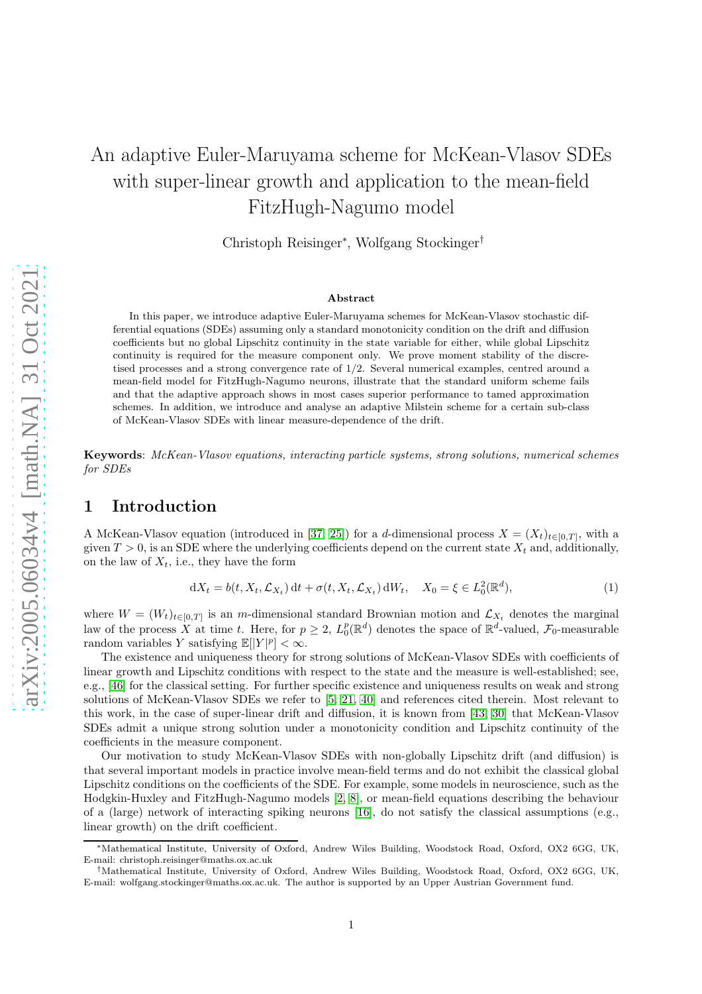# An adaptive Euler-Maruyama scheme for McKean-Vlasov SDEs with super-linear growth and application to the mean-field FitzHugh-Nagumo model

Christoph Reisinger<sup>∗</sup> , Wolfgang Stockinger†

#### Abstract

In this paper, we introduce adaptive Euler-Maruyama schemes for McKean-Vlasov stochastic differential equations (SDEs) assuming only a standard monotonicity condition on the drift and diffusion coefficients but no global Lipschitz continuity in the state variable for either, while global Lipschitz continuity is required for the measure component only. We prove moment stability of the discretised processes and a strong convergence rate of 1/2. Several numerical examples, centred around a mean-field model for FitzHugh-Nagumo neurons, illustrate that the standard uniform scheme fails and that the adaptive approach shows in most cases superior performance to tamed approximation schemes. In addition, we introduce and analyse an adaptive Milstein scheme for a certain sub-class of McKean-Vlasov SDEs with linear measure-dependence of the drift.

Keywords: McKean-Vlasov equations, interacting particle systems, strong solutions, numerical schemes for SDEs

## 1 Introduction

A McKean-Vlasov equation (introduced in [\[37,](#page-28-0) [25\]](#page-27-0)) for a d-dimensional process  $X = (X_t)_{t \in [0,T]}$ , with a given  $T > 0$ , is an SDE where the underlying coefficients depend on the current state  $X_t$  and, additionally, on the law of  $X_t$ , i.e., they have the form

<span id="page-0-0"></span>
$$
dX_t = b(t, X_t, \mathcal{L}_{X_t}) dt + \sigma(t, X_t, \mathcal{L}_{X_t}) dW_t, \quad X_0 = \xi \in L_0^2(\mathbb{R}^d),
$$
\n(1)

where  $W = (W_t)_{t \in [0,T]}$  is an m-dimensional standard Brownian motion and  $\mathcal{L}_{X_t}$  denotes the marginal law of the process X at time t. Here, for  $p \geq 2$ ,  $L_0^p(\mathbb{R}^d)$  denotes the space of  $\mathbb{R}^d$ -valued,  $\mathcal{F}_0$ -measurable random variables Y satisfying  $\mathbb{E}[|Y|^p] < \infty$ .

The existence and uniqueness theory for strong solutions of McKean-Vlasov SDEs with coefficients of linear growth and Lipschitz conditions with respect to the state and the measure is well-established; see, e.g., [\[46\]](#page-28-1) for the classical setting. For further specific existence and uniqueness results on weak and strong solutions of McKean-Vlasov SDEs we refer to [\[5,](#page-26-0) [21,](#page-27-1) [40\]](#page-28-2) and references cited therein. Most relevant to this work, in the case of super-linear drift and diffusion, it is known from [\[43,](#page-28-3) [30\]](#page-28-4) that McKean-Vlasov SDEs admit a unique strong solution under a monotonicity condition and Lipschitz continuity of the coefficients in the measure component.

Our motivation to study McKean-Vlasov SDEs with non-globally Lipschitz drift (and diffusion) is that several important models in practice involve mean-field terms and do not exhibit the classical global Lipschitz conditions on the coefficients of the SDE. For example, some models in neuroscience, such as the Hodgkin-Huxley and FitzHugh-Nagumo models [\[2,](#page-26-1) [8\]](#page-26-2), or mean-field equations describing the behaviour of a (large) network of interacting spiking neurons [\[16\]](#page-27-2), do not satisfy the classical assumptions (e.g., linear growth) on the drift coefficient.

<sup>∗</sup>Mathematical Institute, University of Oxford, Andrew Wiles Building, Woodstock Road, Oxford, OX2 6GG, UK, E-mail: christoph.reisinger@maths.ox.ac.uk

<sup>†</sup>Mathematical Institute, University of Oxford, Andrew Wiles Building, Woodstock Road, Oxford, OX2 6GG, UK, E-mail: wolfgang.stockinger@maths.ox.ac.uk. The author is supported by an Upper Austrian Government fund.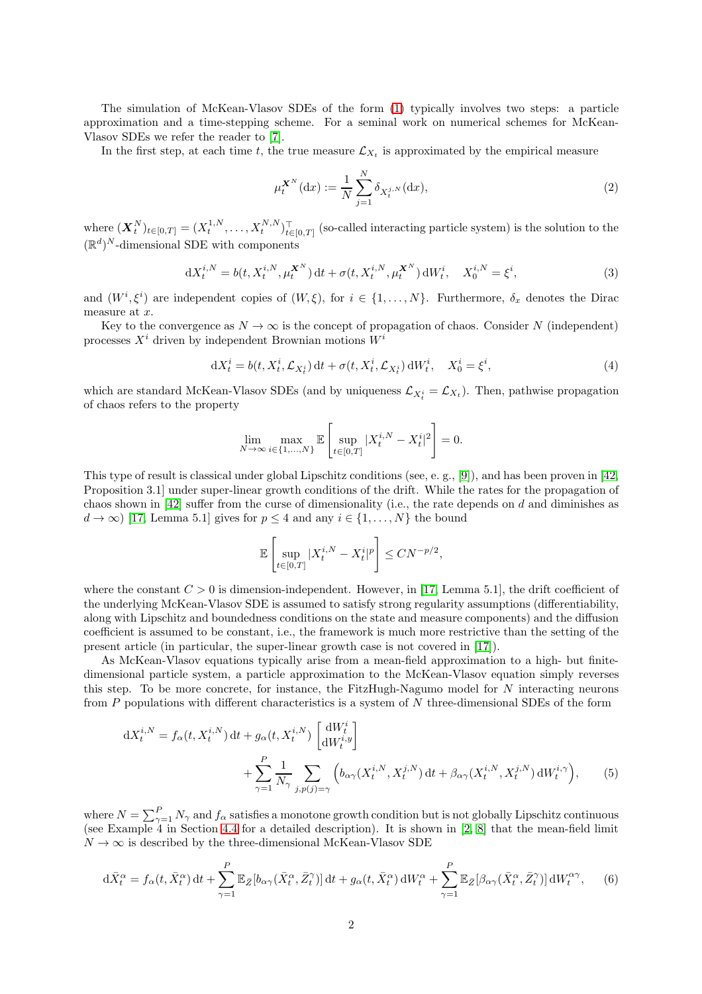The simulation of McKean-Vlasov SDEs of the form [\(1\)](#page-0-0) typically involves two steps: a particle approximation and a time-stepping scheme. For a seminal work on numerical schemes for McKean-Vlasov SDEs we refer the reader to [\[7\]](#page-26-3).

In the first step, at each time t, the true measure  $\mathcal{L}_{X_t}$  is approximated by the empirical measure

$$
\mu_t^{\mathbf{X}^N}(\mathrm{d}x) := \frac{1}{N} \sum_{j=1}^N \delta_{X_t^{j,N}}(\mathrm{d}x),\tag{2}
$$

 $\mathbf{w}(\bm{X}_t^N)_{t\in[0,T]}=(X_t^{1,N},\ldots,X_t^{N,N})_{t\in[0,T]}^\top$  (so-called interacting particle system) is the solution to the  $(\mathbb{R}^d)^N$ -dimensional SDE with components

<span id="page-1-2"></span>
$$
dX_t^{i,N} = b(t, X_t^{i,N}, \mu_t^{X^N}) dt + \sigma(t, X_t^{i,N}, \mu_t^{X^N}) dW_t^i, \quad X_0^{i,N} = \xi^i,
$$
\n(3)

and  $(W^i, \xi^i)$  are independent copies of  $(W, \xi)$ , for  $i \in \{1, ..., N\}$ . Furthermore,  $\delta_x$  denotes the Dirac measure at x.

Key to the convergence as  $N \to \infty$  is the concept of propagation of chaos. Consider N (independent) processes  $X^i$  driven by independent Brownian motions  $W^i$ 

<span id="page-1-3"></span>
$$
dX_t^i = b(t, X_t^i, \mathcal{L}_{X_t^i}) dt + \sigma(t, X_t^i, \mathcal{L}_{X_t^i}) dW_t^i, \quad X_0^i = \xi^i,
$$
\n<sup>(4)</sup>

which are standard McKean-Vlasov SDEs (and by uniqueness  $\mathcal{L}_{X_t^i} = \mathcal{L}_{X_t}$ ). Then, pathwise propagation of chaos refers to the property

$$
\lim_{N\to\infty}\max_{i\in\{1,\ldots,N\}}\mathbb{E}\left[\sup_{t\in[0,T]}|X^{i,N}_t-X^i_t|^2\right]=0.
$$

This type of result is classical under global Lipschitz conditions (see, e.g.,  $[g]$ ), and has been proven in [\[42,](#page-28-5) Proposition 3.1] under super-linear growth conditions of the drift. While the rates for the propagation of chaos shown in  $[42]$  suffer from the curse of dimensionality (i.e., the rate depends on d and diminishes as  $d \to \infty$ ) [\[17,](#page-27-4) Lemma 5.1] gives for  $p \leq 4$  and any  $i \in \{1, ..., N\}$  the bound

<span id="page-1-1"></span><span id="page-1-0"></span>
$$
\mathbb{E}\left[\sup_{t\in[0,T]}|X_t^{i,N}-X_t^i|^p\right]\le CN^{-p/2},
$$

where the constant  $C > 0$  is dimension-independent. However, in [\[17,](#page-27-4) Lemma 5.1], the drift coefficient of the underlying McKean-Vlasov SDE is assumed to satisfy strong regularity assumptions (differentiability, along with Lipschitz and boundedness conditions on the state and measure components) and the diffusion coefficient is assumed to be constant, i.e., the framework is much more restrictive than the setting of the present article (in particular, the super-linear growth case is not covered in [\[17\]](#page-27-4)).

As McKean-Vlasov equations typically arise from a mean-field approximation to a high- but finitedimensional particle system, a particle approximation to the McKean-Vlasov equation simply reverses this step. To be more concrete, for instance, the FitzHugh-Nagumo model for N interacting neurons from  $P$  populations with different characteristics is a system of  $N$  three-dimensional SDEs of the form

$$
dX_t^{i,N} = f_\alpha(t, X_t^{i,N}) dt + g_\alpha(t, X_t^{i,N}) \begin{bmatrix} dW_t^i \\ dW_t^{i,y} \end{bmatrix}
$$
  
+ 
$$
\sum_{\gamma=1}^P \frac{1}{N_\gamma} \sum_{j,p(j)=\gamma} \left( b_{\alpha\gamma}(X_t^{i,N}, X_t^{j,N}) dt + \beta_{\alpha\gamma}(X_t^{i,N}, X_t^{j,N}) dW_t^{i,\gamma} \right),
$$
 (5)

where  $N = \sum_{\gamma=1}^{P} N_{\gamma}$  and  $f_{\alpha}$  satisfies a monotone growth condition but is not globally Lipschitz continuous (see Example 4 in Section [4.4](#page-15-0) for a detailed description). It is shown in [\[2,](#page-26-1) [8\]](#page-26-2) that the mean-field limit  $N \to \infty$  is described by the three-dimensional McKean-Vlasov SDE

$$
d\bar{X}^{\alpha}_{t} = f_{\alpha}(t, \bar{X}^{\alpha}_{t}) dt + \sum_{\gamma=1}^{P} \mathbb{E}_{\bar{Z}}[b_{\alpha\gamma}(\bar{X}^{\alpha}_{t}, \bar{Z}^{\gamma}_{t})] dt + g_{\alpha}(t, \bar{X}^{\alpha}_{t}) dW^{\alpha}_{t} + \sum_{\gamma=1}^{P} \mathbb{E}_{\bar{Z}}[\beta_{\alpha\gamma}(\bar{X}^{\alpha}_{t}, \bar{Z}^{\gamma}_{t})] dW^{\alpha\gamma}_{t}, \quad (6)
$$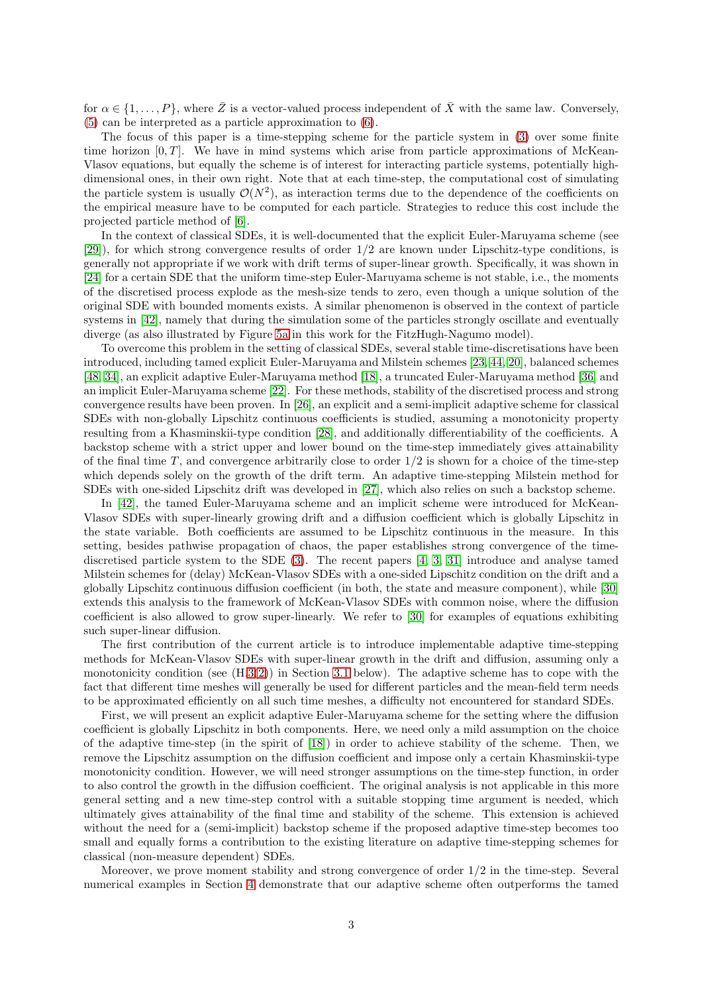for  $\alpha \in \{1, \ldots, P\}$ , where  $\overline{Z}$  is a vector-valued process independent of  $\overline{X}$  with the same law. Conversely, [\(5\)](#page-1-0) can be interpreted as a particle approximation to [\(6\)](#page-1-1).

The focus of this paper is a time-stepping scheme for the particle system in [\(3\)](#page-1-2) over some finite time horizon  $[0, T]$ . We have in mind systems which arise from particle approximations of McKean-Vlasov equations, but equally the scheme is of interest for interacting particle systems, potentially highdimensional ones, in their own right. Note that at each time-step, the computational cost of simulating the particle system is usually  $\mathcal{O}(N^2)$ , as interaction terms due to the dependence of the coefficients on the empirical measure have to be computed for each particle. Strategies to reduce this cost include the projected particle method of [\[6\]](#page-26-4).

In the context of classical SDEs, it is well-documented that the explicit Euler-Maruyama scheme (see [\[29\]](#page-28-6)), for which strong convergence results of order 1/2 are known under Lipschitz-type conditions, is generally not appropriate if we work with drift terms of super-linear growth. Specifically, it was shown in [\[24\]](#page-27-5) for a certain SDE that the uniform time-step Euler-Maruyama scheme is not stable, i.e., the moments of the discretised process explode as the mesh-size tends to zero, even though a unique solution of the original SDE with bounded moments exists. A similar phenomenon is observed in the context of particle systems in [\[42\]](#page-28-5), namely that during the simulation some of the particles strongly oscillate and eventually diverge (as also illustrated by Figure [5a](#page-16-0) in this work for the FitzHugh-Nagumo model).

To overcome this problem in the setting of classical SDEs, several stable time-discretisations have been introduced, including tamed explicit Euler-Maruyama and Milstein schemes [\[23,](#page-27-6) [44,](#page-28-7) [20\]](#page-27-7), balanced schemes [\[48,](#page-28-8) [34\]](#page-28-9), an explicit adaptive Euler-Maruyama method [\[18\]](#page-27-8), a truncated Euler-Maruyama method [\[36\]](#page-28-10) and an implicit Euler-Maruyama scheme [\[22\]](#page-27-9). For these methods, stability of the discretised process and strong convergence results have been proven. In [\[26\]](#page-27-10), an explicit and a semi-implicit adaptive scheme for classical SDEs with non-globally Lipschitz continuous coefficients is studied, assuming a monotonicity property resulting from a Khasminskii-type condition [\[28\]](#page-28-11), and additionally differentiability of the coefficients. A backstop scheme with a strict upper and lower bound on the time-step immediately gives attainability of the final time T, and convergence arbitrarily close to order  $1/2$  is shown for a choice of the time-step which depends solely on the growth of the drift term. An adaptive time-stepping Milstein method for SDEs with one-sided Lipschitz drift was developed in [\[27\]](#page-27-11), which also relies on such a backstop scheme.

In [\[42\]](#page-28-5), the tamed Euler-Maruyama scheme and an implicit scheme were introduced for McKean-Vlasov SDEs with super-linearly growing drift and a diffusion coefficient which is globally Lipschitz in the state variable. Both coefficients are assumed to be Lipschitz continuous in the measure. In this setting, besides pathwise propagation of chaos, the paper establishes strong convergence of the timediscretised particle system to the SDE [\(3\)](#page-1-2). The recent papers [\[4,](#page-26-5) [3,](#page-26-6) [31\]](#page-28-12) introduce and analyse tamed Milstein schemes for (delay) McKean-Vlasov SDEs with a one-sided Lipschitz condition on the drift and a globally Lipschitz continuous diffusion coefficient (in both, the state and measure component), while [\[30\]](#page-28-4) extends this analysis to the framework of McKean-Vlasov SDEs with common noise, where the diffusion coefficient is also allowed to grow super-linearly. We refer to [\[30\]](#page-28-4) for examples of equations exhibiting such super-linear diffusion.

The first contribution of the current article is to introduce implementable adaptive time-stepping methods for McKean-Vlasov SDEs with super-linear growth in the drift and diffusion, assuming only a monotonicity condition (see  $(H.3(2))$  $(H.3(2))$  $(H.3(2))$  $(H.3(2))$ ) in Section [3.1](#page-8-2) below). The adaptive scheme has to cope with the fact that different time meshes will generally be used for different particles and the mean-field term needs to be approximated efficiently on all such time meshes, a difficulty not encountered for standard SDEs.

First, we will present an explicit adaptive Euler-Maruyama scheme for the setting where the diffusion coefficient is globally Lipschitz in both components. Here, we need only a mild assumption on the choice of the adaptive time-step (in the spirit of [\[18\]](#page-27-8)) in order to achieve stability of the scheme. Then, we remove the Lipschitz assumption on the diffusion coefficient and impose only a certain Khasminskii-type monotonicity condition. However, we will need stronger assumptions on the time-step function, in order to also control the growth in the diffusion coefficient. The original analysis is not applicable in this more general setting and a new time-step control with a suitable stopping time argument is needed, which ultimately gives attainability of the final time and stability of the scheme. This extension is achieved without the need for a (semi-implicit) backstop scheme if the proposed adaptive time-step becomes too small and equally forms a contribution to the existing literature on adaptive time-stepping schemes for classical (non-measure dependent) SDEs.

Moreover, we prove moment stability and strong convergence of order  $1/2$  in the time-step. Several numerical examples in Section [4](#page-10-0) demonstrate that our adaptive scheme often outperforms the tamed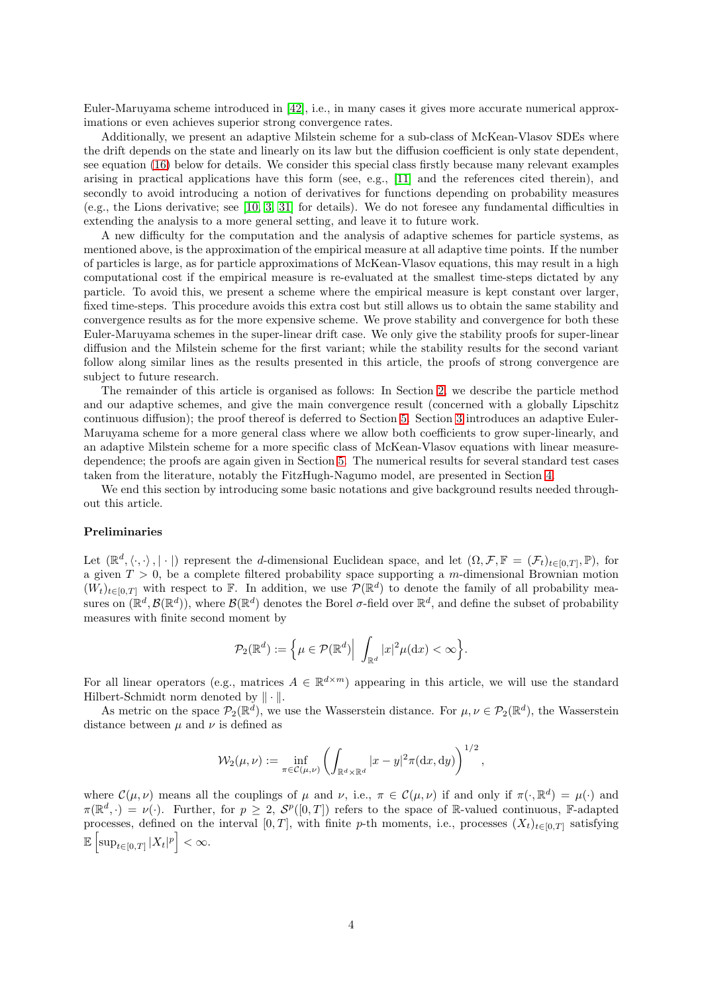Euler-Maruyama scheme introduced in [\[42\]](#page-28-5), i.e., in many cases it gives more accurate numerical approximations or even achieves superior strong convergence rates.

Additionally, we present an adaptive Milstein scheme for a sub-class of McKean-Vlasov SDEs where the drift depends on the state and linearly on its law but the diffusion coefficient is only state dependent, see equation [\(16\)](#page-9-0) below for details. We consider this special class firstly because many relevant examples arising in practical applications have this form (see, e.g., [\[11\]](#page-27-12) and the references cited therein), and secondly to avoid introducing a notion of derivatives for functions depending on probability measures (e.g., the Lions derivative; see [\[10,](#page-27-13) [3,](#page-26-6) [31\]](#page-28-12) for details). We do not foresee any fundamental difficulties in extending the analysis to a more general setting, and leave it to future work.

A new difficulty for the computation and the analysis of adaptive schemes for particle systems, as mentioned above, is the approximation of the empirical measure at all adaptive time points. If the number of particles is large, as for particle approximations of McKean-Vlasov equations, this may result in a high computational cost if the empirical measure is re-evaluated at the smallest time-steps dictated by any particle. To avoid this, we present a scheme where the empirical measure is kept constant over larger, fixed time-steps. This procedure avoids this extra cost but still allows us to obtain the same stability and convergence results as for the more expensive scheme. We prove stability and convergence for both these Euler-Maruyama schemes in the super-linear drift case. We only give the stability proofs for super-linear diffusion and the Milstein scheme for the first variant; while the stability results for the second variant follow along similar lines as the results presented in this article, the proofs of strong convergence are subject to future research.

The remainder of this article is organised as follows: In Section [2,](#page-4-0) we describe the particle method and our adaptive schemes, and give the main convergence result (concerned with a globally Lipschitz continuous diffusion); the proof thereof is deferred to Section [5.](#page-17-0) Section [3](#page-8-3) introduces an adaptive Euler-Maruyama scheme for a more general class where we allow both coefficients to grow super-linearly, and an adaptive Milstein scheme for a more specific class of McKean-Vlasov equations with linear measuredependence; the proofs are again given in Section [5.](#page-17-0) The numerical results for several standard test cases taken from the literature, notably the FitzHugh-Nagumo model, are presented in Section [4.](#page-10-0)

We end this section by introducing some basic notations and give background results needed throughout this article.

#### Preliminaries

Let  $(\mathbb{R}^d, \langle \cdot, \cdot \rangle, |\cdot|)$  represent the d-dimensional Euclidean space, and let  $(\Omega, \mathcal{F}, \mathbb{F} = (\mathcal{F}_t)_{t \in [0,T]}, \mathbb{P})$ , for a given  $T > 0$ , be a complete filtered probability space supporting a m-dimensional Brownian motion  $(W_t)_{t\in[0,T]}$  with respect to F. In addition, we use  $\mathcal{P}(\mathbb{R}^d)$  to denote the family of all probability measures on  $(\mathbb{R}^d, \mathcal{B}(\mathbb{R}^d))$ , where  $\mathcal{B}(\mathbb{R}^d)$  denotes the Borel  $\sigma$ -field over  $\mathbb{R}^d$ , and define the subset of probability measures with finite second moment by

$$
\mathcal{P}_2(\mathbb{R}^d):=\Big\{\mu\in\mathcal{P}(\mathbb{R}^d)\Big|\,\,\int_{\mathbb{R}^d}|x|^2\mu(\text{d} x)<\infty\Big\}.
$$

For all linear operators (e.g., matrices  $A \in \mathbb{R}^{d \times m}$ ) appearing in this article, we will use the standard Hilbert-Schmidt norm denoted by  $\|\cdot\|$ .

As metric on the space  $\mathcal{P}_2(\mathbb{R}^d)$ , we use the Wasserstein distance. For  $\mu, \nu \in \mathcal{P}_2(\mathbb{R}^d)$ , the Wasserstein distance between  $\mu$  and  $\nu$  is defined as

$$
\mathcal{W}_2(\mu,\nu) := \inf_{\pi \in \mathcal{C}(\mu,\nu)} \left( \int_{\mathbb{R}^d \times \mathbb{R}^d} |x-y|^2 \pi(\mathrm{d}x,\mathrm{d}y) \right)^{1/2},
$$

where  $\mathcal{C}(\mu, \nu)$  means all the couplings of  $\mu$  and  $\nu$ , i.e.,  $\pi \in \mathcal{C}(\mu, \nu)$  if and only if  $\pi(\cdot, \mathbb{R}^d) = \mu(\cdot)$  and  $\pi(\mathbb{R}^d, \cdot) = \nu(\cdot)$ . Further, for  $p \geq 2$ ,  $\mathcal{S}^p([0,T])$  refers to the space of R-valued continuous, F-adapted processes, defined on the interval [0, T], with finite p-th moments, i.e., processes  $(X_t)_{t\in[0,T]}$  satisfying  $\mathbb{E}\left[\sup_{t\in[0,T]}|X_t|^p\right]<\infty.$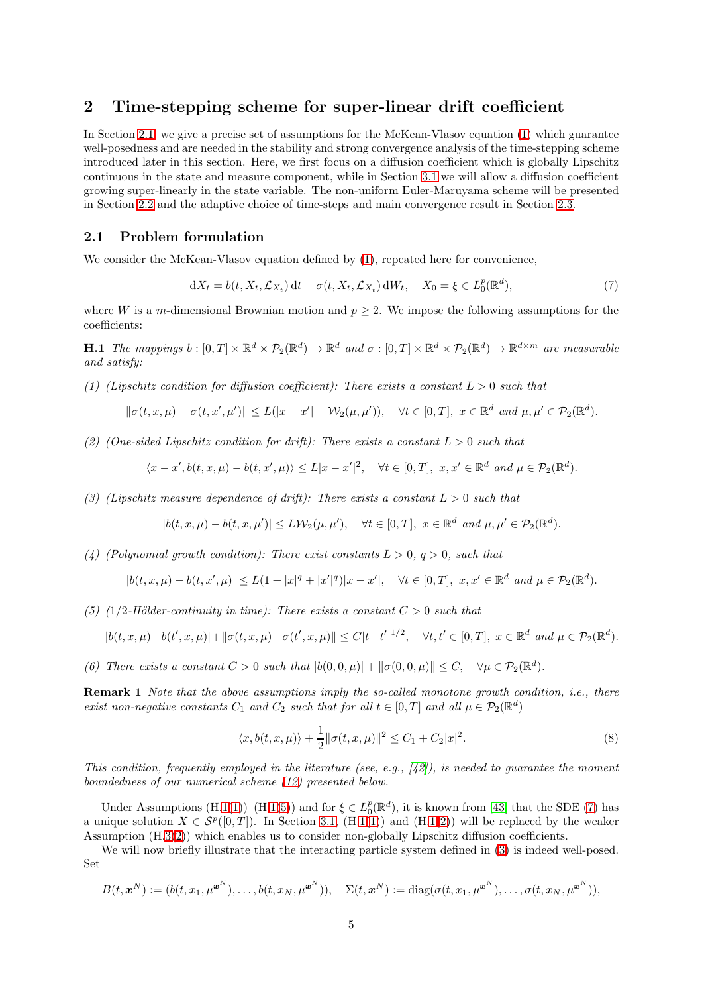## <span id="page-4-0"></span>2 Time-stepping scheme for super-linear drift coefficient

In Section [2.1,](#page-4-1) we give a precise set of assumptions for the McKean-Vlasov equation [\(1\)](#page-0-0) which guarantee well-posedness and are needed in the stability and strong convergence analysis of the time-stepping scheme introduced later in this section. Here, we first focus on a diffusion coefficient which is globally Lipschitz continuous in the state and measure component, while in Section [3.1](#page-8-2) we will allow a diffusion coefficient growing super-linearly in the state variable. The non-uniform Euler-Maruyama scheme will be presented in Section [2.2](#page-5-0) and the adaptive choice of time-steps and main convergence result in Section [2.3.](#page-6-0)

#### <span id="page-4-1"></span>2.1 Problem formulation

We consider the McKean-Vlasov equation defined by  $(1)$ , repeated here for convenience,

<span id="page-4-5"></span>
$$
dX_t = b(t, X_t, \mathcal{L}_{X_t}) dt + \sigma(t, X_t, \mathcal{L}_{X_t}) dW_t, \quad X_0 = \xi \in L_0^p(\mathbb{R}^d),
$$
\n<sup>(7)</sup>

<span id="page-4-2"></span>where W is a m-dimensional Brownian motion and  $p \geq 2$ . We impose the following assumptions for the coefficients:

**H.1** The mappings  $b : [0, T] \times \mathbb{R}^d \times \mathcal{P}_2(\mathbb{R}^d) \to \mathbb{R}^d$  and  $\sigma : [0, T] \times \mathbb{R}^d \times \mathcal{P}_2(\mathbb{R}^d) \to \mathbb{R}^{d \times m}$  are measurable and satisfy:

<span id="page-4-3"></span>(1) (Lipschitz condition for diffusion coefficient): There exists a constant  $L > 0$  such that

$$
\|\sigma(t, x, \mu) - \sigma(t, x', \mu')\| \le L(|x - x'| + \mathcal{W}_2(\mu, \mu')), \quad \forall t \in [0, T], \ x \in \mathbb{R}^d \ and \ \mu, \mu' \in \mathcal{P}_2(\mathbb{R}^d).
$$

<span id="page-4-6"></span>(2) (One-sided Lipschitz condition for drift): There exists a constant  $L > 0$  such that

$$
\langle x - x', b(t, x, \mu) - b(t, x', \mu) \rangle \le L|x - x'|^2, \quad \forall t \in [0, T], \ x, x' \in \mathbb{R}^d \ and \ \mu \in \mathcal{P}_2(\mathbb{R}^d).
$$

<span id="page-4-7"></span>(3) (Lipschitz measure dependence of drift): There exists a constant  $L > 0$  such that

$$
|b(t, x, \mu) - b(t, x, \mu')| \le L \mathcal{W}_2(\mu, \mu'), \quad \forall t \in [0, T], \ x \in \mathbb{R}^d \ and \ \mu, \mu' \in \mathcal{P}_2(\mathbb{R}^d).
$$

<span id="page-4-8"></span>(4) (Polynomial growth condition): There exist constants  $L > 0$ ,  $q > 0$ , such that

$$
|b(t, x, \mu) - b(t, x', \mu)| \le L(1 + |x|^q + |x'|^q)|x - x'|, \quad \forall t \in [0, T], \ x, x' \in \mathbb{R}^d \ and \ \mu \in \mathcal{P}_2(\mathbb{R}^d).
$$

<span id="page-4-4"></span>(5) (1/2-Hölder-continuity in time): There exists a constant  $C > 0$  such that

$$
|b(t, x, \mu) - b(t', x, \mu)| + ||\sigma(t, x, \mu) - \sigma(t', x, \mu)|| \leq C|t - t'|^{1/2}, \quad \forall t, t' \in [0, T], \ x \in \mathbb{R}^d \ and \ \mu \in \mathcal{P}_2(\mathbb{R}^d).
$$

<span id="page-4-9"></span>(6) There exists a constant  $C > 0$  such that  $|b(0,0,\mu)| + ||\sigma(0,0,\mu)|| \leq C$ ,  $\forall \mu \in \mathcal{P}_2(\mathbb{R}^d)$ .

**Remark 1** Note that the above assumptions imply the so-called monotone growth condition, i.e., there exist non-negative constants  $C_1$  and  $C_2$  such that for all  $t \in [0, T]$  and all  $\mu \in \mathcal{P}_2(\mathbb{R}^d)$ 

<span id="page-4-10"></span>
$$
\langle x, b(t, x, \mu) \rangle + \frac{1}{2} ||\sigma(t, x, \mu)||^2 \le C_1 + C_2 |x|^2.
$$
 (8)

This condition, frequently employed in the literature (see, e.g.,  $[42]$ ), is needed to guarantee the moment boundedness of our numerical scheme [\(12\)](#page-6-1) presented below.

Under Assumptions  $(H.1(1))$  $(H.1(1))$  $(H.1(1))$  $(H.1(1))$ – $(H.1(5))$  $(H.1(5))$  $(H.1(5))$  and for  $\xi \in L_0^p(\mathbb{R}^d)$ , it is known from [\[43\]](#page-28-3) that the SDE [\(7\)](#page-4-5) has a unique solution  $X \in \mathcal{S}^p([0,T])$ . In Section [3.1,](#page-8-2)  $(H.1(1))$  $(H.1(1))$  $(H.1(1))$  $(H.1(1))$  and  $(H.1(2))$  $(H.1(2))$  $(H.1(2))$  will be replaced by the weaker Assumption (H[.3](#page-8-0)[\(2\)](#page-8-1)) which enables us to consider non-globally Lipschitz diffusion coefficients.

We will now briefly illustrate that the interacting particle system defined in [\(3\)](#page-1-2) is indeed well-posed. Set

$$
B(t,\boldsymbol{x}^N):=(b(t,x_1,\mu^{\boldsymbol{x}^N}),\ldots,b(t,x_N,\mu^{\boldsymbol{x}^N})),\quad \Sigma(t,\boldsymbol{x}^N):=\mathrm{diag}(\sigma(t,x_1,\mu^{\boldsymbol{x}^N}),\ldots,\sigma(t,x_N,\mu^{\boldsymbol{x}^N})),
$$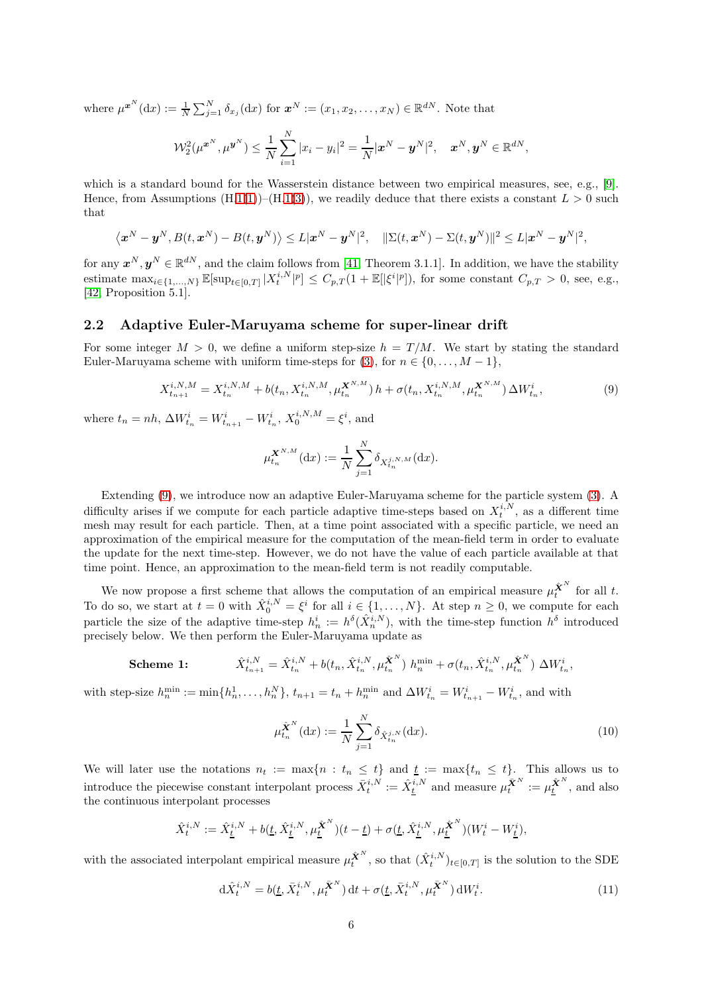where  $\mu^{x^N}(\mathrm{d}x) := \frac{1}{N} \sum_{j=1}^N \delta_{x_j}(\mathrm{d}x)$  for  $x^N := (x_1, x_2, \dots, x_N) \in \mathbb{R}^{dN}$ . Note that

$$
\mathcal{W}_2^2(\mu^{\bm{x}^N}, \mu^{\bm{y}^N}) \leq \frac{1}{N} \sum_{i=1}^N |x_i - y_i|^2 = \frac{1}{N} |\bm{x}^N - \bm{y}^N|^2, \quad \bm{x}^N, \bm{y}^N \in \mathbb{R}^{dN},
$$

which is a standard bound for the Wasserstein distance between two empirical measures, see, e.g., [\[9\]](#page-27-3). Hence, from Assumptions  $(H.1(1))$  $(H.1(1))$  $(H.1(1))$  $(H.1(1))$ – $(H.1(3))$  $(H.1(3))$  $(H.1(3))$  $(H.1(3))$ , we readily deduce that there exists a constant  $L > 0$  such that

$$
\langle \boldsymbol{x}^N-\boldsymbol{y}^N,B(t,\boldsymbol{x}^N)-B(t,\boldsymbol{y}^N)\rangle\leq L|\boldsymbol{x}^N-\boldsymbol{y}^N|^2,\quad \|\Sigma(t,\boldsymbol{x}^N)-\Sigma(t,\boldsymbol{y}^N)\|^2\leq L|\boldsymbol{x}^N-\boldsymbol{y}^N|^2,
$$

for any  $x^N, y^N \in \mathbb{R}^{dN}$ , and the claim follows from [\[41,](#page-28-13) Theorem 3.1.1]. In addition, we have the stability estimate  $\max_{i\in\{1,\ldots,N\}} \mathbb{E}[\sup_{t\in[0,T]} |X_t^{i,N}|^p] \leq C_{p,T}(1+\mathbb{E}[|\xi^i|^p]),$  for some constant  $C_{p,T} > 0$ , see, e.g.,  $[42,$  Proposition  $5.1$ ].

#### <span id="page-5-0"></span>2.2 Adaptive Euler-Maruyama scheme for super-linear drift

For some integer  $M > 0$ , we define a uniform step-size  $h = T/M$ . We start by stating the standard Euler-Maruyama scheme with uniform time-steps for [\(3\)](#page-1-2), for  $n \in \{0, \ldots, M-1\}$ ,

<span id="page-5-1"></span>
$$
X_{t_{n+1}}^{i,N,M} = X_{t_n}^{i,N,M} + b(t_n, X_{t_n}^{i,N,M}, \mu_t^{X^{N,M}}) h + \sigma(t_n, X_{t_n}^{i,N,M}, \mu_t^{X^{N,M}}) \Delta W_{t_n}^i,
$$
\n(9)

where  $t_n = nh$ ,  $\Delta W_{t_n}^i = W_{t_{n+1}}^i - W_{t_n}^i$ ,  $X_0^{i,N,M} = \xi^i$ , and

$$
\mu_{t_n}^{\mathbf{X}^{N,M}}(\mathrm{d}x) := \frac{1}{N} \sum_{j=1}^N \delta_{X_{t_n}^{j,N,M}}(\mathrm{d}x).
$$

Extending [\(9\)](#page-5-1), we introduce now an adaptive Euler-Maruyama scheme for the particle system [\(3\)](#page-1-2). A difficulty arises if we compute for each particle adaptive time-steps based on  $X_t^{i,N}$ , as a different time mesh may result for each particle. Then, at a time point associated with a specific particle, we need an approximation of the empirical measure for the computation of the mean-field term in order to evaluate the update for the next time-step. However, we do not have the value of each particle available at that time point. Hence, an approximation to the mean-field term is not readily computable.

We now propose a first scheme that allows the computation of an empirical measure  $\mu_t^{\hat{\mathbf{X}}^N}$  for all t. To do so, we start at  $t = 0$  with  $\hat{X}_0^{i,N} = \xi^i$  for all  $i \in \{1, \ldots, N\}$ . At step  $n \geq 0$ , we compute for each particle the size of the adaptive time-step  $h_n^i := h^{\delta}(\hat{X}_n^{i,N})$ , with the time-step function  $h^{\delta}$  introduced precisely below. We then perform the Euler-Maruyama update as

**Scheme 1:** 
$$
\hat{X}_{t_{n+1}}^{i,N} = \hat{X}_{t_n}^{i,N} + b(t_n, \hat{X}_{t_n}^{i,N}, \mu_{t_n}^{\hat{\mathbf{X}}^N}) h_n^{\min} + \sigma(t_n, \hat{X}_{t_n}^{i,N}, \mu_{t_n}^{\hat{\mathbf{X}}^N}) \Delta W_{t_n}^i,
$$

with step-size  $h_n^{\min} := \min\{h_n^1, \ldots, h_n^N\}, t_{n+1} = t_n + h_n^{\min}$  and  $\Delta W_{t_n}^i = W_{t_{n+1}}^i - W_{t_n}^i$ , and with

<span id="page-5-3"></span>
$$
\mu_{t_n}^{\hat{\mathbf{X}}^N}(\mathrm{d}x) := \frac{1}{N} \sum_{j=1}^N \delta_{\hat{X}_{t_n}^{j,N}}(\mathrm{d}x). \tag{10}
$$

We will later use the notations  $n_t := \max\{n : t_n \leq t\}$  and  $\underline{t} := \max\{t_n \leq t\}$ . This allows us to introduce the piecewise constant interpolant process  $\bar{X}_t^{i,N} := \hat{X}_t^{i,N}$  and measure  $\mu_t^{\bar{X}^N} := \mu_t^{\hat{X}^N}$ , and also the continuous interpolant processes

$$
\hat{X}_{t}^{i,N} := \hat{X}_{\underline{t}}^{i,N} + b(\underline{t}, \hat{X}_{\underline{t}}^{i,N}, \mu_{\underline{t}}^{\hat{\mathbf{X}}^{N}})(t-\underline{t}) + \sigma(\underline{t}, \hat{X}_{\underline{t}}^{i,N}, \mu_{\underline{t}}^{\hat{\mathbf{X}}^{N}})(W_{t}^{i} - W_{\underline{t}}^{i}),
$$

with the associated interpolant empirical measure  $\mu_t^{\hat{\mathbf{X}}^N}$ , so that  $(\hat{X}_t^{i,N})_{t\in[0,T]}$  is the solution to the SDE

<span id="page-5-2"></span>
$$
\mathrm{d}\hat{X}_t^{i,N} = b(\underline{t}, \bar{X}_t^{i,N}, \mu_t^{\bar{\mathbf{X}}^N}) \,\mathrm{d}t + \sigma(\underline{t}, \bar{X}_t^{i,N}, \mu_t^{\bar{\mathbf{X}}^N}) \,\mathrm{d}W_t^i. \tag{11}
$$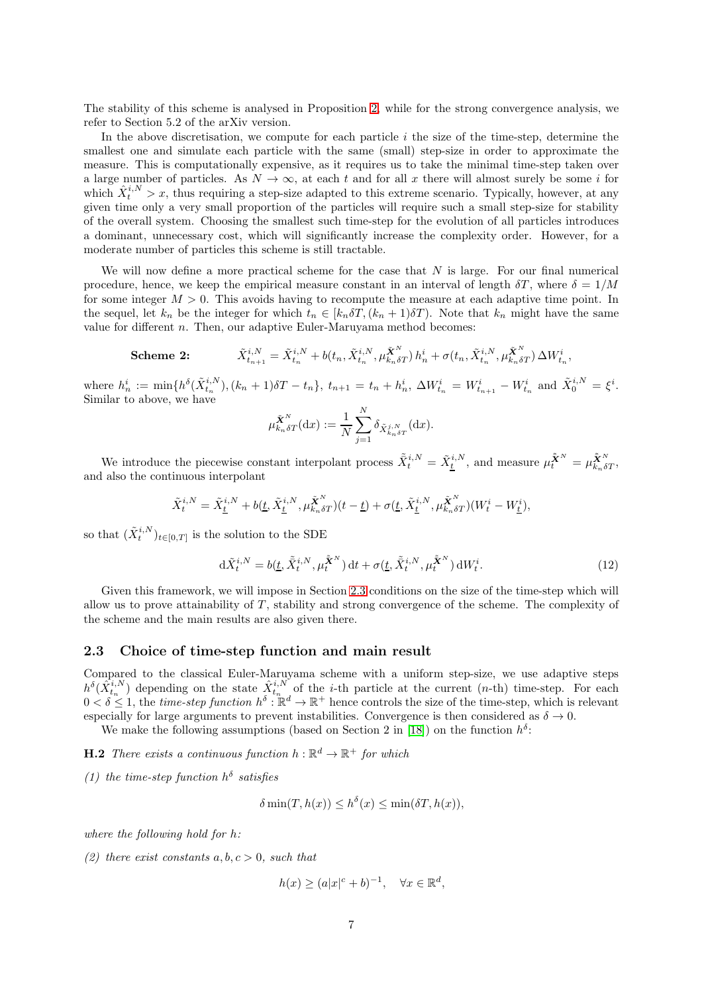The stability of this scheme is analysed in Proposition [2,](#page-17-1) while for the strong convergence analysis, we refer to Section 5.2 of the arXiv version.

In the above discretisation, we compute for each particle  $i$  the size of the time-step, determine the smallest one and simulate each particle with the same (small) step-size in order to approximate the measure. This is computationally expensive, as it requires us to take the minimal time-step taken over a large number of particles. As  $N \to \infty$ , at each t and for all x there will almost surely be some i for which  $\hat{X}^{i,N}_t > x$ , thus requiring a step-size adapted to this extreme scenario. Typically, however, at any given time only a very small proportion of the particles will require such a small step-size for stability of the overall system. Choosing the smallest such time-step for the evolution of all particles introduces a dominant, unnecessary cost, which will significantly increase the complexity order. However, for a moderate number of particles this scheme is still tractable.

We will now define a more practical scheme for the case that  $N$  is large. For our final numerical procedure, hence, we keep the empirical measure constant in an interval of length  $\delta T$ , where  $\delta = 1/M$ for some integer  $M > 0$ . This avoids having to recompute the measure at each adaptive time point. In the sequel, let  $k_n$  be the integer for which  $t_n \in [k_n \delta T, (k_n + 1) \delta T]$ . Note that  $k_n$  might have the same value for different  $n$ . Then, our adaptive Euler-Maruyama method becomes:

**Scheme 2:** 
$$
\tilde{X}_{t_{n+1}}^{i,N} = \tilde{X}_{t_n}^{i,N} + b(t_n, \tilde{X}_{t_n}^{i,N}, \mu_{k_n \delta T}^{\tilde{\mathbf{X}}^N}) h_n^i + \sigma(t_n, \tilde{X}_{t_n}^{i,N}, \mu_{k_n \delta T}^{\tilde{\mathbf{X}}^N}) \Delta W_{t_n}^i
$$

where  $h_n^i := \min\{h^{\delta}(\tilde{X}_{t_n}^{i,N}), (k_n + 1)\delta T - t_n\},\ t_{n+1} = t_n + h_n^i,\ \Delta W_{t_n}^i = W_{t_{n+1}}^i - W_{t_n}^i$  and  $\tilde{X}_0^{i,N} = \xi^i$ . Similar to above, we have

$$
\mu_{k_n \delta T}^{\tilde{\mathbf{X}}^N}(\mathrm{d}x) := \frac{1}{N} \sum_{j=1}^N \delta_{\tilde{X}_{k_n \delta T}^{j,N}}(\mathrm{d}x).
$$

We introduce the piecewise constant interpolant process  $\tilde{X}_{t}^{i,N} = \tilde{X}_{\underline{t}}^{i,N}$ , and measure  $\mu \tilde{\tilde{X}}^{N} = \mu \tilde{\tilde{X}}_{n\delta T}^{N}$ , and also the continuous interpolant

$$
\tilde{X}_t^{i,N} = \tilde{X}_{\underline{t}}^{i,N} + b(\underline{t}, \tilde{X}_{\underline{t}}^{i,N}, \mu_{k_n \delta T}^{\tilde{\mathbf{X}}^N})(t-\underline{t}) + \sigma(\underline{t}, \tilde{X}_{\underline{t}}^{i,N}, \mu_{k_n \delta T}^{\tilde{\mathbf{X}}^N})(W_t^i - W_{\underline{t}}^i),
$$

so that  $(\tilde{X}^{i,N}_t)_{t\in[0,T]}$  is the solution to the SDE

<span id="page-6-1"></span>
$$
\mathrm{d}\tilde{X}^{i,N}_t = b(\underline{t}, \tilde{\tilde{X}}^{i,N}_t, \mu_t^{\tilde{\tilde{X}}^N}) \,\mathrm{d}t + \sigma(\underline{t}, \tilde{\tilde{X}}^{i,N}_t, \mu_t^{\tilde{\tilde{X}}^N}) \,\mathrm{d}W^i_t. \tag{12}
$$

Given this framework, we will impose in Section [2.3](#page-6-0) conditions on the size of the time-step which will allow us to prove attainability of T , stability and strong convergence of the scheme. The complexity of the scheme and the main results are also given there.

#### <span id="page-6-0"></span>2.3 Choice of time-step function and main result

Compared to the classical Euler-Maruyama scheme with a uniform step-size, we use adaptive steps  $h^{\delta}(\hat{X}_{t_n}^{i,N})$  depending on the state  $\hat{X}_{t_n}^{i,N}$  of the *i*-th particle at the current (*n*-th) time-step. For each  $0 < \delta \leq 1$ , the *time-step function*  $h^{\delta} : \mathbb{R}^d \to \mathbb{R}^+$  hence controls the size of the time-step, which is relevant especially for large arguments to prevent instabilities. Convergence is then considered as  $\delta \to 0$ .

We make the following assumptions (based on Section 2 in [\[18\]](#page-27-8)) on the function  $h^{\delta}$ :

<span id="page-6-3"></span>**H.2** There exists a continuous function  $h : \mathbb{R}^d \to \mathbb{R}^+$  for which

(1) the time-step function  $h^{\delta}$  satisfies

<span id="page-6-2"></span>
$$
\delta \min(T, h(x)) \le h^{\delta}(x) \le \min(\delta T, h(x)),
$$

<span id="page-6-4"></span>where the following hold for h:

(2) there exist constants  $a, b, c > 0$ , such that

$$
h(x) \ge (a|x|^c + b)^{-1}, \quad \forall x \in \mathbb{R}^d,
$$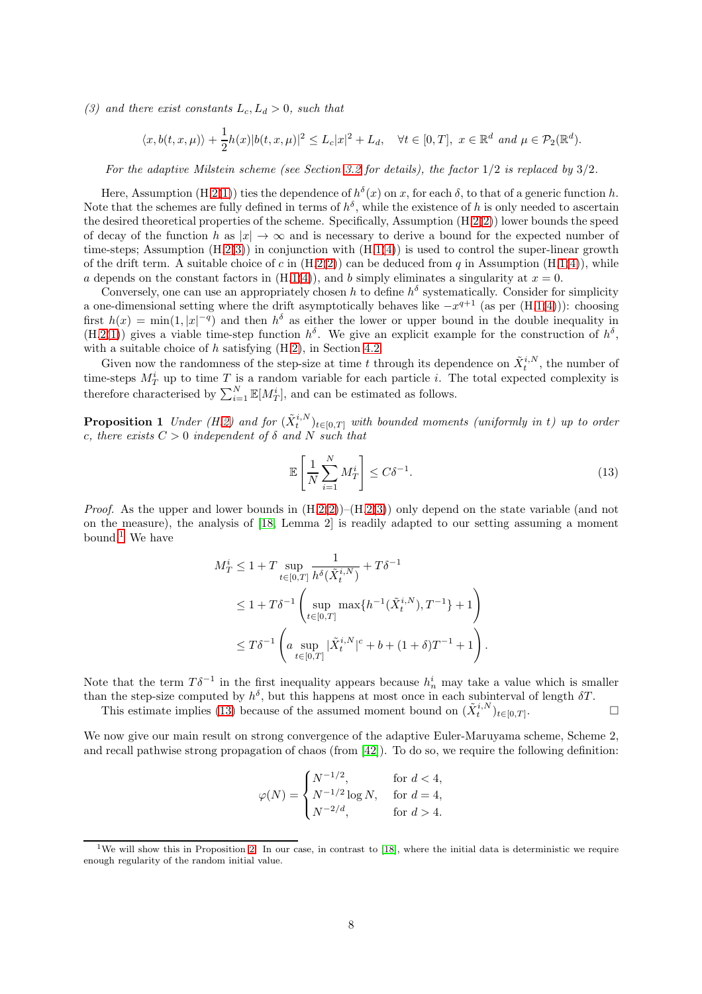<span id="page-7-0"></span>(3) and there exist constants  $L_c$ ,  $L_d > 0$ , such that

$$
\langle x, b(t, x, \mu) \rangle + \frac{1}{2} h(x) |b(t, x, \mu)|^2 \le L_c |x|^2 + L_d, \quad \forall t \in [0, T], \ x \in \mathbb{R}^d \ and \ \mu \in \mathcal{P}_2(\mathbb{R}^d).
$$

For the adaptive Milstein scheme (see Section [3.2](#page-9-1) for details), the factor  $1/2$  is replaced by  $3/2$ .

Here, Assumption (H[.2\(](#page-6-2)[1\)](#page-6-3)) ties the dependence of  $h^{\delta}(x)$  on x, for each  $\delta$ , to that of a generic function h. Note that the schemes are fully defined in terms of  $h^{\delta}$ , while the existence of h is only needed to ascertain the desired theoretical properties of the scheme. Specifically, Assumption (H[.2\(](#page-6-2)[2\)](#page-6-4)) lower bounds the speed of decay of the function h as  $|x| \to \infty$  and is necessary to derive a bound for the expected number of time-steps; Assumption  $(H.2(3))$  $(H.2(3))$  $(H.2(3))$  $(H.2(3))$  in conjunction with  $(H.1(4))$  $(H.1(4))$  $(H.1(4))$  $(H.1(4))$  is used to control the super-linear growth of the drift term. A suitable choice of c in  $(H.2(2))$  $(H.2(2))$  $(H.2(2))$  $(H.2(2))$  can be deduced from q in Assumption  $(H.1(4))$  $(H.1(4))$  $(H.1(4))$  $(H.1(4))$ , while a depends on the constant factors in  $(H.1(4))$  $(H.1(4))$  $(H.1(4))$  $(H.1(4))$ , and b simply eliminates a singularity at  $x = 0$ .

Conversely, one can use an appropriately chosen h to define  $h^{\delta}$  systematically. Consider for simplicity a one-dimensional setting where the drift asymptotically behaves like  $-x^{q+1}$  (as per  $(H.1(4))$  $(H.1(4))$  $(H.1(4))$  $(H.1(4))$ ): choosing first  $h(x) = \min(1, |x|^{-q})$  and then  $h^{\delta}$  as either the lower or upper bound in the double inequality in  $(H.2(1))$  $(H.2(1))$  $(H.2(1))$  $(H.2(1))$  gives a viable time-step function  $h^{\delta}$ . We give an explicit example for the construction of  $h^{\delta}$ , with a suitable choice of  $h$  satisfying  $(H.2)$  $(H.2)$ , in Section [4.2.](#page-13-0)

Given now the randomness of the step-size at time t through its dependence on  $\tilde{X}^{i,N}_t$ , the number of time-steps  $M_T^i$  up to time T is a random variable for each particle i. The total expected complexity is therefore characterised by  $\sum_{i=1}^{N} \mathbb{E}[M_T^i]$ , and can be estimated as follows.

<span id="page-7-3"></span>**Proposition 1** Under (H[.2\)](#page-6-2) and for  $(\tilde{X}^{i,N}_t)_{t\in[0,T]}$  with bounded moments (uniformly in t) up to order c, there exists  $C > 0$  independent of  $\delta$  and  $N$  such that

<span id="page-7-2"></span>
$$
\mathbb{E}\left[\frac{1}{N}\sum_{i=1}^{N}M_{T}^{i}\right]\leq C\delta^{-1}.\tag{13}
$$

*Proof.* As the upper and lower bounds in  $(H.2(2))$  $(H.2(2))$  $(H.2(2))$  $(H.2(2))$ – $(H.2(3))$  $(H.2(3))$  $(H.2(3))$  $(H.2(3))$  only depend on the state variable (and not on the measure), the analysis of [\[18,](#page-27-8) Lemma 2] is readily adapted to our setting assuming a moment bound.<sup>[1](#page-7-1)</sup> We have

$$
M_T^i \le 1 + T \sup_{t \in [0,T]} \frac{1}{h^{\delta}(\tilde{X}_t^{i,N})} + T\delta^{-1}
$$
  
 
$$
\le 1 + T\delta^{-1} \left( \sup_{t \in [0,T]} \max\{h^{-1}(\tilde{X}_t^{i,N}), T^{-1}\} + 1 \right)
$$
  
 
$$
\le T\delta^{-1} \left( a \sup_{t \in [0,T]} |\tilde{X}_t^{i,N}|^c + b + (1+\delta)T^{-1} + 1 \right).
$$

Note that the term  $T\delta^{-1}$  in the first inequality appears because  $h_n^i$  may take a value which is smaller than the step-size computed by  $h^{\delta}$ , but this happens at most once in each subinterval of length  $\delta T$ .

This estimate implies [\(13\)](#page-7-2) because of the assumed moment bound on  $(\tilde{X}^{i,N}_t)_{t\in[0,T]}$ .

We now give our main result on strong convergence of the adaptive Euler-Maruyama scheme, Scheme 2, and recall pathwise strong propagation of chaos (from [\[42\]](#page-28-5)). To do so, we require the following definition:

$$
\varphi(N) = \begin{cases} N^{-1/2}, & \text{for } d < 4, \\ N^{-1/2} \log N, & \text{for } d = 4, \\ N^{-2/d}, & \text{for } d > 4. \end{cases}
$$

<span id="page-7-4"></span><span id="page-7-1"></span><sup>&</sup>lt;sup>1</sup>We will show this in Proposition [2.](#page-17-1) In our case, in contrast to [\[18\]](#page-27-8), where the initial data is deterministic we require enough regularity of the random initial value.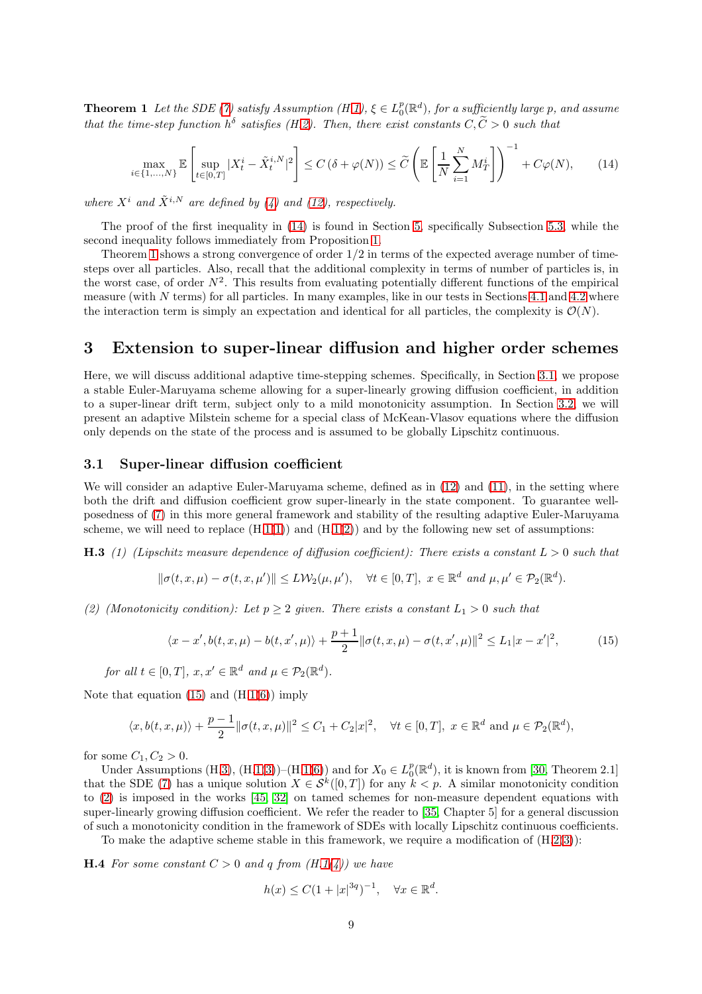**Theorem 1** Let the SDE [\(7\)](#page-4-5) satisfy Assumption  $(H.1)$  $(H.1)$ ,  $\xi \in L_0^p(\mathbb{R}^d)$ , for a sufficiently large p, and assume that the time-step function  $h^{\delta}$  satisfies (H[.2\)](#page-6-4). Then, there exist constants  $C, \tilde{C} > 0$  such that

<span id="page-8-4"></span>
$$
\max_{i \in \{1,\dots,N\}} \mathbb{E}\left[\sup_{t \in [0,T]} |X_t^i - \tilde{X}_t^{i,N}|^2\right] \le C\left(\delta + \varphi(N)\right) \le \widetilde{C}\left(\mathbb{E}\left[\frac{1}{N}\sum_{i=1}^N M_T^i\right]\right)^{-1} + C\varphi(N),\tag{14}
$$

where  $X^i$  and  $\tilde{X}^{i,N}$  are defined by [\(4\)](#page-1-3) and [\(12\)](#page-6-1), respectively.

The proof of the first inequality in [\(14\)](#page-8-4) is found in Section [5,](#page-17-0) specifically Subsection [5.3,](#page-22-0) while the second inequality follows immediately from Proposition [1.](#page-7-3)

Theorem [1](#page-7-4) shows a strong convergence of order  $1/2$  in terms of the expected average number of timesteps over all particles. Also, recall that the additional complexity in terms of number of particles is, in the worst case, of order  $N^2$ . This results from evaluating potentially different functions of the empirical measure (with N terms) for all particles. In many examples, like in our tests in Sections [4.1](#page-11-0) and [4.2](#page-13-0) where the interaction term is simply an expectation and identical for all particles, the complexity is  $\mathcal{O}(N)$ .

## <span id="page-8-3"></span>3 Extension to super-linear diffusion and higher order schemes

Here, we will discuss additional adaptive time-stepping schemes. Specifically, in Section [3.1,](#page-8-2) we propose a stable Euler-Maruyama scheme allowing for a super-linearly growing diffusion coefficient, in addition to a super-linear drift term, subject only to a mild monotonicity assumption. In Section [3.2,](#page-9-1) we will present an adaptive Milstein scheme for a special class of McKean-Vlasov equations where the diffusion only depends on the state of the process and is assumed to be globally Lipschitz continuous.

#### <span id="page-8-2"></span>3.1 Super-linear diffusion coefficient

We will consider an adaptive Euler-Maruyama scheme, defined as in  $(12)$  and  $(11)$ , in the setting where both the drift and diffusion coefficient grow super-linearly in the state component. To guarantee wellposedness of [\(7\)](#page-4-5) in this more general framework and stability of the resulting adaptive Euler-Maruyama scheme, we will need to replace  $(H.1(1))$  $(H.1(1))$  $(H.1(1))$  $(H.1(1))$  and  $(H.1(2))$  $(H.1(2))$  $(H.1(2))$  and by the following new set of assumptions:

**H.3** (1) (Lipschitz measure dependence of diffusion coefficient): There exists a constant  $L > 0$  such that

$$
\|\sigma(t, x, \mu) - \sigma(t, x, \mu')\| \le L \mathcal{W}_2(\mu, \mu'), \quad \forall t \in [0, T], \ x \in \mathbb{R}^d \ and \ \mu, \mu' \in \mathcal{P}_2(\mathbb{R}^d).
$$

<span id="page-8-1"></span>(2) (Monotonicity condition): Let  $p > 2$  given. There exists a constant  $L_1 > 0$  such that

<span id="page-8-5"></span><span id="page-8-0"></span>
$$
\langle x - x', b(t, x, \mu) - b(t, x', \mu) \rangle + \frac{p+1}{2} ||\sigma(t, x, \mu) - \sigma(t, x', \mu)||^2 \le L_1 |x - x'|^2,
$$
 (15)

for all  $t \in [0, T]$ ,  $x, x' \in \mathbb{R}^d$  and  $\mu \in \mathcal{P}_2(\mathbb{R}^d)$ .

Note that equation  $(15)$  and  $(H.1(6))$  $(H.1(6))$  $(H.1(6))$  $(H.1(6))$  imply

$$
\langle x, b(t, x, \mu) \rangle + \frac{p-1}{2} ||\sigma(t, x, \mu)||^2 \le C_1 + C_2 |x|^2, \quad \forall t \in [0, T], \ x \in \mathbb{R}^d \text{ and } \mu \in \mathcal{P}_2(\mathbb{R}^d),
$$

for some  $C_1, C_2 > 0$ .

Under Assumptions (H[.3\)](#page-8-0),  $(H.1(3))$  $(H.1(3))$  $(H.1(3))$  $(H.1(3))$ – $(H.1(6))$  $(H.1(6))$  $(H.1(6))$  $(H.1(6))$  and for  $X_0 \in L_0^p(\mathbb{R}^d)$ , it is known from [\[30,](#page-28-4) Theorem 2.1] that the SDE [\(7\)](#page-4-5) has a unique solution  $X \in \mathcal{S}^k([0,T])$  for any  $k < p$ . A similar monotonicity condition to [\(2\)](#page-8-1) is imposed in the works [\[45,](#page-28-14) [32\]](#page-28-15) on tamed schemes for non-measure dependent equations with super-linearly growing diffusion coefficient. We refer the reader to [\[35,](#page-28-16) Chapter 5] for a general discussion of such a monotonicity condition in the framework of SDEs with locally Lipschitz continuous coefficients.

To make the adaptive scheme stable in this framework, we require a modification of  $(H.2(3))$  $(H.2(3))$  $(H.2(3))$  $(H.2(3))$ :

<span id="page-8-7"></span>**H.4** For some constant  $C > 0$  and q from  $(H.1(4))$  $(H.1(4))$  $(H.1(4))$  $(H.1(4))$  we have

<span id="page-8-6"></span>
$$
h(x) \le C(1+|x|^{3q})^{-1}, \quad \forall x \in \mathbb{R}^d.
$$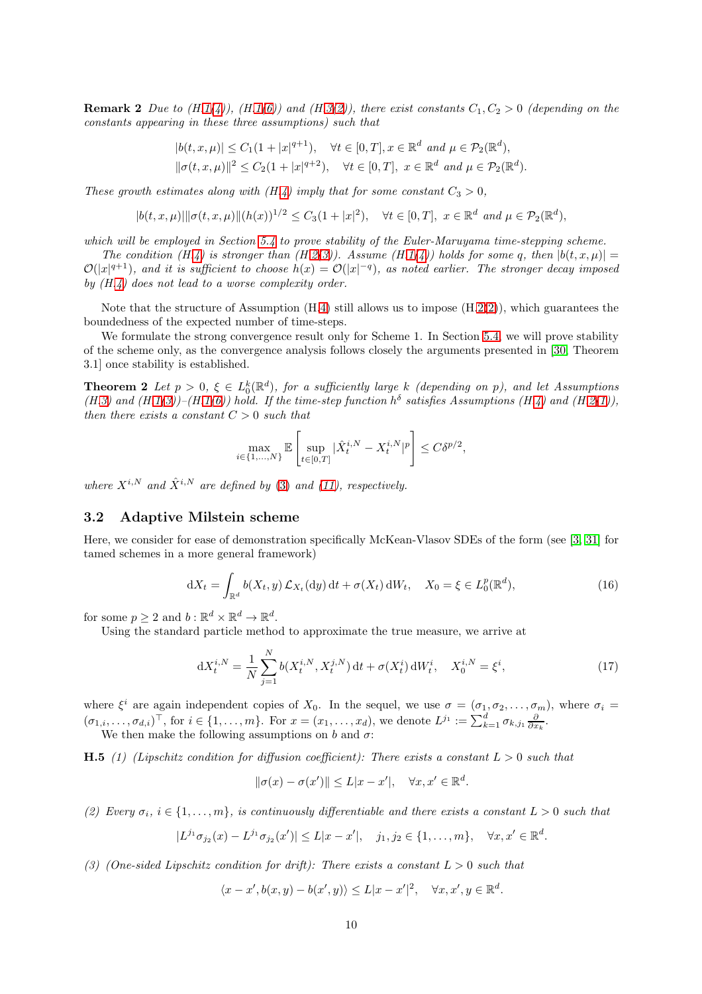**Remark 2** Due to (H[.1\(](#page-4-2)[4\)](#page-4-8)), (H[.1](#page-4-2)[\(6\)](#page-4-9)) and (H[.3](#page-8-0)[\(2\)](#page-8-1)), there exist constants  $C_1, C_2 > 0$  (depending on the constants appearing in these three assumptions) such that

$$
|b(t, x, \mu)| \le C_1 (1 + |x|^{q+1}), \quad \forall t \in [0, T], x \in \mathbb{R}^d \text{ and } \mu \in \mathcal{P}_2(\mathbb{R}^d),
$$
  

$$
||\sigma(t, x, \mu)||^2 \le C_2 (1 + |x|^{q+2}), \quad \forall t \in [0, T], \ x \in \mathbb{R}^d \text{ and } \mu \in \mathcal{P}_2(\mathbb{R}^d).
$$

These growth estimates along with  $(H.4)$  $(H.4)$  imply that for some constant  $C_3 > 0$ ,

$$
|b(t, x, \mu)| \|\sigma(t, x, \mu)\| (h(x))^{1/2} \le C_3(1+|x|^2), \quad \forall t \in [0, T], \ x \in \mathbb{R}^d \ and \ \mu \in \mathcal{P}_2(\mathbb{R}^d),
$$

which will be employed in Section [5.4](#page-24-0) to prove stability of the Euler-Maruyama time-stepping scheme.

The condition (H[.4\)](#page-8-6) is stronger than (H[.2\(](#page-6-2)[3\)](#page-7-0)). Assume (H[.1\(](#page-4-2)[4\)](#page-4-8)) holds for some q, then  $|b(t, x, u)| =$  $\mathcal{O}(|x|^{q+1})$ , and it is sufficient to choose  $h(x) = \mathcal{O}(|x|^{-q})$ , as noted earlier. The stronger decay imposed by  $(H.4)$  $(H.4)$  does not lead to a worse complexity order.

Note that the structure of Assumption  $(H.4)$  $(H.4)$  still allows us to impose  $(H.2(2))$  $(H.2(2))$  $(H.2(2))$  $(H.2(2))$ , which guarantees the boundedness of the expected number of time-steps.

We formulate the strong convergence result only for Scheme 1. In Section [5.4,](#page-24-0) we will prove stability of the scheme only, as the convergence analysis follows closely the arguments presented in [\[30,](#page-28-4) Theorem 3.1] once stability is established.

**Theorem 2** Let  $p > 0$ ,  $\xi \in L_0^k(\mathbb{R}^d)$ , for a sufficiently large k (depending on p), and let Assumptions  $(H.3)$  $(H.3)$  and  $(H.1(3))$  $(H.1(3))$  $(H.1(3))$  $(H.1(3))$ – $(H.1(6))$  $(H.1(6))$  $(H.1(6))$  hold. If the time-step function  $h^{\delta}$  satisfies Assumptions (H[.4\)](#page-8-6) and (H[.2](#page-6-2)[\(1\)](#page-6-3)), then there exists a constant  $C > 0$  such that

$$
\max_{i \in \{1, \dots, N\}} \mathbb{E} \left[ \sup_{t \in [0,T]} |\hat{X}_t^{i,N} - X_t^{i,N}|^p \right] \le C \delta^{p/2},
$$

where  $X^{i,N}$  and  $\hat{X}^{i,N}$  are defined by [\(3\)](#page-1-2) and [\(11\)](#page-5-2), respectively.

#### <span id="page-9-1"></span>3.2 Adaptive Milstein scheme

Here, we consider for ease of demonstration specifically McKean-Vlasov SDEs of the form (see [\[3,](#page-26-6) [31\]](#page-28-12) for tamed schemes in a more general framework)

<span id="page-9-0"></span>
$$
dX_t = \int_{\mathbb{R}^d} b(X_t, y) \mathcal{L}_{X_t}(dy) dt + \sigma(X_t) dW_t, \quad X_0 = \xi \in L_0^p(\mathbb{R}^d),
$$
\n(16)

for some  $p \geq 2$  and  $b : \mathbb{R}^d \times \mathbb{R}^d \to \mathbb{R}^d$ .

Using the standard particle method to approximate the true measure, we arrive at

<span id="page-9-3"></span>
$$
dX_t^{i,N} = \frac{1}{N} \sum_{j=1}^N b(X_t^{i,N}, X_t^{j,N}) dt + \sigma(X_t^i) dW_t^i, \quad X_0^{i,N} = \xi^i,
$$
\n(17)

where  $\xi^i$  are again independent copies of  $X_0$ . In the sequel, we use  $\sigma = (\sigma_1, \sigma_2, \ldots, \sigma_m)$ , where  $\sigma_i =$  $(\sigma_{1,i},\ldots,\sigma_{d,i})^{\top}$ , for  $i \in \{1,\ldots,m\}$ . For  $x=(x_1,\ldots,x_d)$ , we denote  $L^{j_1} := \sum_{k=1}^d \sigma_{k,j_1} \frac{\partial}{\partial x_k}$ . We then make the following assumptions on b and  $\sigma$ :

**H.5** (1) (Lipschitz condition for diffusion coefficient): There exists a constant  $L > 0$  such that

<span id="page-9-2"></span>
$$
\|\sigma(x) - \sigma(x')\| \le L|x - x'|, \quad \forall x, x' \in \mathbb{R}^d.
$$

(2) Every  $\sigma_i$ ,  $i \in \{1, \ldots, m\}$ , is continuously differentiable and there exists a constant  $L > 0$  such that

$$
|L^{j_1}\sigma_{j_2}(x)-L^{j_1}\sigma_{j_2}(x')|\leq L|x-x'|, \quad j_1,j_2\in\{1,\ldots,m\}, \quad \forall x,x'\in\mathbb{R}^d.
$$

(3) (One-sided Lipschitz condition for drift): There exists a constant  $L > 0$  such that

$$
\langle x - x', b(x, y) - b(x', y) \rangle \le L|x - x'|^2, \quad \forall x, x', y \in \mathbb{R}^d.
$$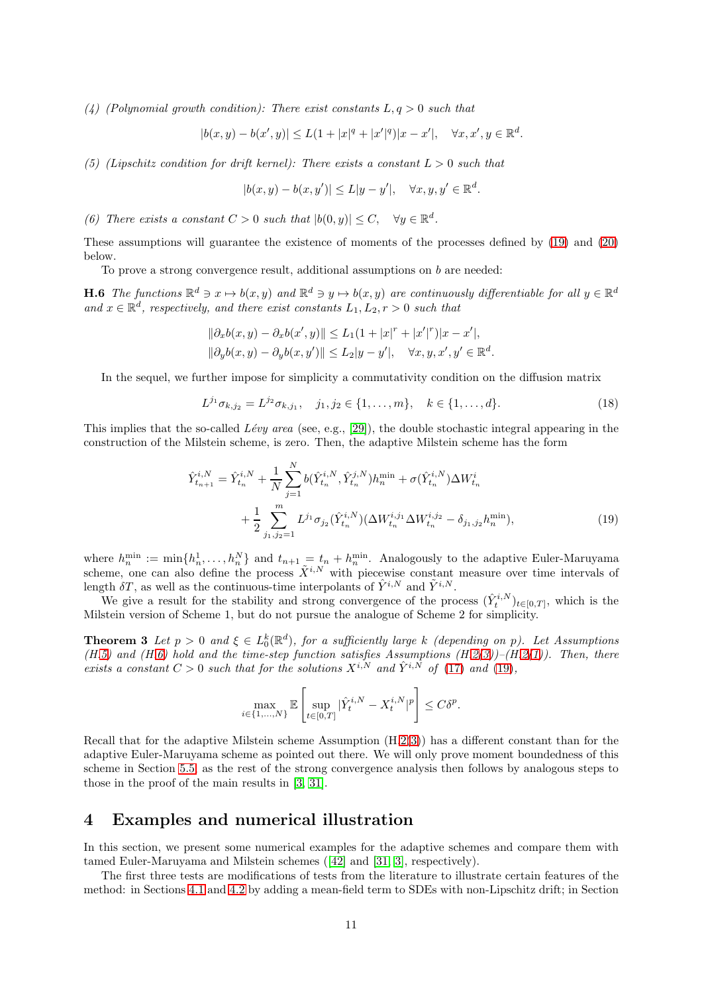(4) (Polynomial growth condition): There exist constants  $L, q > 0$  such that

$$
|b(x,y) - b(x',y)| \le L(1 + |x|^q + |x'|^q)|x - x'|, \quad \forall x, x', y \in \mathbb{R}^d.
$$

(5) (Lipschitz condition for drift kernel): There exists a constant  $L > 0$  such that

<span id="page-10-2"></span>
$$
|b(x,y) - b(x,y')| \le L|y - y'|, \quad \forall x, y, y' \in \mathbb{R}^d.
$$

(6) There exists a constant  $C > 0$  such that  $|b(0, y)| \leq C$ ,  $\forall y \in \mathbb{R}^d$ .

These assumptions will guarantee the existence of moments of the processes defined by [\(19\)](#page-10-1) and [\(20\)](#page-11-1) below.

To prove a strong convergence result, additional assumptions on  $b$  are needed:

**H.6** The functions  $\mathbb{R}^d \ni x \mapsto b(x, y)$  and  $\mathbb{R}^d \ni y \mapsto b(x, y)$  are continuously differentiable for all  $y \in \mathbb{R}^d$ and  $x \in \mathbb{R}^d$ , respectively, and there exist constants  $L_1, L_2, r > 0$  such that

$$
\|\partial_x b(x, y) - \partial_x b(x', y)\| \le L_1 (1 + |x|^r + |x'|^r)|x - x'|,
$$
  

$$
\|\partial_y b(x, y) - \partial_y b(x, y')\| \le L_2 |y - y'|, \quad \forall x, y, x', y' \in \mathbb{R}^d.
$$

In the sequel, we further impose for simplicity a commutativity condition on the diffusion matrix

$$
L^{j_1} \sigma_{k,j_2} = L^{j_2} \sigma_{k,j_1}, \quad j_1, j_2 \in \{1, \dots, m\}, \quad k \in \{1, \dots, d\}.
$$
 (18)

This implies that the so-called Lévy area (see, e.g., [\[29\]](#page-28-6)), the double stochastic integral appearing in the construction of the Milstein scheme, is zero. Then, the adaptive Milstein scheme has the form

$$
\hat{Y}_{t_{n+1}}^{i,N} = \hat{Y}_{t_n}^{i,N} + \frac{1}{N} \sum_{j=1}^N b(\hat{Y}_{t_n}^{i,N}, \hat{Y}_{t_n}^{j,N}) h_n^{\min} + \sigma(\hat{Y}_{t_n}^{i,N}) \Delta W_{t_n}^i + \frac{1}{2} \sum_{j_1,j_2=1}^m L^{j_1} \sigma_{j_2}(\hat{Y}_{t_n}^{i,N}) (\Delta W_{t_n}^{i,j_1} \Delta W_{t_n}^{i,j_2} - \delta_{j_1,j_2} h_n^{\min}),
$$
\n(19)

where  $h_n^{\min} := \min\{h_n^1, \ldots, h_n^N\}$  and  $t_{n+1} = t_n + h_n^{\min}$ . Analogously to the adaptive Euler-Maruyama scheme, one can also define the process  $\tilde{X}^{i,N}$  with piecewise constant measure over time intervals of length  $\delta T$ , as well as the continuous-time interpolants of  $\hat{Y}^{i,N}$  and  $\tilde{Y}^{i,N}$ .

We give a result for the stability and strong convergence of the process  $(\hat{Y}_t^{i,N})_{t\in[0,T]}$ , which is the Milstein version of Scheme 1, but do not pursue the analogue of Scheme 2 for simplicity.

**Theorem 3** Let  $p > 0$  and  $\xi \in L_0^k(\mathbb{R}^d)$ , for a sufficiently large k (depending on p). Let Assumptions  $(H.5)$  $(H.5)$  and  $(H.6)$  $(H.6)$  hold and the time-step function satisfies Assumptions  $(H.2(3))$  $(H.2(3))$  $(H.2(3))$  $(H.2(3))$ – $(H.2(1))$  $(H.2(1))$  $(H.2(1))$ . Then, there exists a constant  $C > 0$  such that for the solutions  $X^{i,N}$  and  $\hat{Y}^{i,N}$  of  $(17)$  and  $(19)$ ,

<span id="page-10-1"></span>
$$
\max_{i\in\{1,...,N\}}\mathbb{E}\left[\sup_{t\in[0,T]}|\hat{Y}^{i,N}_t-X^{i,N}_t|^p\right]\leq C\delta^p.
$$

Recall that for the adaptive Milstein scheme Assumption (H[.2\(](#page-6-2)[3\)](#page-7-0)) has a different constant than for the adaptive Euler-Maruyama scheme as pointed out there. We will only prove moment boundedness of this scheme in Section [5.5,](#page-25-0) as the rest of the strong convergence analysis then follows by analogous steps to those in the proof of the main results in [\[3,](#page-26-6) [31\]](#page-28-12).

## <span id="page-10-0"></span>4 Examples and numerical illustration

In this section, we present some numerical examples for the adaptive schemes and compare them with tamed Euler-Maruyama and Milstein schemes([\[42\]](#page-28-5) and [\[31,](#page-28-12) [3\]](#page-26-6), respectively).

The first three tests are modifications of tests from the literature to illustrate certain features of the method: in Sections [4.1](#page-11-0) and [4.2](#page-13-0) by adding a mean-field term to SDEs with non-Lipschitz drift; in Section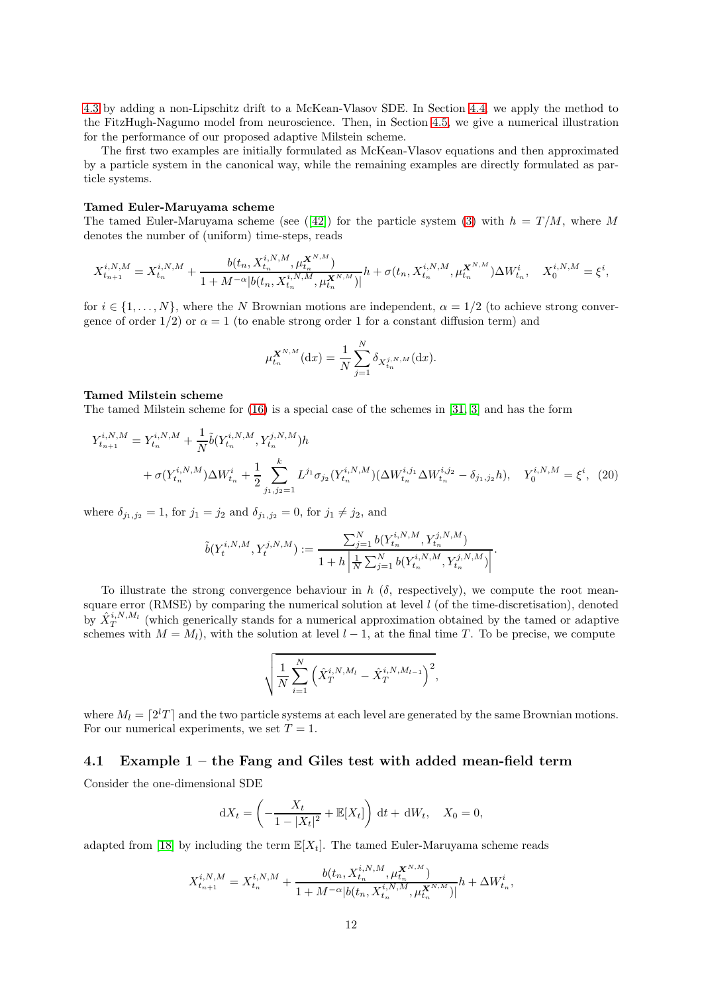[4.3](#page-14-0) by adding a non-Lipschitz drift to a McKean-Vlasov SDE. In Section [4.4,](#page-15-0) we apply the method to the FitzHugh-Nagumo model from neuroscience. Then, in Section [4.5,](#page-16-1) we give a numerical illustration for the performance of our proposed adaptive Milstein scheme.

The first two examples are initially formulated as McKean-Vlasov equations and then approximated by a particle system in the canonical way, while the remaining examples are directly formulated as particle systems.

#### Tamed Euler-Maruyama scheme

Thetamed Euler-Maruyama scheme (see ([\[42\]](#page-28-5)) for the particle system [\(3\)](#page-1-2) with  $h = T/M$ , where M denotes the number of (uniform) time-steps, reads

$$
X_{t_{n+1}}^{i,N,M} = X_{t_n}^{i,N,M} + \frac{b(t_n, X_{t_n}^{i,N,M}, \mu_t^{X^{N,M}})}{1 + M^{-\alpha}|b(t_n, X_{t_n}^{i,N,M}, \mu_t^{X^{N,M}})|}h + \sigma(t_n, X_{t_n}^{i,N,M}, \mu_t^{X^{N,M}}) \Delta W_{t_n}^i, \quad X_0^{i,N,M} = \xi^i,
$$

for  $i \in \{1, \ldots, N\}$ , where the N Brownian motions are independent,  $\alpha = 1/2$  (to achieve strong convergence of order  $1/2$ ) or  $\alpha = 1$  (to enable strong order 1 for a constant diffusion term) and

<span id="page-11-1"></span>
$$
\mu_{t_n}^{\mathbf{X}^{N,M}}(\mathrm{d}x) = \frac{1}{N} \sum_{j=1}^{N} \delta_{X_{t_n}^{j,N,M}}(\mathrm{d}x).
$$

#### Tamed Milstein scheme

The tamed Milstein scheme for [\(16\)](#page-9-0) is a special case of the schemes in [\[31,](#page-28-12) [3\]](#page-26-6) and has the form

$$
Y_{t_{n+1}}^{i,N,M} = Y_{t_n}^{i,N,M} + \frac{1}{N} \tilde{b}(Y_{t_n}^{i,N,M}, Y_{t_n}^{j,N,M}) h
$$
  
+  $\sigma(Y_{t_n}^{i,N,M}) \Delta W_{t_n}^i + \frac{1}{2} \sum_{j_1,j_2=1}^k L^{j_1} \sigma_{j_2}(Y_{t_n}^{i,N,M}) (\Delta W_{t_n}^{i,j_1} \Delta W_{t_n}^{i,j_2} - \delta_{j_1,j_2} h), \quad Y_0^{i,N,M} = \xi^i$ , (20)

where  $\delta_{j_1,j_2} = 1$ , for  $j_1 = j_2$  and  $\delta_{j_1,j_2} = 0$ , for  $j_1 \neq j_2$ , and

$$
\tilde{b}(Y_t^{i,N,M},Y_t^{j,N,M}) := \frac{\sum_{j=1}^N b(Y_{t_n}^{i,N,M},Y_{t_n}^{j,N,M})}{1+h\left|\frac{1}{N}\sum_{j=1}^N b(Y_{t_n}^{i,N,M},Y_{t_n}^{j,N,M})\right|}.
$$

To illustrate the strong convergence behaviour in h  $(\delta)$ , respectively), we compute the root meansquare error (RMSE) by comparing the numerical solution at level  $l$  (of the time-discretisation), denoted by  $\hat{X}_T^{i,N,M_l}$  (which generically stands for a numerical approximation obtained by the tamed or adaptive schemes with  $M = M_l$ , with the solution at level  $l-1$ , at the final time T. To be precise, we compute

$$
\sqrt{\frac{1}{N} \sum_{i=1}^{N} (\hat{X}_{T}^{i,N,M_{l}} - \hat{X}_{T}^{i,N,M_{l-1}})^{2}},
$$

where  $M_l = \lceil 2^l T \rceil$  and the two particle systems at each level are generated by the same Brownian motions. For our numerical experiments, we set  $T = 1$ .

#### <span id="page-11-0"></span>4.1 Example 1 – the Fang and Giles test with added mean-field term

Consider the one-dimensional SDE

$$
dX_t = \left(-\frac{X_t}{1 - |X_t|^2} + \mathbb{E}[X_t]\right) dt + dW_t, \quad X_0 = 0,
$$

adapted from [\[18\]](#page-27-8) by including the term  $\mathbb{E}[X_t]$ . The tamed Euler-Maruyama scheme reads

$$
X_{t_{n+1}}^{i,N,M} = X_{t_n}^{i,N,M} + \frac{b(t_n, X_{t_n}^{i,N,M}, \mu_t^{X^{N,M}})}{1 + M^{-\alpha}|b(t_n, X_{t_n}^{i,N,M}, \mu_t^{X^{N,M}})|}h + \Delta W_{t_n}^i,
$$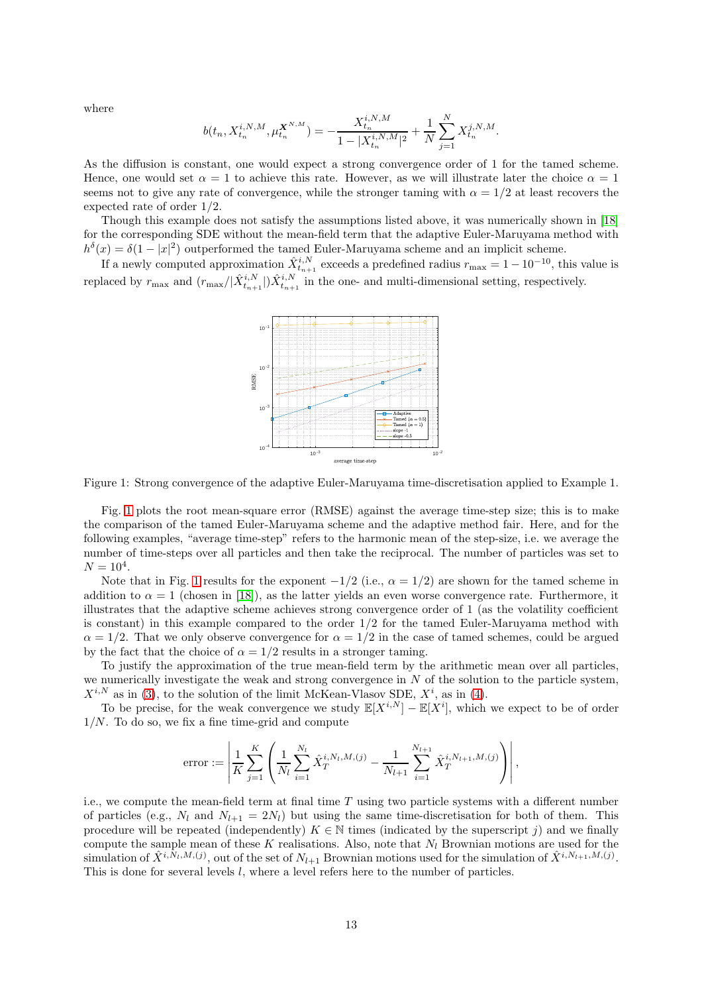where

$$
b(t_n, X_{t_n}^{i,N,M}, \mu_{t_n}^{\mathbf{X}^{N,M}}) = -\frac{X_{t_n}^{i,N,M}}{1 - |X_{t_n}^{i,N,M}|^2} + \frac{1}{N} \sum_{j=1}^N X_{t_n}^{j,N,M}.
$$

As the diffusion is constant, one would expect a strong convergence order of 1 for the tamed scheme. Hence, one would set  $\alpha = 1$  to achieve this rate. However, as we will illustrate later the choice  $\alpha = 1$ seems not to give any rate of convergence, while the stronger taming with  $\alpha = 1/2$  at least recovers the expected rate of order 1/2.

Though this example does not satisfy the assumptions listed above, it was numerically shown in [\[18\]](#page-27-8) for the corresponding SDE without the mean-field term that the adaptive Euler-Maruyama method with  $h^{\delta}(x) = \delta(1-|x|^2)$  outperformed the tamed Euler-Maruyama scheme and an implicit scheme.

<span id="page-12-0"></span>If a newly computed approximation  $\hat{X}_{t_{n+1}}^{i,N}$  exceeds a predefined radius  $r_{\text{max}} = 1 - 10^{-10}$ , this value is replaced by  $r_{\text{max}}$  and  $(r_{\text{max}}/|\hat{X}_{t_{n+1}}^{i,N}|)\hat{X}_{t_{n+1}}^{i,N}$  in the one- and multi-dimensional setting, respectively.



Figure 1: Strong convergence of the adaptive Euler-Maruyama time-discretisation applied to Example 1.

Fig. [1](#page-12-0) plots the root mean-square error (RMSE) against the average time-step size; this is to make the comparison of the tamed Euler-Maruyama scheme and the adaptive method fair. Here, and for the following examples, "average time-step" refers to the harmonic mean of the step-size, i.e. we average the number of time-steps over all particles and then take the reciprocal. The number of particles was set to  $N = 10^4$ .

Note that in Fig. [1](#page-12-0) results for the exponent  $-1/2$  (i.e.,  $\alpha = 1/2$ ) are shown for the tamed scheme in addition to  $\alpha = 1$  (chosen in [\[18\]](#page-27-8)), as the latter yields an even worse convergence rate. Furthermore, it illustrates that the adaptive scheme achieves strong convergence order of 1 (as the volatility coefficient is constant) in this example compared to the order  $1/2$  for the tamed Euler-Maruyama method with  $\alpha = 1/2$ . That we only observe convergence for  $\alpha = 1/2$  in the case of tamed schemes, could be argued by the fact that the choice of  $\alpha = 1/2$  results in a stronger taming.

To justify the approximation of the true mean-field term by the arithmetic mean over all particles, we numerically investigate the weak and strong convergence in  $N$  of the solution to the particle system,  $X^{i,N}$  as in [\(3\)](#page-1-2), to the solution of the limit McKean-Vlasov SDE,  $X^i$ , as in [\(4\)](#page-1-3).

To be precise, for the weak convergence we study  $\mathbb{E}[X^{i,N}] - \mathbb{E}[X^i]$ , which we expect to be of order  $1/N$ . To do so, we fix a fine time-grid and compute

error := 
$$
\left| \frac{1}{K} \sum_{j=1}^{K} \left( \frac{1}{N_l} \sum_{i=1}^{N_l} \hat{X}_T^{i, N_l, M, (j)} - \frac{1}{N_{l+1}} \sum_{i=1}^{N_{l+1}} \hat{X}_T^{i, N_{l+1}, M, (j)} \right) \right|
$$
,

i.e., we compute the mean-field term at final time  $T$  using two particle systems with a different number of particles (e.g.,  $N_l$  and  $N_{l+1} = 2N_l$ ) but using the same time-discretisation for both of them. This procedure will be repeated (independently)  $K \in \mathbb{N}$  times (indicated by the superscript j) and we finally compute the sample mean of these K realisations. Also, note that  $N_l$  Brownian motions are used for the simulation of  $\hat{X}^{i,\bar{N}_l,M,(j)}$ , out of the set of  $N_{l+1}$  Brownian motions used for the simulation of  $\hat{X}^{i,N_{l+1},M,(j)}$ . This is done for several levels l, where a level refers here to the number of particles.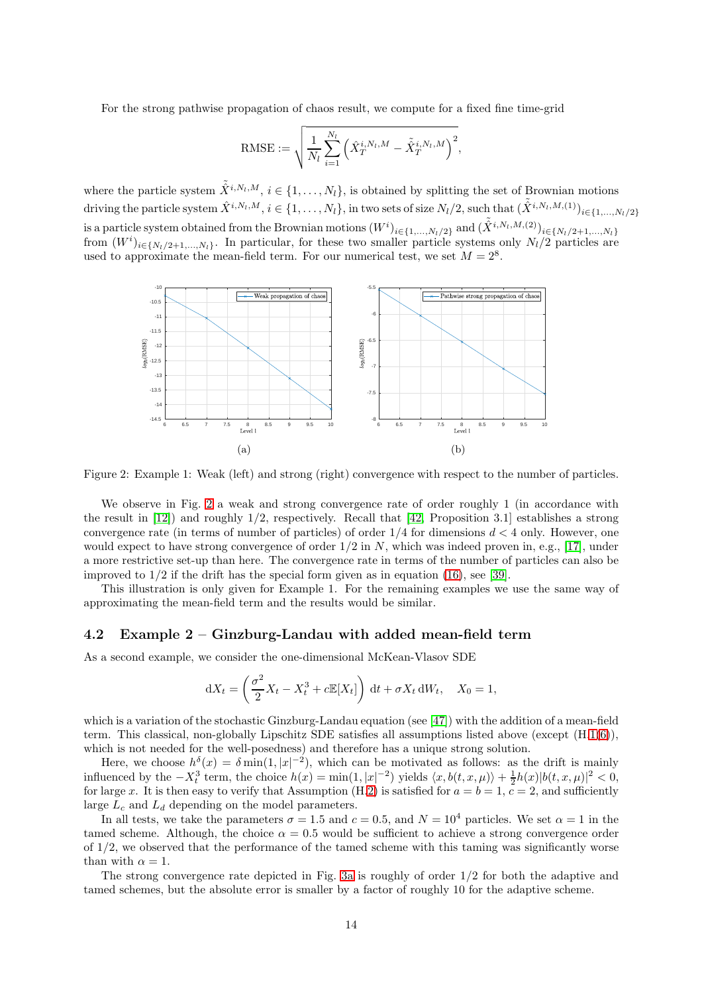For the strong pathwise propagation of chaos result, we compute for a fixed fine time-grid

$$
\text{RMSE} := \sqrt{\frac{1}{N_l}\sum_{i=1}^{N_l}\Big(\hat{X}_T^{i,N_l,M} - \tilde{\hat{X}}_T^{i,N_l,M}\Big)^2},
$$

where the particle system  $\tilde{X}^{i,N_l,M}, i \in \{1,\ldots,N_l\}$ , is obtained by splitting the set of Brownian motions driving the particle system  $\hat{X}^{i,N_l,M}$ ,  $i \in \{1,\ldots,N_l\}$ , in two sets of size  $N_l/2$ , such that  $(\tilde{\hat{X}}^{i,N_l,M,(1)})_{i \in \{1,\ldots,N_l/2\}}$ is a particle system obtained from the Brownian motions  $(W^i)_{i \in \{1,...,N_l/2\}}$  and  $(\tilde{\hat{X}}^{i,N_l,M,(2)})_{i \in \{N_l/2+1,...,N_l\}}$ from  $(W^i)_{i \in \{N_l/2+1,\ldots,N_l\}}$ . In particular, for these two smaller particle systems only  $N_l/2$  particles are used to approximate the mean-field term. For our numerical test, we set  $M = 2^8$ .

<span id="page-13-1"></span>

Figure 2: Example 1: Weak (left) and strong (right) convergence with respect to the number of particles.

We observe in Fig. [2](#page-13-1) a weak and strong convergence rate of order roughly 1 (in accordance with the result in [\[12\]](#page-27-14)) and roughly 1/2, respectively. Recall that [\[42,](#page-28-5) Proposition 3.1] establishes a strong convergence rate (in terms of number of particles) of order  $1/4$  for dimensions  $d < 4$  only. However, one would expect to have strong convergence of order  $1/2$  in N, which was indeed proven in, e.g., [\[17\]](#page-27-4), under a more restrictive set-up than here. The convergence rate in terms of the number of particles can also be improved to 1/2 if the drift has the special form given as in equation [\(16\)](#page-9-0), see [\[39\]](#page-28-17).

This illustration is only given for Example 1. For the remaining examples we use the same way of approximating the mean-field term and the results would be similar.

#### <span id="page-13-0"></span>4.2 Example 2 – Ginzburg-Landau with added mean-field term

As a second example, we consider the one-dimensional McKean-Vlasov SDE

$$
dX_t = \left(\frac{\sigma^2}{2}X_t - X_t^3 + c\mathbb{E}[X_t]\right) dt + \sigma X_t dW_t, \quad X_0 = 1,
$$

which is a variation of the stochastic Ginzburg-Landau equation (see [\[47\]](#page-28-18)) with the addition of a mean-field term. This classical, non-globally Lipschitz SDE satisfies all assumptions listed above (except (H[.1](#page-4-2)[\(6\)](#page-4-9)), which is not needed for the well-posedness) and therefore has a unique strong solution.

Here, we choose  $h^{\delta}(x) = \delta \min(1, |x|^{-2})$ , which can be motivated as follows: as the drift is mainly influenced by the  $-X_t^3$  term, the choice  $h(x) = \min(1, |x|^{-2})$  yields  $\langle x, b(t, x, \mu) \rangle + \frac{1}{2}h(x)|b(t, x, \mu)|^2 < 0$ , for large x. It is then easy to verify that Assumption (H[.2\)](#page-6-2) is satisfied for  $a = b = 1$ ,  $c = 2$ , and sufficiently large  $L_c$  and  $L_d$  depending on the model parameters.

In all tests, we take the parameters  $\sigma = 1.5$  and  $c = 0.5$ , and  $N = 10^4$  particles. We set  $\alpha = 1$  in the tamed scheme. Although, the choice  $\alpha = 0.5$  would be sufficient to achieve a strong convergence order of 1/2, we observed that the performance of the tamed scheme with this taming was significantly worse than with  $\alpha = 1$ .

The strong convergence rate depicted in Fig. [3a](#page-14-1) is roughly of order 1/2 for both the adaptive and tamed schemes, but the absolute error is smaller by a factor of roughly 10 for the adaptive scheme.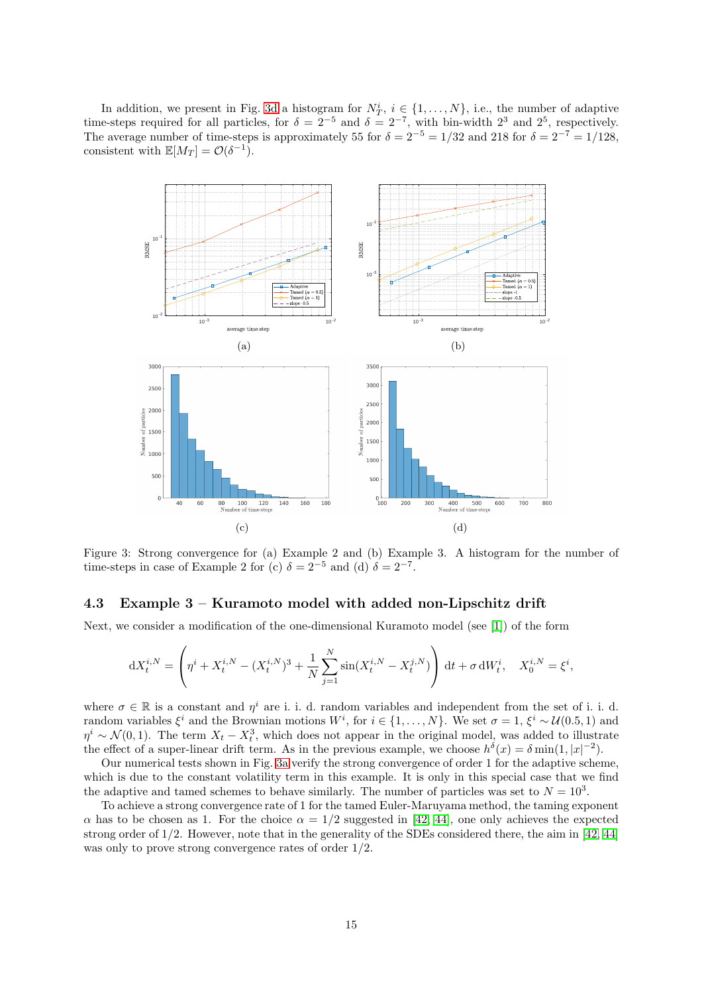In addition, we present in Fig. [3d](#page-14-1) a histogram for  $N_T^i$ ,  $i \in \{1, ..., N\}$ , i.e., the number of adaptive time-steps required for all particles, for  $\delta = 2^{-5}$  and  $\delta = 2^{-7}$ , with bin-width  $2^3$  and  $2^5$ , respectively. The average number of time-steps is approximately 55 for  $\delta = 2^{-5} = 1/32$  and 218 for  $\delta = 2^{-7} = 1/128$ , consistent with  $\mathbb{E}[M_T] = \mathcal{O}(\delta^{-1}).$ 

<span id="page-14-1"></span>

Figure 3: Strong convergence for (a) Example 2 and (b) Example 3. A histogram for the number of time-steps in case of Example 2 for (c)  $\delta = 2^{-5}$  and (d)  $\delta = 2^{-7}$ .

## <span id="page-14-0"></span>4.3 Example 3 – Kuramoto model with added non-Lipschitz drift

Next, we consider a modification of the one-dimensional Kuramoto model (see [\[1\]](#page-26-7)) of the form

$$
dX_t^{i,N} = \left(\eta^i + X_t^{i,N} - (X_t^{i,N})^3 + \frac{1}{N} \sum_{j=1}^N \sin(X_t^{i,N} - X_t^{j,N})\right) dt + \sigma dW_t^i, \quad X_0^{i,N} = \xi^i,
$$

where  $\sigma \in \mathbb{R}$  is a constant and  $\eta^i$  are i. i. d. random variables and independent from the set of i. i. d. random variables  $\xi^i$  and the Brownian motions  $W^i$ , for  $i \in \{1, ..., N\}$ . We set  $\sigma = 1$ ,  $\xi^i \sim \mathcal{U}(0.5, 1)$  and  $\eta^i \sim \mathcal{N}(0, 1)$ . The term  $X_t - X_t^3$ , which does not appear in the original model, was added to illustrate the effect of a super-linear drift term. As in the previous example, we choose  $h^{\delta}(x) = \delta \min(1, |x|^{-2})$ .

Our numerical tests shown in Fig. [3a](#page-14-1) verify the strong convergence of order 1 for the adaptive scheme, which is due to the constant volatility term in this example. It is only in this special case that we find the adaptive and tamed schemes to behave similarly. The number of particles was set to  $N = 10<sup>3</sup>$ .

To achieve a strong convergence rate of 1 for the tamed Euler-Maruyama method, the taming exponent  $\alpha$  has to be chosen as 1. For the choice  $\alpha = 1/2$  suggested in [\[42,](#page-28-5) [44\]](#page-28-7), one only achieves the expected strong order of 1/2. However, note that in the generality of the SDEs considered there, the aim in [\[42,](#page-28-5) [44\]](#page-28-7) was only to prove strong convergence rates of order  $1/2$ .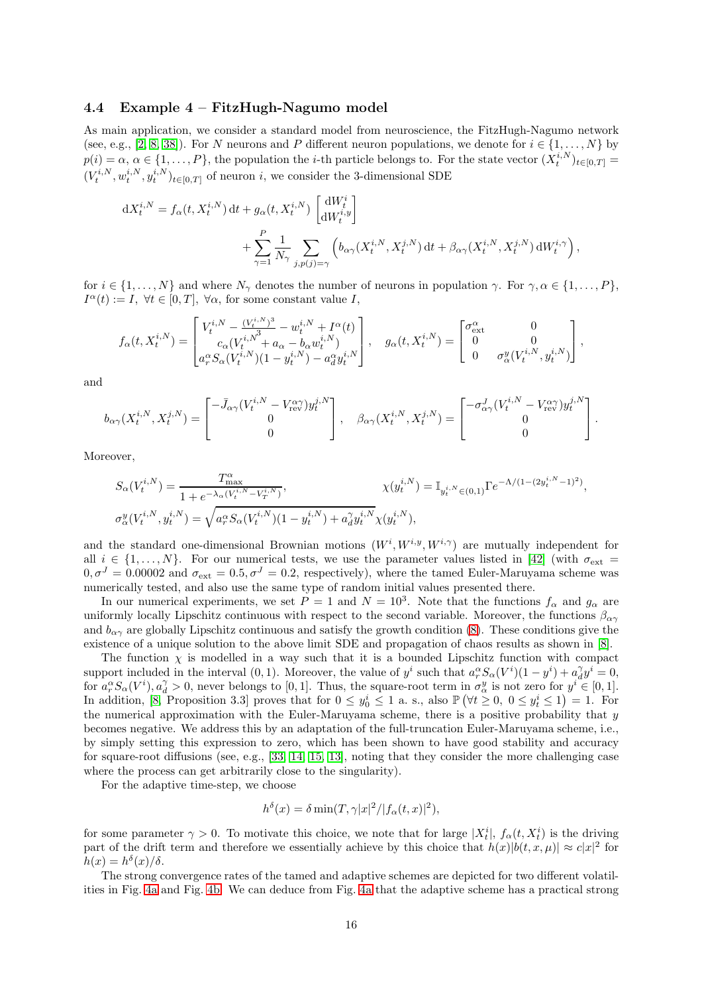#### <span id="page-15-0"></span>4.4 Example 4 – FitzHugh-Nagumo model

As main application, we consider a standard model from neuroscience, the FitzHugh-Nagumo network (see, e.g., [\[2,](#page-26-1) [8,](#page-26-2) [38\]](#page-28-19)). For N neurons and P different neuron populations, we denote for  $i \in \{1, ..., N\}$  by  $p(i) = \alpha, \alpha \in \{1, \ldots, P\}$ , the population the *i*-th particle belongs to. For the state vector  $(X_t^{i,N})_{t \in [0,T]}$  $(V_t^{i,N}, w_t^{i,N}, y_t^{i,N})_{t \in [0,T]}$  of neuron i, we consider the 3-dimensional SDE

$$
dX_t^{i,N} = f_\alpha(t, X_t^{i,N}) dt + g_\alpha(t, X_t^{i,N}) \begin{bmatrix} dW_t^i \\ dW_t^{i,y} \end{bmatrix}
$$
  
+ 
$$
\sum_{\gamma=1}^P \frac{1}{N_\gamma} \sum_{j,p(j)=\gamma} \left( b_{\alpha\gamma}(X_t^{i,N}, X_t^{j,N}) dt + \beta_{\alpha\gamma}(X_t^{i,N}, X_t^{j,N}) dW_t^{i,\gamma} \right),
$$

for  $i \in \{1, ..., N\}$  and where  $N_{\gamma}$  denotes the number of neurons in population  $\gamma$ . For  $\gamma, \alpha \in \{1, ..., P\}$ ,  $I^{\alpha}(t) := I, \ \forall t \in [0, T], \ \forall \alpha$ , for some constant value I,

$$
f_\alpha(t,X^{i,N}_t)=\begin{bmatrix} V^{i,N}_t-\frac{(V^{i,N}_t)^3}{\alpha^2} -w^{i,N}_t+I^\alpha(t)\\ c_\alpha(V^{i,N}_t+a_\alpha-b_\alpha w^{i,N}_t)\\ a^\alpha_r S_\alpha(V^{i,N}_t)(1-y^{i,N}_t)-a^\alpha_d y^{i,N}_t \end{bmatrix},\quad g_\alpha(t,X^{i,N}_t)=\begin{bmatrix} \sigma^\alpha_\mathrm{ext}&0\\ 0&0\\ 0&\sigma^y_\alpha(V^{i,N}_t,y^{i,N}_t) \end{bmatrix},
$$

and

$$
b_{\alpha\gamma}(X_t^{i,N}, X_t^{j,N}) = \begin{bmatrix} -\bar{J}_{\alpha\gamma}(V_t^{i,N} - V_{\text{rev}}^{\alpha\gamma})y_t^{j,N} \\ 0 \\ 0 \end{bmatrix}, \quad \beta_{\alpha\gamma}(X_t^{i,N}, X_t^{j,N}) = \begin{bmatrix} -\sigma_{\alpha\gamma}^J (V_t^{i,N} - V_{\text{rev}}^{\alpha\gamma})y_t^{j,N} \\ 0 \\ 0 \end{bmatrix}.
$$

Moreover,

$$
\begin{split} S_{\alpha}(V^{i,N}_t) &= \frac{T^{\alpha}_{\max}}{1+e^{-\lambda_{\alpha}(V^{i,N}_t-V^{i,N}_T)}}, \qquad & \chi(y^{i,N}_t) = \mathbb{I}_{y^{i,N}_t \in (0,1)} \Gamma e^{-\Lambda/(1-(2y^{i,N}_t-1)^2)}, \\ \sigma^y_{\alpha}(V^{i,N}_t,y^{i,N}_t) &= \sqrt{a^\alpha_r S_\alpha(V^{i,N}_t) (1-y^{i,N}_t) + a^\gamma_d y^{i,N}_t} \chi(y^{i,N}_t), \end{split}
$$

and the standard one-dimensional Brownian motions  $(W^i, W^{i,y}, W^{i,\gamma})$  are mutually independent for all  $i \in \{1, \ldots, N\}$ . For our numerical tests, we use the parameter values listed in [\[42\]](#page-28-5) (with  $\sigma_{\text{ext}} =$  $0, \sigma^J = 0.00002$  and  $\sigma_{\text{ext}} = 0.5, \sigma^J = 0.2$ , respectively), where the tamed Euler-Maruyama scheme was numerically tested, and also use the same type of random initial values presented there.

In our numerical experiments, we set  $P = 1$  and  $N = 10<sup>3</sup>$ . Note that the functions  $f_{\alpha}$  and  $g_{\alpha}$  are uniformly locally Lipschitz continuous with respect to the second variable. Moreover, the functions  $\beta_{\alpha\gamma}$ and  $b_{\alpha\gamma}$  are globally Lipschitz continuous and satisfy the growth condition [\(8\)](#page-4-10). These conditions give the existence of a unique solution to the above limit SDE and propagation of chaos results as shown in [\[8\]](#page-26-2).

The function  $\chi$  is modelled in a way such that it is a bounded Lipschitz function with compact support included in the interval  $(0, 1)$ . Moreover, the value of  $y^i$  such that  $a_r^{\alpha} S_{\alpha}(V^i)(1 - y^i) + a_d^{\gamma} y^i = 0$ , for  $a_r^{\alpha} S_{\alpha}(V^i)$ ,  $a_d^{\gamma} > 0$ , never belongs to [0, 1]. Thus, the square-root term in  $\sigma_{\alpha}^y$  is not zero for  $y^i \in [0,1]$ . In addition, [\[8,](#page-26-2) Proposition 3.3] proves that for  $0 \le y_0^i \le 1$  a.s., also  $\mathbb{P}(\forall t \ge 0, 0 \le y_t^i \le 1) = 1$ . For the numerical approximation with the Euler-Maruyama scheme, there is a positive probability that  $y$ becomes negative. We address this by an adaptation of the full-truncation Euler-Maruyama scheme, i.e., by simply setting this expression to zero, which has been shown to have good stability and accuracy for square-root diffusions (see, e.g., [\[33,](#page-28-20) [14,](#page-27-15) [15,](#page-27-16) [13\]](#page-27-17), noting that they consider the more challenging case where the process can get arbitrarily close to the singularity).

For the adaptive time-step, we choose

$$
h^{\delta}(x) = \delta \min(T, \gamma |x|^2 / |f_{\alpha}(t, x)|^2),
$$

for some parameter  $\gamma > 0$ . To motivate this choice, we note that for large  $|X_t^i|$ ,  $f_\alpha(t, X_t^i)$  is the driving part of the drift term and therefore we essentially achieve by this choice that  $h(x)|b(t, x, \mu)| \approx c|x|^2$  for  $h(x) = h^{\delta}(x)/\delta.$ 

The strong convergence rates of the tamed and adaptive schemes are depicted for two different volatilities in Fig. [4a](#page-16-2) and Fig. [4b.](#page-16-2) We can deduce from Fig. [4a](#page-16-2) that the adaptive scheme has a practical strong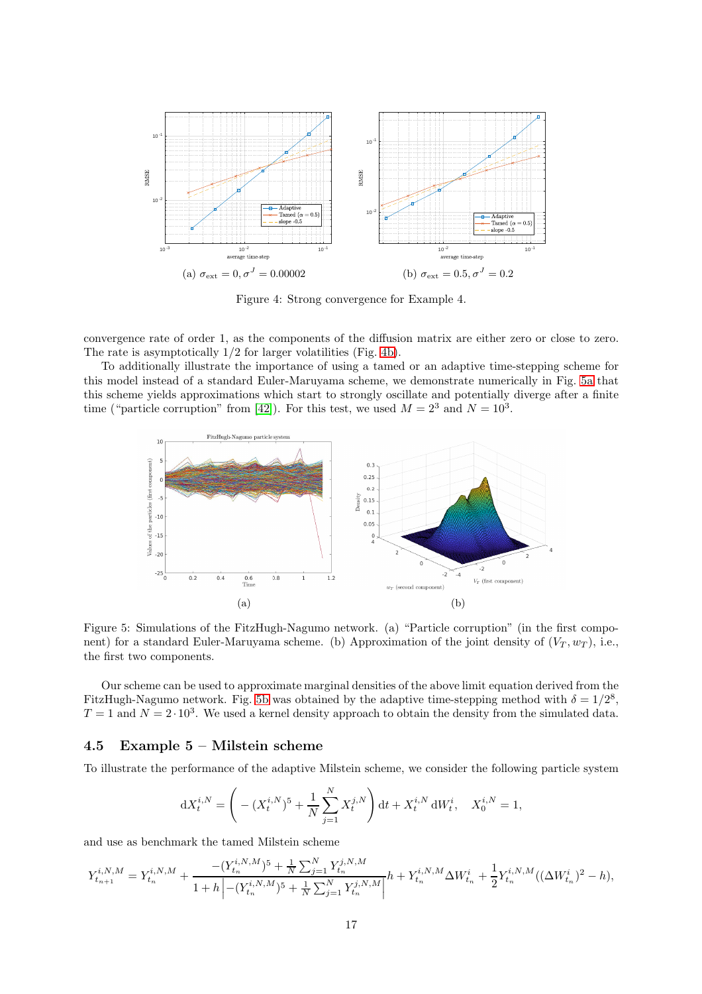<span id="page-16-2"></span>

Figure 4: Strong convergence for Example 4.

convergence rate of order 1, as the components of the diffusion matrix are either zero or close to zero. The rate is asymptotically 1/2 for larger volatilities (Fig. [4b\)](#page-16-2).

To additionally illustrate the importance of using a tamed or an adaptive time-stepping scheme for this model instead of a standard Euler-Maruyama scheme, we demonstrate numerically in Fig. [5a](#page-16-0) that this scheme yields approximations which start to strongly oscillate and potentially diverge after a finite time ("particle corruption" from [\[42\]](#page-28-5)). For this test, we used  $M = 2<sup>3</sup>$  and  $N = 10<sup>3</sup>$ .

<span id="page-16-0"></span>

Figure 5: Simulations of the FitzHugh-Nagumo network. (a) "Particle corruption" (in the first component) for a standard Euler-Maruyama scheme. (b) Approximation of the joint density of  $(V_T, w_T)$ , i.e., the first two components.

Our scheme can be used to approximate marginal densities of the above limit equation derived from the FitzHugh-Nagumo network. Fig. [5b](#page-16-0) was obtained by the adaptive time-stepping method with  $\delta = 1/2^8$ ,  $T = 1$  and  $N = 2 \cdot 10^3$ . We used a kernel density approach to obtain the density from the simulated data.

### <span id="page-16-1"></span>4.5 Example 5 – Milstein scheme

To illustrate the performance of the adaptive Milstein scheme, we consider the following particle system

$$
dX_t^{i,N} = \left( - (X_t^{i,N})^5 + \frac{1}{N} \sum_{j=1}^N X_t^{j,N} \right) dt + X_t^{i,N} dW_t^i, \quad X_0^{i,N} = 1,
$$

and use as benchmark the tamed Milstein scheme

$$
Y_{t_{n+1}}^{i,N,M} = Y_{t_n}^{i,N,M} + \frac{-(Y_{t_n}^{i,N,M})^5 + \frac{1}{N} \sum_{j=1}^N Y_{t_n}^{j,N,M}}{1+h \left| -(Y_{t_n}^{i,N,M})^5 + \frac{1}{N} \sum_{j=1}^N Y_{t_n}^{j,N,M} \right|} h + Y_{t_n}^{i,N,M} \Delta W_{t_n}^i + \frac{1}{2} Y_{t_n}^{i,N,M} ((\Delta W_{t_n}^i)^2 - h),
$$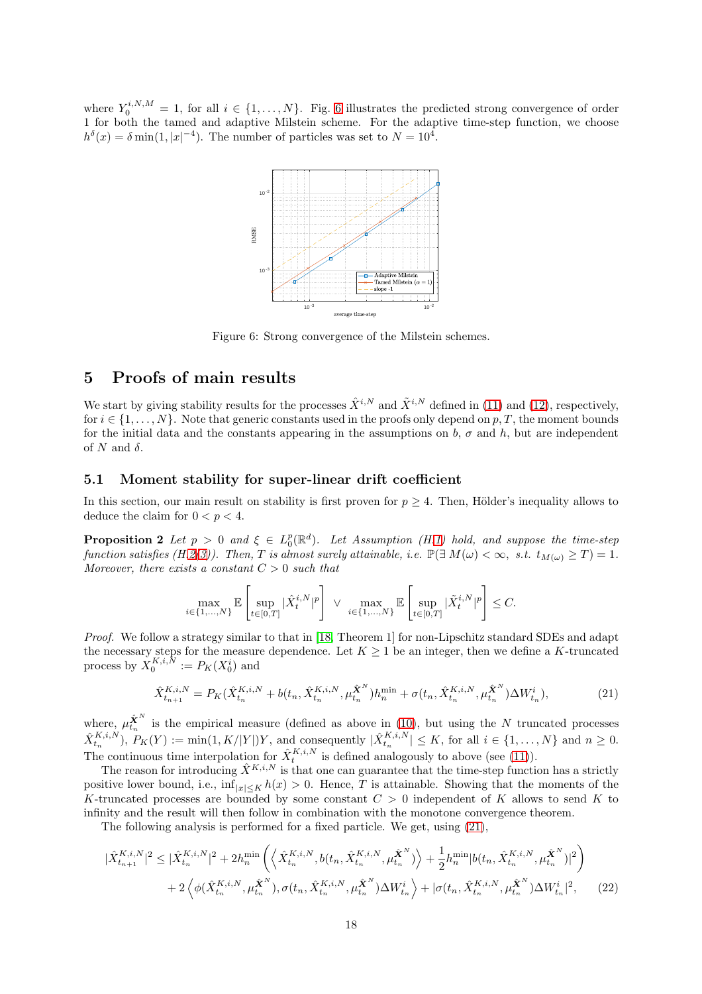<span id="page-17-2"></span>where  $Y_0^{i,N,M} = 1$ , for all  $i \in \{1,\ldots,N\}$ . Fig. [6](#page-17-2) illustrates the predicted strong convergence of order 1 for both the tamed and adaptive Milstein scheme. For the adaptive time-step function, we choose  $h^{\delta}(x) = \delta \min(1, |x|^{-4})$ . The number of particles was set to  $N = 10^4$ .



Figure 6: Strong convergence of the Milstein schemes.

## <span id="page-17-0"></span>5 Proofs of main results

We start by giving stability results for the processes  $\hat{X}^{i,N}$  and  $\tilde{X}^{i,N}$  defined in [\(11\)](#page-5-2) and [\(12\)](#page-6-1), respectively, for  $i \in \{1, \ldots, N\}$ . Note that generic constants used in the proofs only depend on p, T, the moment bounds for the initial data and the constants appearing in the assumptions on b,  $\sigma$  and h, but are independent of N and  $\delta$ .

#### 5.1 Moment stability for super-linear drift coefficient

<span id="page-17-1"></span>In this section, our main result on stability is first proven for  $p \geq 4$ . Then, Hölder's inequality allows to deduce the claim for  $0 < p < 4$ .

**Proposition 2** Let  $p > 0$  and  $\xi \in L_0^p(\mathbb{R}^d)$ . Let Assumption (H[.1\)](#page-4-2) hold, and suppose the time-step function satisfies (H[.2](#page-6-2)[\(3\)](#page-7-0)). Then, T is almost surely attainable, i.e.  $\mathbb{P}(\exists M(\omega) < \infty, s.t. t_{M(\omega)} \geq T) = 1$ . Moreover, there exists a constant  $C > 0$  such that

$$
\max_{i\in\{1,...,N\}}\mathbb{E}\left[\sup_{t\in[0,T]}|\hat{X}^{i,N}_t|^p\right]~\vee~\max_{i\in\{1,...,N\}}\mathbb{E}\left[\sup_{t\in[0,T]}|\tilde{X}^{i,N}_t|^p\right]\leq C.
$$

Proof. We follow a strategy similar to that in [\[18,](#page-27-8) Theorem 1] for non-Lipschitz standard SDEs and adapt the necessary steps for the measure dependence. Let  $K \geq 1$  be an integer, then we define a K-truncated process by  $X_0^{K,i,\bar{N}} := P_K(X_0^i)$  and

<span id="page-17-4"></span><span id="page-17-3"></span>
$$
\hat{X}_{t_{n+1}}^{K,i,N} = P_K(\hat{X}_{t_n}^{K,i,N} + b(t_n, \hat{X}_{t_n}^{K,i,N}, \mu_{t_n}^{\hat{\mathbf{X}}^N})h_n^{\min} + \sigma(t_n, \hat{X}_{t_n}^{K,i,N}, \mu_{t_n}^{\hat{\mathbf{X}}^N})\Delta W_{t_n}^i),
$$
\n(21)

where,  $\mu_{t_n}^{\hat{\mathbf{X}}^N}$  is the empirical measure (defined as above in [\(10\)](#page-5-3), but using the N truncated processes  $\hat{X}_{t_n}^{K,i,N}$ ,  $P_K(Y) := \min(1, K/|Y|)Y$ , and consequently  $|\hat{X}_{t_n}^{K,i,N}| \leq K$ , for all  $i \in \{1, \ldots, N\}$  and  $n \geq 0$ . The continuous time interpolation for  $\hat{X}_{t}^{K,i,N}$  is defined analogously to above (see [\(11\)](#page-5-2)).

The reason for introducing  $\hat{X}^{K,i,N}$  is that one can guarantee that the time-step function has a strictly positive lower bound, i.e.,  $\inf_{|x| \leq K} h(x) > 0$ . Hence, T is attainable. Showing that the moments of the K-truncated processes are bounded by some constant  $C > 0$  independent of K allows to send K to infinity and the result will then follow in combination with the monotone convergence theorem.

The following analysis is performed for a fixed particle. We get, using [\(21\)](#page-17-3),

$$
|\hat{X}_{t_{n+1}}^{K,i,N}|^2 \leq |\hat{X}_{t_n}^{K,i,N}|^2 + 2h_n^{\min}\left(\left\langle \hat{X}_{t_n}^{K,i,N}, b(t_n, \hat{X}_{t_n}^{K,i,N}, \mu_{t_n}^{\hat{\mathbf{X}}^N}) \right\rangle + \frac{1}{2}h_n^{\min}|b(t_n, \hat{X}_{t_n}^{K,i,N}, \mu_{t_n}^{\hat{\mathbf{X}}^N})|^2\right) + 2\left\langle \phi(\hat{X}_{t_n}^{K,i,N}, \mu_{t_n}^{\hat{\mathbf{X}}^N}), \sigma(t_n, \hat{X}_{t_n}^{K,i,N}, \mu_{t_n}^{\hat{\mathbf{X}}^N}) \Delta W_{t_n}^i \right\rangle + |\sigma(t_n, \hat{X}_{t_n}^{K,i,N}, \mu_{t_n}^{\hat{\mathbf{X}}^N}) \Delta W_{t_n}^i|^2, \tag{22}
$$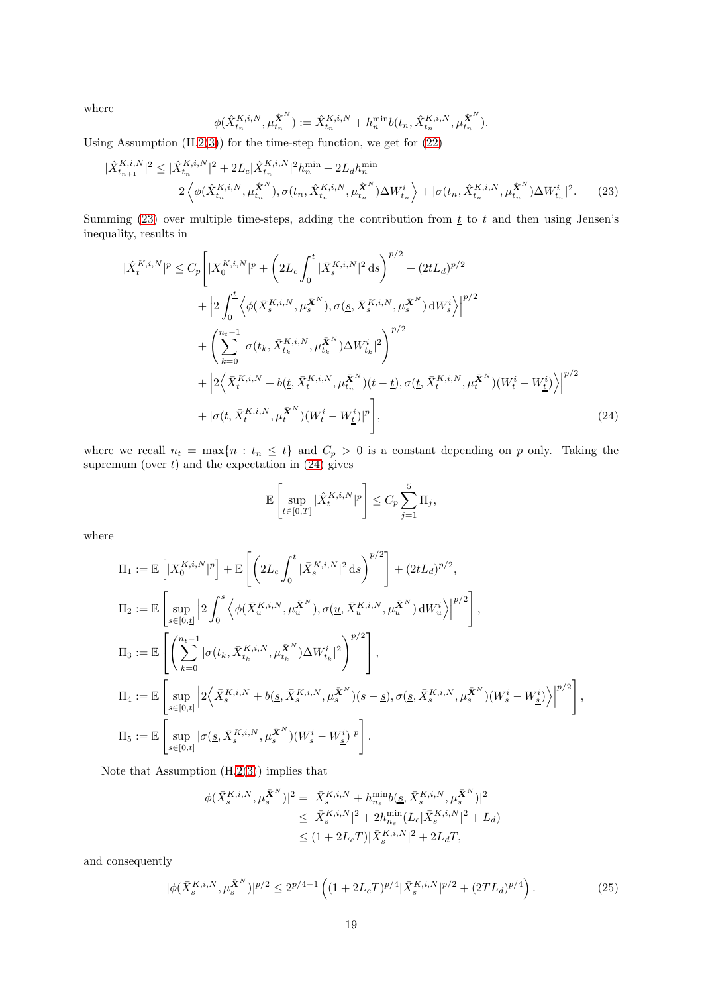where

<span id="page-18-0"></span>
$$
\phi(\hat{X}_{t_n}^{K,i,N},\mu_{t_n}^{\hat{\bm{X}}^N}) := \hat{X}_{t_n}^{K,i,N} + h_n^{\min} b(t_n, \hat{X}_{t_n}^{K,i,N},\mu_{t_n}^{\hat{\bm{X}}^N}).
$$

Using Assumption  $(H.2(3))$  $(H.2(3))$  $(H.2(3))$  $(H.2(3))$  for the time-step function, we get for  $(22)$ 

$$
|\hat{X}_{t_{n+1}}^{K,i,N}|^2 \leq |\hat{X}_{t_n}^{K,i,N}|^2 + 2L_c|\hat{X}_{t_n}^{K,i,N}|^2h_n^{\min} + 2L_dh_n^{\min} + 2\left\langle \phi(\hat{X}_{t_n}^{K,i,N},\mu_{t_n}^{\hat{\mathbf{X}}^N}), \sigma(t_n, \hat{X}_{t_n}^{K,i,N},\mu_{t_n}^{\hat{\mathbf{X}}^N})\Delta W_{t_n}^i \right\rangle + |\sigma(t_n, \hat{X}_{t_n}^{K,i,N},\mu_{t_n}^{\hat{\mathbf{X}}^N})\Delta W_{t_n}^i|^2.
$$
 (23)

Summing [\(23\)](#page-18-0) over multiple time-steps, adding the contribution from  $t$  to t and then using Jensen's inequality, results in

$$
|\hat{X}_{t}^{K,i,N}|^{p} \leq C_{p} \Bigg[ |X_{0}^{K,i,N}|^{p} + \left(2L_{c} \int_{0}^{t} |\bar{X}_{s}^{K,i,N}|^{2} ds \right)^{p/2} + (2tL_{d})^{p/2} + \Big| 2 \int_{0}^{t} \Big\langle \phi(\bar{X}_{s}^{K,i,N}, \mu_{s}^{\bar{X}^{N}}), \sigma(\underline{s}, \bar{X}_{s}^{K,i,N}, \mu_{s}^{\bar{X}^{N}}) dW_{s}^{i} \Big\rangle \Big|^{p/2} + \Bigg( \sum_{k=0}^{n_{t}-1} |\sigma(t_{k}, \bar{X}_{t_{k}}^{K,i,N}, \mu_{t_{k}}^{\bar{X}^{N}}) \Delta W_{t_{k}}^{i}|^{2} \Bigg)^{p/2} + \Big| 2 \Big\langle \bar{X}_{t}^{K,i,N} + b(\underline{t}, \bar{X}_{t}^{K,i,N}, \mu_{t_{k}}^{\bar{X}^{N}})(t-\underline{t}), \sigma(\underline{t}, \bar{X}_{t}^{K,i,N}, \mu_{t}^{\bar{X}^{N}}) (W_{t}^{i} - W_{\underline{t}}^{i}) \Big\rangle \Big|^{p/2} + |\sigma(\underline{t}, \bar{X}_{t}^{K,i,N}, \mu_{t}^{\bar{X}^{N}}) (W_{t}^{i} - W_{\underline{t}}^{i})|^{p} \Bigg], \tag{24}
$$

where we recall  $n_t = \max\{n : t_n \leq t\}$  and  $C_p > 0$  is a constant depending on p only. Taking the supremum (over  $t$ ) and the expectation in  $(24)$  gives

<span id="page-18-1"></span>
$$
\mathbb{E}\left[\sup_{t\in[0,T]}|\hat{X}_t^{K,i,N}|^p\right]\leq C_p\sum_{j=1}^5\Pi_j,
$$

where

$$
\begin{split} &\Pi_1:=\mathbb{E}\left[|X_0^{K,i,N}|^p\right]+\mathbb{E}\left[\left(2L_c\int_0^t|\bar{X}_s^{K,i,N}|^2\,\mathrm{d}s\right)^{p/2}\right]+(2tL_d)^{p/2},\\ &\Pi_2:=\mathbb{E}\left[\sup_{s\in[0,\underline{t}]}\left|2\int_0^s\left\langle\phi(\bar{X}_u^{K,i,N},\mu_u^{\bar{\mathbf{X}}^N}),\sigma(\underline{u},\bar{X}_u^{K,i,N},\mu_u^{\bar{\mathbf{X}}^N})\,\mathrm{d}W_u^i\right\rangle\right|^{p/2}\right],\\ &\Pi_3:=\mathbb{E}\left[\left(\sum_{k=0}^{n_t-1}|\sigma(t_k,\bar{X}_{t_k}^{K,i,N},\mu_{t_k}^{\bar{\mathbf{X}}^N})\Delta W_{t_k}^i|^2\right)^{p/2}\right],\\ &\Pi_4:=\mathbb{E}\left[\sup_{s\in[0,t]}\left|2\left\langle\bar{X}_s^{K,i,N}+b(\underline{s},\bar{X}_s^{K,i,N},\mu_s^{\bar{\mathbf{X}}^N})(s-\underline{s}),\sigma(\underline{s},\bar{X}_s^{K,i,N},\mu_s^{\bar{\mathbf{X}}^N})(W_s^i-W_{\underline{s}}^i)\right\rangle\right|^{p/2}\right],\\ &\Pi_5:=\mathbb{E}\left[\sup_{s\in[0,t]}\left|\sigma(\underline{s},\bar{X}_s^{K,i,N},\mu_s^{\bar{\mathbf{X}}^N})(W_s^i-W_{\underline{s}}^i)\right|^{p}\right]. \end{split}
$$

Note that Assumption (H[.2\(](#page-6-2)[3\)](#page-7-0)) implies that

<span id="page-18-2"></span>
$$
\begin{aligned} |\phi(\bar{X}_{s}^{K,i,N},\mu_{s}^{\bar{\mathbf{X}}^{N}})|^{2} &= |\bar{X}_{s}^{K,i,N} + h_{n_{s}}^{\min} b(\underline{s},\bar{X}_{s}^{K,i,N},\mu_{s}^{\bar{\mathbf{X}}^{N}})|^{2} \\ &\leq |\bar{X}_{s}^{K,i,N}|^{2} + 2h_{n_{s}}^{\min}(L_{c}|\bar{X}_{s}^{K,i,N}|^{2} + L_{d}) \\ &\leq (1 + 2L_{c}T)|\bar{X}_{s}^{K,i,N}|^{2} + 2L_{d}T, \end{aligned}
$$

and consequently

$$
|\phi(\bar{X}_{s}^{K,i,N},\mu_{s}^{\bar{X}^{N}})|^{p/2} \le 2^{p/4-1} \left( (1+2L_{c}T)^{p/4} |\bar{X}_{s}^{K,i,N}|^{p/2} + (2TL_{d})^{p/4} \right). \tag{25}
$$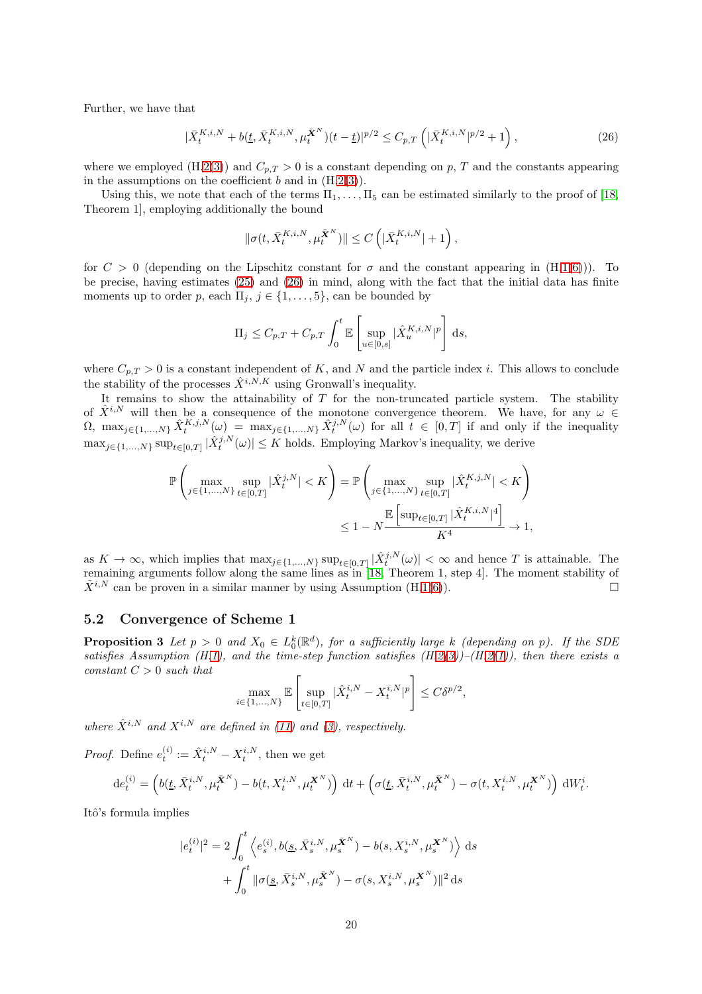Further, we have that

$$
|\bar{X}_t^{K,i,N} + b(\underline{t}, \bar{X}_t^{K,i,N}, \mu_t^{\bar{X}^N})(t-\underline{t})|^{p/2} \le C_{p,T}\left(|\bar{X}_t^{K,i,N}|^{p/2} + 1\right),\tag{26}
$$

where we employed (H[.2](#page-6-2)[\(3\)](#page-7-0)) and  $C_{p,T} > 0$  is a constant depending on p, T and the constants appearing in the assumptions on the coefficient  $b$  and in  $(H.2(3)).$  $(H.2(3)).$  $(H.2(3)).$  $(H.2(3)).$ 

Using this, we note that each of the terms  $\Pi_1, \ldots, \Pi_5$  can be estimated similarly to the proof of [\[18,](#page-27-8) Theorem 1], employing additionally the bound

<span id="page-19-0"></span>
$$
\|\sigma(t,\bar{X}^{K,i,N}_t,\mu^{\bar{\boldsymbol{X}}^N}_t)\|\leq C\left(|\bar{X}^{K,i,N}_t|+1\right),
$$

for  $C > 0$  (depending on the Lipschitz constant for  $\sigma$  and the constant appearing in  $(H.1(6))$  $(H.1(6))$  $(H.1(6))$  $(H.1(6))$ ). To be precise, having estimates [\(25\)](#page-18-2) and [\(26\)](#page-19-0) in mind, along with the fact that the initial data has finite moments up to order p, each  $\Pi_i$ ,  $j \in \{1, \ldots, 5\}$ , can be bounded by

$$
\Pi_j \leq C_{p,T} + C_{p,T} \int_0^t \mathbb{E}\left[\sup_{u \in [0,s]} |\hat{X}_u^{K,i,N}|^p\right] ds,
$$

where  $C_{p,T} > 0$  is a constant independent of K, and N and the particle index i. This allows to conclude the stability of the processes  $\hat{X}^{i,N,K}$  using Gronwall's inequality.

It remains to show the attainability of  $T$  for the non-truncated particle system. The stability of  $\hat{X}^{i,N}$  will then be a consequence of the monotone convergence theorem. We have, for any  $\omega \in$  $\Omega$ ,  $\max_{j\in\{1,\ldots,N\}}\hat{X}_{t}^{K,j,N}(\omega) = \max_{j\in\{1,\ldots,N\}}\hat{X}_{t}^{j,N}(\omega)$  for all  $t \in [0,T]$  if and only if the inequality  $\max_{j\in\{1,\ldots,N\}} \sup_{t\in[0,T]} |\hat{X}_{t}^{j,N}(\omega)| \leq K$  holds. Employing Markov's inequality, we derive

$$
\begin{split} \mathbb{P}\left(\max_{j\in\{1,\ldots,N\}}\sup_{t\in[0,T]}|\hat{X}^{j,N}_t|
$$

as  $K \to \infty$ , which implies that  $\max_{j \in \{1,\ldots,N\}} \sup_{t \in [0,T]} |\hat{X}_{t}^{j,N}(\omega)| < \infty$  and hence T is attainable. The remaining arguments follow along the same lines as in [\[18,](#page-27-8) Theorem 1, step 4]. The moment stability of  $\tilde{X}^{i,N}$  can be proven in a similar manner by using Assumption (H[.1\(](#page-4-2)[6\)](#page-4-9)).

#### 5.2 Convergence of Scheme 1

**Proposition 3** Let  $p > 0$  and  $X_0 \in L_0^k(\mathbb{R}^d)$ , for a sufficiently large k (depending on p). If the SDE satisfies Assumption (H[.1\)](#page-4-2), and the time-step function satisfies  $(H.2(3))$  $(H.2(3))$  $(H.2(3))$  $(H.2(3))$ – $(H.2(1))$  $(H.2(1))$  $(H.2(1))$ , then there exists a  $constant C > 0$  such that

$$
\max_{i\in\{1,...,N\}}\mathbb{E}\left[\sup_{t\in[0,T]}|\hat{X}^{i,N}_t-X^{i,N}_t|^p\right]\leq C\delta^{p/2},
$$

where  $\hat{X}^{i,N}$  and  $X^{i,N}$  are defined in [\(11\)](#page-5-2) and [\(3\)](#page-1-2), respectively.

*Proof.* Define  $e_t^{(i)} := \hat{X}_t^{i,N} - X_t^{i,N}$ , then we get

$$
de_t^{(i)} = \left(b(\underline{t}, \bar{X}_t^{i,N}, \mu_t^{\bar{X}^N}) - b(t, X_t^{i,N}, \mu_t^{\bar{X}^N})\right) dt + \left(\sigma(\underline{t}, \bar{X}_t^{i,N}, \mu_t^{\bar{X}^N}) - \sigma(t, X_t^{i,N}, \mu_t^{\bar{X}^N})\right) dW_t^i.
$$

Itô's formula implies

$$
|e_{t}^{(i)}|^{2} = 2 \int_{0}^{t} \left\langle e_{s}^{(i)}, b(\underline{s}, \bar{X}_{s}^{i,N}, \mu_{s}^{\bar{X}^{N}}) - b(s, X_{s}^{i,N}, \mu_{s}^{\bar{X}^{N}}) \right\rangle ds + \int_{0}^{t} \|\sigma(\underline{s}, \bar{X}_{s}^{i,N}, \mu_{s}^{\bar{X}^{N}}) - \sigma(s, X_{s}^{i,N}, \mu_{s}^{\bar{X}^{N}}) \|^{2} ds
$$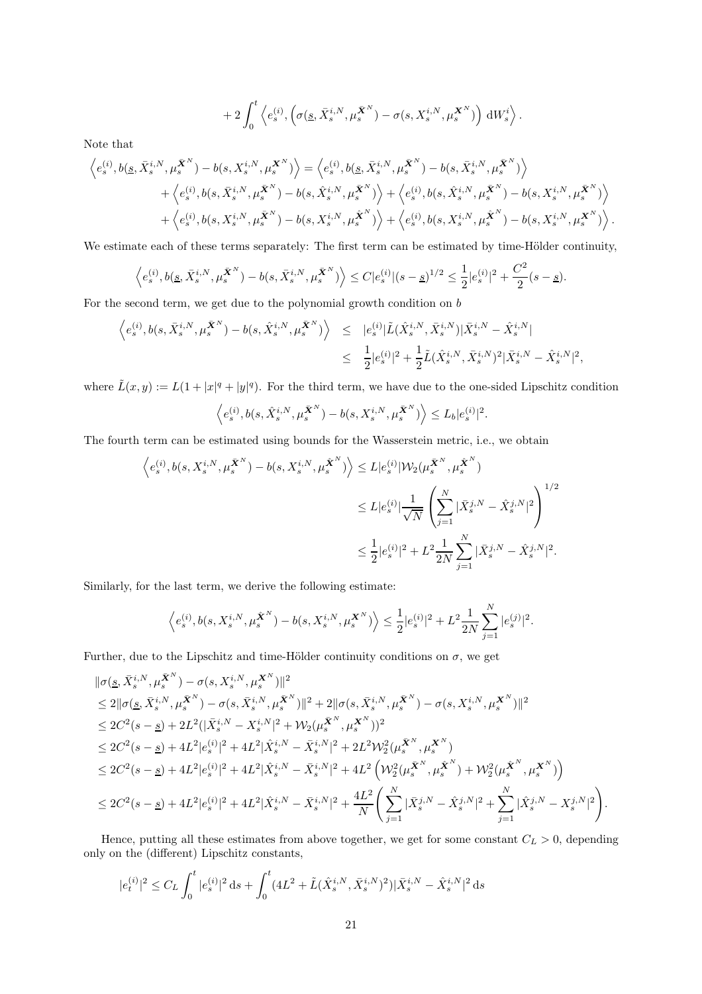$$
+ 2\int_0^t \left\langle e_s^{(i)}, \left(\sigma(\underline{s}, \bar{X}_s^{i,N}, \mu_s^{\bar{\mathbf{X}}^N}) - \sigma(s, X_s^{i,N}, \mu_s^{\mathbf{X}^N})\right) dW_s^i \right\rangle.
$$

Note that

$$
\left\langle e_{s}^{(i)}, b(\underline{s}, \bar{X}_{s}^{i,N}, \mu_{s}^{\bar{\mathbf{X}}^{N}}) - b(s, X_{s}^{i,N}, \mu_{s}^{\mathbf{X}^{N}}) \right\rangle = \left\langle e_{s}^{(i)}, b(\underline{s}, \bar{X}_{s}^{i,N}, \mu_{s}^{\bar{\mathbf{X}}^{N}}) - b(s, \bar{X}_{s}^{i,N}, \mu_{s}^{\bar{\mathbf{X}}^{N}}) \right\rangle + \left\langle e_{s}^{(i)}, b(s, \bar{X}_{s}^{i,N}, \mu_{s}^{\bar{\mathbf{X}}^{N}}) - b(s, \hat{X}_{s}^{i,N}, \mu_{s}^{\bar{\mathbf{X}}^{N}}) \right\rangle + \left\langle e_{s}^{(i)}, b(s, \hat{X}_{s}^{i,N}, \mu_{s}^{\bar{\mathbf{X}}^{N}}) - b(s, X_{s}^{i,N}, \mu_{s}^{\bar{\mathbf{X}}^{N}}) \right\rangle + \left\langle e_{s}^{(i)}, b(s, X_{s}^{i,N}, \mu_{s}^{\bar{\mathbf{X}}^{N}}) - b(s, X_{s}^{i,N}, \mu_{s}^{\hat{\mathbf{X}}^{N}}) \right\rangle + \left\langle e_{s}^{(i)}, b(s, X_{s}^{i,N}, \mu_{s}^{\hat{\mathbf{X}}^{N}}) - b(s, X_{s}^{i,N}, \mu_{s}^{\mathbf{X}}^{N}) \right\rangle.
$$

We estimate each of these terms separately: The first term can be estimated by time-Hölder continuity,

$$
\left\langle e_s^{(i)}, b(\underline{s}, \bar{X}_s^{i,N}, \mu_s^{\bar{\mathbf{X}}^N}) - b(s, \bar{X}_s^{i,N}, \mu_s^{\bar{\mathbf{X}}^N}) \right\rangle \leq C|e_s^{(i)}|(s-\underline{s})^{1/2} \leq \frac{1}{2}|e_s^{(i)}|^2 + \frac{C^2}{2}(s-\underline{s}).
$$

For the second term, we get due to the polynomial growth condition on b

$$
\begin{array}{lcl} \left \langle e^{(i)}_s, b(s, \bar{X}^{i,N}_s, \mu^{\bar{\boldsymbol{X}}^N}_s) - b(s, \hat{X}^{i,N}_s, \mu^{\bar{\boldsymbol{X}}^N}_s) \right \rangle & \leq & \displaystyle |e^{(i)}_s|\tilde{L}(\hat{X}^{i,N}_s, \bar{X}^{i,N}_s) |\bar{X}^{i,N}_s - \hat{X}^{i,N}_s| \\ & \leq & \displaystyle \frac{1}{2} |e^{(i)}_s|^2 + \frac{1}{2} \tilde{L}(\hat{X}^{i,N}_s, \bar{X}^{i,N}_s)^2 |\bar{X}^{i,N}_s - \hat{X}^{i,N}_s|^2, \end{array}
$$

where  $\tilde{L}(x, y) := L(1 + |x|^q + |y|^q)$ . For the third term, we have due to the one-sided Lipschitz condition

$$
\left\langle e_s^{(i)}, b(s, \hat{X}_s^{i,N}, \mu_s^{\bar{X}^N}) - b(s, X_s^{i,N}, \mu_s^{\bar{X}^N}) \right\rangle \leq L_b |e_s^{(i)}|^2.
$$

The fourth term can be estimated using bounds for the Wasserstein metric, i.e., we obtain

$$
\begin{aligned} \Big\langle e_s^{(i)}, b(s,X_s^{i,N},\mu_s^{\bar{\bm{X}}^N})-b(s,X_s^{i,N},\mu_s^{\hat{\bm{X}}^N})\Big\rangle &\leq L |e_s^{(i)}|\mathcal{W}_2(\mu_s^{\bar{\bm{X}}^N},\mu_s^{\hat{\bm{X}}^N})\\ &\leq L |e_s^{(i)}|\frac{1}{\sqrt{N}}\left(\sum_{j=1}^N|\bar{X}_s^{j,N}-\hat{X}_s^{j,N}|^2\right)^{1/2}\\ &\leq \frac{1}{2}|e_s^{(i)}|^2+L^2\frac{1}{2N}\sum_{j=1}^N|\bar{X}_s^{j,N}-\hat{X}_s^{j,N}|^2. \end{aligned}
$$

Similarly, for the last term, we derive the following estimate:

$$
\Big\langle e_s^{(i)}, b(s,X^{i,N}_s,\mu^{\hat{\mathbf{X}}^N}_s)-b(s,X^{i,N}_s,\mu^{\mathbf{X}^N}_s)\Big\rangle\leq \frac{1}{2}|e_s^{(i)}|^2+L^2\frac{1}{2N}\sum_{j=1}^N|e_s^{(j)}|^2.
$$

Further, due to the Lipschitz and time-Hölder continuity conditions on  $\sigma$ , we get

$$
\begin{split} &\|\sigma(\underline{s}, \bar{X}_{s}^{i,N}, \mu_{s}^{\bar{\boldsymbol{X}}^{N}})-\sigma(s, X_{s}^{i,N}, \mu_{s}^{\bar{\boldsymbol{X}}^{N}})\|^{2}\\ &\leq 2\|\sigma(\underline{s}, \bar{X}_{s}^{i,N}, \mu_{s}^{\bar{\boldsymbol{X}}^{N}})-\sigma(s, \bar{X}_{s}^{i,N}, \mu_{s}^{\bar{\boldsymbol{X}}^{N}})\|^{2}+2\|\sigma(s, \bar{X}_{s}^{i,N}, \mu_{s}^{\bar{\boldsymbol{X}}^{N}})-\sigma(s, X_{s}^{i,N}, \mu_{s}^{\boldsymbol{X}}^{N})\|^{2}\\ &\leq 2C^{2}(s-\underline{s})+2L^{2}(|\bar{X}_{s}^{i,N}-X_{s}^{i,N}|^{2}+\mathcal{W}_{2}(\mu_{s}^{\bar{\boldsymbol{X}}^{N}}, \mu_{s}^{\boldsymbol{X}}^{N}))^{2}\\ &\leq 2C^{2}(s-\underline{s})+4L^{2}|e_{s}^{(i)}|^{2}+4L^{2}|\hat{X}_{s}^{i,N}-\bar{X}_{s}^{i,N}|^{2}+2L^{2}\mathcal{W}_{2}^{2}(\mu_{s}^{\bar{\boldsymbol{X}}^{N}}, \mu_{s}^{\boldsymbol{X}}^{N})\\ &\leq 2C^{2}(s-\underline{s})+4L^{2}|e_{s}^{(i)}|^{2}+4L^{2}|\hat{X}_{s}^{i,N}-\bar{X}_{s}^{i,N}|^{2}+4L^{2}\left(\mathcal{W}_{2}^{2}(\mu_{s}^{\bar{\boldsymbol{X}}^{N}}, \mu_{s}^{\hat{\boldsymbol{X}}^{N}})+\mathcal{W}_{2}^{2}(\mu_{s}^{\hat{\boldsymbol{X}}^{N}}, \mu_{s}^{\boldsymbol{X}}^{N})\right)\\ &\leq 2C^{2}(s-\underline{s})+4L^{2}|e_{s}^{(i)}|^{2}+4L^{2}|\hat{X}_{s}^{i,N}-\bar{X}_{s}^{i,N}|^{2}+\frac{4L^{2}}{N}\left(\sum_{j=1}^{N}|\bar{X}_{s}^{j,N}-\hat{X}_{s}^{j,N}|^{2}+\sum_{j=1}^{N}|\hat{X}_{s}^{j,N}-X_{s}^{j,N}|^{2}\right). \end{split}
$$

Hence, putting all these estimates from above together, we get for some constant  $C_L > 0$ , depending only on the (different) Lipschitz constants,

$$
|e_t^{(i)}|^2 \le C_L \int_0^t |e_s^{(i)}|^2 \, \mathrm{d} s + \int_0^t (4L^2 + \tilde{L}(\hat{X}_s^{i,N}, \bar{X}_s^{i,N})^2) |\bar{X}_s^{i,N} - \hat{X}_s^{i,N}|^2 \, \mathrm{d} s
$$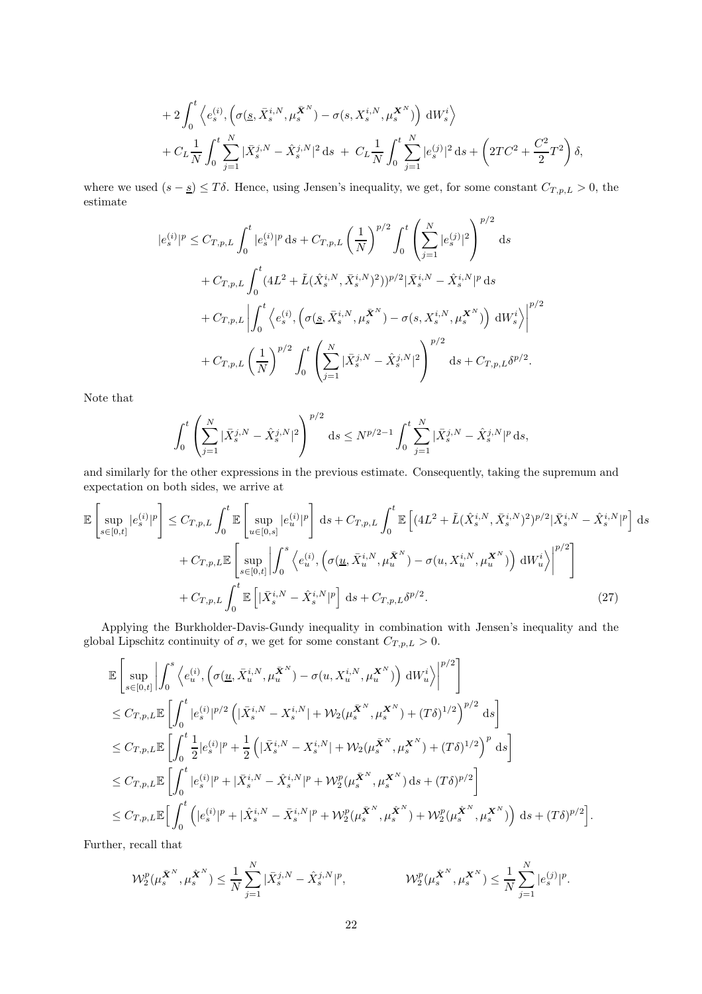+2
$$
\int_0^t \left\langle e_s^{(i)}, \left(\sigma(\underline{s}, \bar{X}_s^{i,N}, \mu_s^{\bar{X}^N}) - \sigma(s, X_s^{i,N}, \mu_s^{\bar{X}^N})\right) dW_s^i \right\rangle
$$
  
+ $C_L \frac{1}{N} \int_0^t \sum_{j=1}^N |\bar{X}_s^{j,N} - \hat{X}_s^{j,N}|^2 ds + C_L \frac{1}{N} \int_0^t \sum_{j=1}^N |e_s^{(j)}|^2 ds + \left(2TC^2 + \frac{C^2}{2}T^2\right) \delta,$ 

where we used  $(s - s) \leq T\delta$ . Hence, using Jensen's inequality, we get, for some constant  $C_{T,p,L} > 0$ , the estimate

$$
|e_{s}^{(i)}|^{p} \leq C_{T,p,L} \int_{0}^{t} |e_{s}^{(i)}|^{p} ds + C_{T,p,L} \left(\frac{1}{N}\right)^{p/2} \int_{0}^{t} \left(\sum_{j=1}^{N} |e_{s}^{(j)}|^{2}\right)^{p/2} ds
$$
  
+  $C_{T,p,L} \int_{0}^{t} (4L^{2} + \tilde{L}(\hat{X}_{s}^{i,N}, \bar{X}_{s}^{i,N})^{2}))^{p/2} |\bar{X}_{s}^{i,N} - \hat{X}_{s}^{i,N}|^{p} ds$   
+  $C_{T,p,L} \left| \int_{0}^{t} \left\langle e_{s}^{(i)}, \left(\sigma(\underline{s}, \bar{X}_{s}^{i,N}, \mu_{s}^{\bar{X}^{N}}) - \sigma(s, X_{s}^{i,N}, \mu_{s}^{\bar{X}^{N}})\right) dW_{s}^{i}\right\rangle \right|^{p/2}$   
+  $C_{T,p,L} \left(\frac{1}{N}\right)^{p/2} \int_{0}^{t} \left(\sum_{j=1}^{N} |\bar{X}_{s}^{j,N} - \hat{X}_{s}^{j,N}|^{2}\right)^{p/2} ds + C_{T,p,L} \delta^{p/2}.$ 

Note that

<span id="page-21-0"></span>
$$
\int_0^t \left( \sum_{j=1}^N |\bar{X}_{s}^{j,N} - \hat{X}_{s}^{j,N}|^2 \right)^{p/2} ds \le N^{p/2 - 1} \int_0^t \sum_{j=1}^N |\bar{X}_{s}^{j,N} - \hat{X}_{s}^{j,N}|^p ds,
$$

and similarly for the other expressions in the previous estimate. Consequently, taking the supremum and expectation on both sides, we arrive at

$$
\mathbb{E}\left[\sup_{s\in[0,t]}|e_{s}^{(i)}|^{p}\right] \leq C_{T,p,L} \int_{0}^{t} \mathbb{E}\left[\sup_{u\in[0,s]}|e_{u}^{(i)}|^{p}\right] ds + C_{T,p,L} \int_{0}^{t} \mathbb{E}\left[(4L^{2} + \tilde{L}(\hat{X}_{s}^{i,N}, \bar{X}_{s}^{i,N})^{2})^{p/2}|\bar{X}_{s}^{i,N} - \hat{X}_{s}^{i,N}|^{p}\right] ds + C_{T,p,L} \mathbb{E}\left[\sup_{s\in[0,t]}|\int_{0}^{s}\left\langle e_{u}^{(i)}, \left(\sigma(\underline{u}, \bar{X}_{u}^{i,N}, \mu_{u}^{\bar{X}^{N}}) - \sigma(u, X_{u}^{i,N}, \mu_{u}^{\bar{X}^{N}})\right) dW_{u}^{i}\right\}\right]^{p/2}\right] + C_{T,p,L} \int_{0}^{t} \mathbb{E}\left[|\bar{X}_{s}^{i,N} - \hat{X}_{s}^{i,N}|^{p}\right] ds + C_{T,p,L} \delta^{p/2}.
$$
\n(27)

Applying the Burkholder-Davis-Gundy inequality in combination with Jensen's inequality and the global Lipschitz continuity of  $\sigma$ , we get for some constant  $C_{T,p,L} > 0$ .

$$
\mathbb{E}\left[\sup_{s\in[0,t]}\left|\int_{0}^{s}\left\langle e_{u}^{(i)},\left(\sigma(\underline{u},\bar{X}_{u}^{i,N},\mu_{u}^{\bar{\mathbf{X}}^{N}})-\sigma(u,X_{u}^{i,N},\mu_{u}^{\mathbf{X}^{N}})\right)\mathrm{d}W_{u}^{i}\right\rangle\right|^{p/2}\right]
$$
\n
$$
\leq C_{T,p,L}\mathbb{E}\left[\int_{0}^{t}|e_{s}^{(i)}|^{p/2}\left(|\bar{X}_{s}^{i,N}-X_{s}^{i,N}|+\mathcal{W}_{2}(\mu_{s}^{\bar{\mathbf{X}}^{N}},\mu_{s}^{\mathbf{X}^{N}})+ (T\delta)^{1/2}\right)^{p/2}\mathrm{d}s\right]
$$
\n
$$
\leq C_{T,p,L}\mathbb{E}\left[\int_{0}^{t}\frac{1}{2}|e_{s}^{(i)}|^{p}+\frac{1}{2}\left(|\bar{X}_{s}^{i,N}-X_{s}^{i,N}|+\mathcal{W}_{2}(\mu_{s}^{\bar{\mathbf{X}}^{N}},\mu_{s}^{\mathbf{X}^{N}})+(T\delta)^{1/2}\right)^{p}\mathrm{d}s\right]
$$
\n
$$
\leq C_{T,p,L}\mathbb{E}\left[\int_{0}^{t}|e_{s}^{(i)}|^{p}+|\bar{X}_{s}^{i,N}-\hat{X}_{s}^{i,N}|^{p}+\mathcal{W}_{2}^{p}(\mu_{s}^{\bar{\mathbf{X}}^{N}},\mu_{s}^{\mathbf{X}^{N}})\mathrm{d}s+(T\delta)^{p/2}\right]
$$
\n
$$
\leq C_{T,p,L}\mathbb{E}\left[\int_{0}^{t}\left(|e_{s}^{(i)}|^{p}+|\hat{X}_{s}^{i,N}-\bar{X}_{s}^{i,N}|^{p}+\mathcal{W}_{2}^{p}(\mu_{s}^{\bar{\mathbf{X}}^{N}},\mu_{s}^{\hat{\mathbf{X}}^{N}})+\mathcal{W}_{2}^{p}(\mu_{s}^{\hat{\mathbf{X}}^{N}},\mu_{s}^{\mathbf{X}^{N}})\right)\mathrm{d}s+(T\delta)^{p/2}\right].
$$

Further, recall that

$$
\mathcal{W}_2^p(\mu_s^{\tilde{\mathbf{X}}^N}, \mu_s^{\hat{\mathbf{X}}^N}) \le \frac{1}{N} \sum_{j=1}^N |\bar{X}_s^{j,N} - \hat{X}_s^{j,N}|^p, \qquad \qquad \mathcal{W}_2^p(\mu_s^{\hat{\mathbf{X}}^N}, \mu_s^{\mathbf{X}^N}) \le \frac{1}{N} \sum_{j=1}^N |e_s^{(j)}|^p.
$$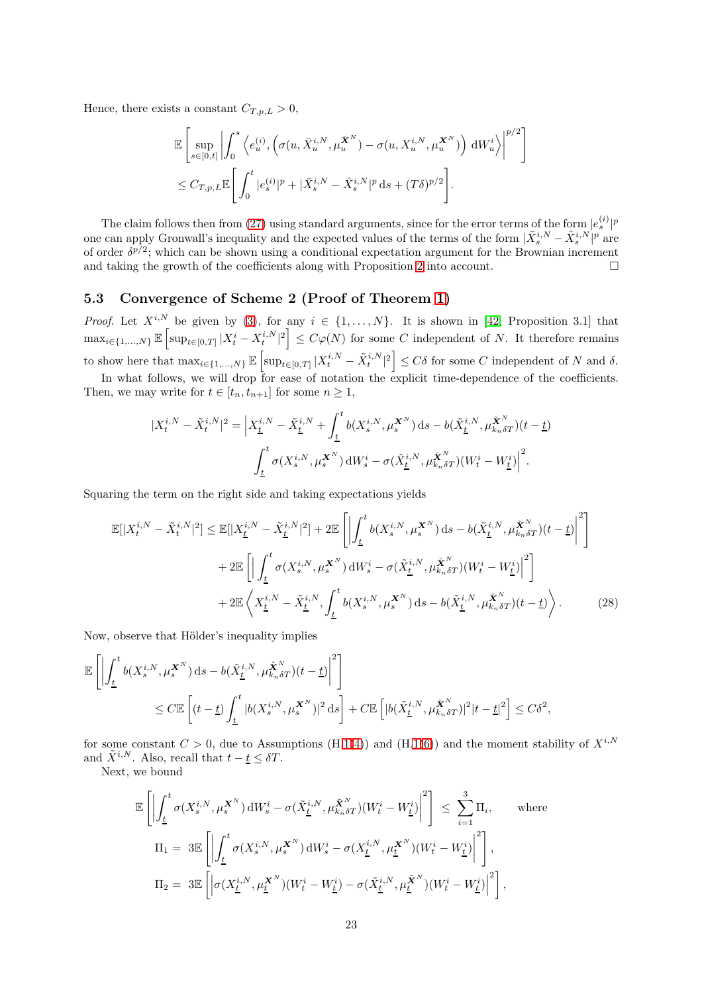Hence, there exists a constant  $C_{T,p,L} > 0$ ,

$$
\mathbb{E}\left[\sup_{s\in[0,t]}\left|\int_0^s \left\langle e_u^{(i)}, \left(\sigma(u,\bar{X}_u^{i,N},\mu_u^{\bar{\mathbf{X}}^N}) - \sigma(u,X_u^{i,N},\mu_u^{\mathbf{X}^N})\right) dW_u^i \right\rangle\right|^{p/2} \n\leq C_{T,p,L} \mathbb{E}\left[\int_0^t |e_s^{(i)}|^p + |\bar{X}_s^{i,N} - \hat{X}_s^{i,N}|^p ds + (T\delta)^{p/2}\right].
$$

<span id="page-22-1"></span>1

The claim follows then from [\(27\)](#page-21-0) using standard arguments, since for the error terms of the form  $|e_s^{(i)}|^p$ one can apply Gronwall's inequality and the expected values of the terms of the form  $|\bar{X}_{s}^{i,N} - \hat{X}_{s}^{i,N}|^p$  are of order  $\delta^{p/2}$ ; which can be shown using a conditional expectation argument for the Brownian increment and taking the growth of the coefficients along with Proposition [2](#page-17-1) into account.  $\Box$ 

## <span id="page-22-0"></span>5.3 Convergence of Scheme 2 (Proof of Theorem [1\)](#page-7-4)

*Proof.* Let  $X^{i,N}$  be given by [\(3\)](#page-1-2), for any  $i \in \{1,\ldots,N\}$ . It is shown in [\[42,](#page-28-5) Proposition 3.1] that  $\max_{i\in\{1,\ldots,N\}} \mathbb{E}\left[\sup_{t\in[0,T]} |X_t^i - X_t^{i,N}|^2\right] \leq C\varphi(N)$  for some C independent of N. It therefore remains to show here that  $\max_{i \in \{1,\ldots,N\}} \mathbb{E} \left[ \sup_{t \in [0,T]} |X_t^{i,N} - \tilde{X}_t^{i,N}|^2 \right] \leq C \delta$  for some C independent of N and  $\delta$ .

In what follows, we will drop for ease of notation the explicit time-dependence of the coefficients. Then, we may write for  $t \in [t_n, t_{n+1}]$  for some  $n \geq 1$ ,

$$
|X_t^{i,N} - \tilde{X}_t^{i,N}|^2 = \left| X_{\underline{t}}^{i,N} - \tilde{X}_{\underline{t}}^{i,N} + \int_{\underline{t}}^t b(X_s^{i,N}, \mu_s^{X^N}) ds - b(\tilde{X}_{\underline{t}}^{i,N}, \mu_{k_n \delta T}^{X^N})(t - \underline{t}) \right|
$$
  

$$
\int_{\underline{t}}^t \sigma(X_s^{i,N}, \mu_s^{X^N}) dW_s^i - \sigma(\tilde{X}_{\underline{t}}^{i,N}, \mu_{k_n \delta T}^{X^N})(W_t^i - W_{\underline{t}}^i) \right|^2.
$$

Squaring the term on the right side and taking expectations yields

$$
\mathbb{E}[|X_t^{i,N} - \tilde{X}_t^{i,N}|^2] \le \mathbb{E}[|X_{\underline{t}}^{i,N} - \tilde{X}_{\underline{t}}^{i,N}|^2] + 2\mathbb{E}\left[\left|\int_{\underline{t}}^t b(X_s^{i,N}, \mu_s^{\mathbf{X}^N}) ds - b(\tilde{X}_{\underline{t}}^{i,N}, \mu_{k_n\delta T}^{\mathbf{X}^N})(t - \underline{t})\right|^2\right] + 2\mathbb{E}\left[\left|\int_{\underline{t}}^t \sigma(X_s^{i,N}, \mu_s^{\mathbf{X}^N}) dW_s^i - \sigma(\tilde{X}_{\underline{t}}^{i,N}, \mu_{k_n\delta T}^{\mathbf{X}^N})(W_t^i - W_{\underline{t}}^i)\right|^2\right] + 2\mathbb{E}\left\langle X_{\underline{t}}^{i,N} - \tilde{X}_{\underline{t}}^{i,N}, \int_{\underline{t}}^t b(X_s^{i,N}, \mu_s^{\mathbf{X}^N}) ds - b(\tilde{X}_{\underline{t}}^{i,N}, \mu_{k_n\delta T}^{\mathbf{X}^N})(t - \underline{t})\right\rangle.
$$
(28)

Now, observe that Hölder's inequality implies

$$
\mathbb{E}\left[\left|\int_{\underline{t}}^{t} b(X_s^{i,N}, \mu_s^{\mathbf{X}^N}) ds - b(\tilde{X}_{\underline{t}}^{i,N}, \mu_{k_n\delta T}^{\tilde{\mathbf{X}}^N})(t-\underline{t})\right|^2\right]
$$
  

$$
\leq C \mathbb{E}\left[(t-\underline{t})\int_{\underline{t}}^{t} |b(X_s^{i,N}, \mu_s^{\mathbf{X}^N})|^2 ds\right] + C \mathbb{E}\left[|b(\tilde{X}_{\underline{t}}^{i,N}, \mu_{k_n\delta T}^{\tilde{\mathbf{X}}^N})|^2|t-\underline{t}|^2\right] \leq C\delta^2,
$$

for some constant  $C > 0$ , due to Assumptions (H[.1](#page-4-2)[\(4\)](#page-4-8)) and (H.1[\(6\)](#page-4-9)) and the moment stability of  $X^{i,N}$ and  $\tilde{X}^{i,N}$ . Also, recall that  $t - \underline{t} \leq \delta T$ .

Next, we bound

$$
\mathbb{E}\left[\left|\int_{\underline{t}}^{t}\sigma(X_s^{i,N},\mu_s^{\mathbf{X}^N})\,\mathrm{d}W_s^i-\sigma(\tilde{X}_{\underline{t}}^{i,N},\mu_{k_n\delta T}^{\tilde{\mathbf{X}}^N})(W_t^i-W_{\underline{t}}^i)\right|^2\right] \leq \sum_{i=1}^3 \Pi_i, \qquad \text{where}
$$
  

$$
\Pi_1 = 3\mathbb{E}\left[\left|\int_{\underline{t}}^{t}\sigma(X_s^{i,N},\mu_s^{\mathbf{X}^N})\,\mathrm{d}W_s^i - \sigma(X_{\underline{t}}^{i,N},\mu_{\underline{t}}^{\mathbf{X}^N})(W_t^i-W_{\underline{t}}^i)\right|^2\right],
$$
  

$$
\Pi_2 = 3\mathbb{E}\left[\left|\sigma(X_{\underline{t}}^{i,N},\mu_{\underline{t}}^{\mathbf{X}^N})(W_t^i-W_{\underline{t}}^i) - \sigma(\tilde{X}_{\underline{t}}^{i,N},\mu_{\underline{t}}^{\tilde{\mathbf{X}}^N})(W_t^i-W_{\underline{t}}^i)\right|^2\right],
$$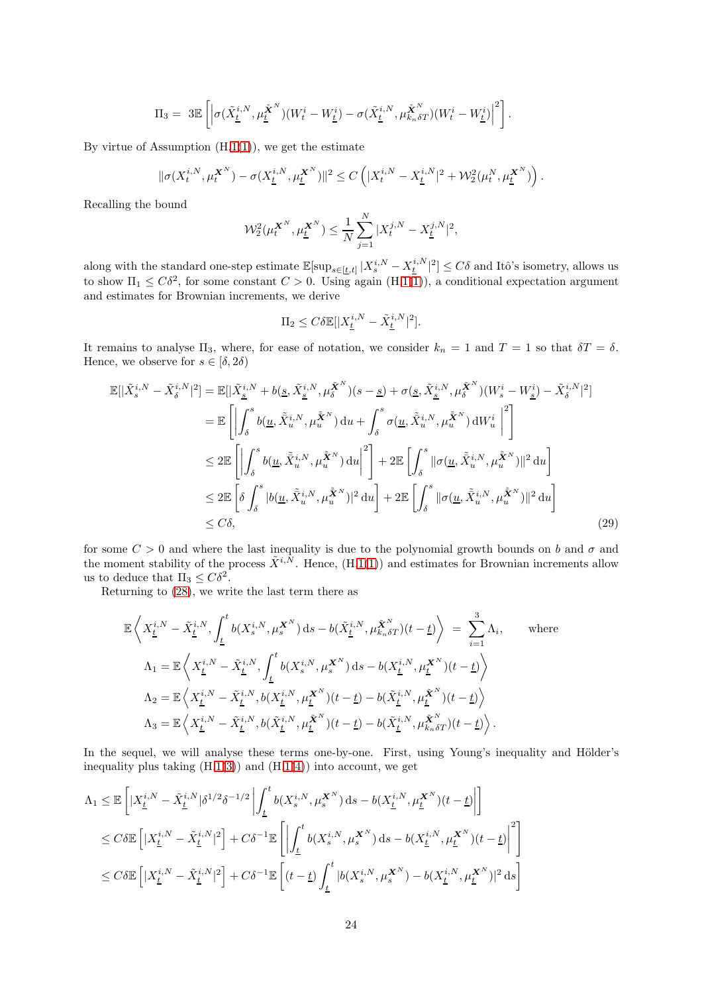$$
\Pi_3 = 3\mathbb{E}\left[\left|\sigma(\tilde{X}_{\underline{t}}^{i,N},\mu_{\underline{t}}^{\tilde{\boldsymbol{X}}^N})(W_{t}^i-W_{\underline{t}}^i)-\sigma(\tilde{X}_{\underline{t}}^{i,N},\mu_{k_n\delta T}^{\tilde{\boldsymbol{X}}^N})(W_{t}^i-W_{\underline{t}}^i)\right|^2\right].
$$

By virtue of Assumption  $(H.1(1))$  $(H.1(1))$  $(H.1(1))$  $(H.1(1))$ , we get the estimate

$$
\|\sigma(X^{i,N}_t,\mu^{X^N}_t)-\sigma(X^{i,N}_\underline{t},\mu^{X^N}_\underline{t})\|^2\leq C\left(|X^{i,N}_t-X^{i,N}_\underline{t}|^2+\mathcal{W}^2_2(\mu^N_t,\mu^{X^N}_\underline{t})\right).
$$

Recalling the bound

$$
\mathcal{W}_2^2(\mu_t^{\mathbf{X}^N}, \mu_{\underline{t}}^{\mathbf{X}^N}) \le \frac{1}{N} \sum_{j=1}^N |X_t^{j,N} - X_{\underline{t}}^{j,N}|^2,
$$

along with the standard one-step estimate  $\mathbb{E}[\sup_{s\in[\underline{t},t]}|X_s^{i,N}-X_{\underline{t}}^{i,N}|^2]\leq C\delta$  and Itô's isometry, allows us to show  $\Pi_1 \leq C\delta^2$ , for some constant  $C > 0$ . Using again  $(H.1(1))$  $(H.1(1))$  $(H.1(1))$  $(H.1(1))$ , a conditional expectation argument and estimates for Brownian increments, we derive

<span id="page-23-0"></span>
$$
\Pi_2 \le C\delta \mathbb{E}[|X_{\underline{t}}^{i,N} - \tilde{X}_{\underline{t}}^{i,N}|^2].
$$

It remains to analyse  $\Pi_3$ , where, for ease of notation, we consider  $k_n = 1$  and  $T = 1$  so that  $\delta T = \delta$ . Hence, we observe for  $s\in[\delta,2\delta)$ 

$$
\mathbb{E}[\vert \tilde{X}_{s}^{i,N} - \tilde{X}_{\delta}^{i,N} \vert^{2}] = \mathbb{E}[\vert \tilde{X}_{\underline{s}}^{i,N} + b(\underline{s}, \tilde{X}_{\underline{s}}^{i,N}, \mu_{\delta}^{\tilde{\mathbf{X}}^{N}})(s-\underline{s}) + \sigma(\underline{s}, \tilde{X}_{\underline{s}}^{i,N}, \mu_{\delta}^{\tilde{\mathbf{X}}^{N}})(W_{s}^{i} - W_{\underline{s}}^{i}) - \tilde{X}_{\delta}^{i,N} \vert^{2}]
$$
\n
$$
= \mathbb{E}\left[\left|\int_{\delta}^{s} b(\underline{u}, \tilde{X}_{u}^{i,N}, \mu_{u}^{\tilde{\mathbf{X}}^{N}}) \, \mathrm{d}u + \int_{\delta}^{s} \sigma(\underline{u}, \tilde{X}_{u}^{i,N}, \mu_{u}^{\tilde{\mathbf{X}}^{N}}) \, \mathrm{d}W_{u}^{i} \right|^{2}\right]
$$
\n
$$
\leq 2\mathbb{E}\left[\left|\int_{\delta}^{s} b(\underline{u}, \tilde{X}_{u}^{i,N}, \mu_{u}^{\tilde{\mathbf{X}}^{N}}) \, \mathrm{d}u\right|^{2}\right] + 2\mathbb{E}\left[\int_{\delta}^{s} ||\sigma(\underline{u}, \tilde{X}_{u}^{i,N}, \mu_{u}^{\tilde{\mathbf{X}}^{N}})||^{2} \, \mathrm{d}u\right]
$$
\n
$$
\leq 2\mathbb{E}\left[\delta \int_{\delta}^{s} |b(\underline{u}, \tilde{X}_{u}^{i,N}, \mu_{u}^{\tilde{\mathbf{X}}^{N}})|^{2} \, \mathrm{d}u\right] + 2\mathbb{E}\left[\int_{\delta}^{s} ||\sigma(\underline{u}, \tilde{X}_{u}^{i,N}, \mu_{u}^{\tilde{\mathbf{X}}^{N}})||^{2} \, \mathrm{d}u\right]
$$
\n
$$
\leq C\delta,
$$
\n(29)

for some  $C > 0$  and where the last inequality is due to the polynomial growth bounds on b and  $\sigma$  and the moment stability of the process  $\tilde{X}^{i,N}$ . Hence,  $(H.1(1))$  $(H.1(1))$  $(H.1(1))$  $(H.1(1))$  and estimates for Brownian increments allow us to deduce that  $\Pi_3 \leq C\delta^2$ .

Returning to [\(28\)](#page-22-1), we write the last term there as

$$
\mathbb{E}\left\langle X_{\underline{t}}^{i,N} - \tilde{X}_{\underline{t}}^{i,N}, \int_{\underline{t}}^{t} b(X_s^{i,N}, \mu_s^{\mathbf{X}^N}) ds - b(\tilde{X}_{\underline{t}}^{i,N}, \mu_{k_n\delta T}^{\tilde{\mathbf{X}}^N})(t-\underline{t}) \right\rangle = \sum_{i=1}^{3} \Lambda_i, \quad \text{where}
$$
  
\n
$$
\Lambda_1 = \mathbb{E}\left\langle X_{\underline{t}}^{i,N} - \tilde{X}_{\underline{t}}^{i,N}, \int_{\underline{t}}^{t} b(X_s^{i,N}, \mu_s^{\mathbf{X}^N}) ds - b(X_{\underline{t}}^{i,N}, \mu_{\underline{t}}^{\mathbf{X}^N})(t-\underline{t}) \right\rangle
$$
  
\n
$$
\Lambda_2 = \mathbb{E}\left\langle X_{\underline{t}}^{i,N} - \tilde{X}_{\underline{t}}^{i,N}, b(X_{\underline{t}}^{i,N}, \mu_{\underline{t}}^{\mathbf{X}^N})(t-\underline{t}) - b(\tilde{X}_{\underline{t}}^{i,N}, \mu_{\underline{t}}^{\tilde{\mathbf{X}}^N})(t-\underline{t}) \right\rangle
$$
  
\n
$$
\Lambda_3 = \mathbb{E}\left\langle X_{\underline{t}}^{i,N} - \tilde{X}_{\underline{t}}^{i,N}, b(\tilde{X}_{\underline{t}}^{i,N}, \mu_{\underline{t}}^{\tilde{\mathbf{X}}^N})(t-\underline{t}) - b(\tilde{X}_{\underline{t}}^{i,N}, \mu_{k_n\delta T}^{\tilde{\mathbf{X}}^N})(t-\underline{t}) \right\rangle.
$$

In the sequel, we will analyse these terms one-by-one. First, using Young's inequality and Hölder's inequality plus taking  $(H.1(3))$  $(H.1(3))$  $(H.1(3))$  $(H.1(3))$  and  $(H.1(4))$  $(H.1(4))$  $(H.1(4))$  $(H.1(4))$  into account, we get

$$
\begin{split} \Lambda_1 &\leq \mathbb{E}\left[|X_{\underline{t}}^{i,N}-\tilde{X}_{\underline{t}}^{i,N}|\delta^{1/2}\delta^{-1/2}\left|\int_{\underline{t}}^t b(X_s^{i,N},\mu_s^{\bm{X}^N})\,\mathrm{d} s-b(X_{\underline{t}}^{i,N},\mu_{\underline{t}}^{\bm{X}^N})(t-\underline{t})\right|\right] \\ &\leq C\delta\mathbb{E}\left[|X_{\underline{t}}^{i,N}-\tilde{X}_{\underline{t}}^{i,N}|^2\right] +C\delta^{-1}\mathbb{E}\left[\left|\int_{\underline{t}}^t b(X_s^{i,N},\mu_s^{\bm{X}^N})\,\mathrm{d} s-b(X_{\underline{t}}^{i,N},\mu_{\underline{t}}^{\bm{X}^N})(t-\underline{t})\right|^2\right] \\ &\leq C\delta\mathbb{E}\left[|X_{\underline{t}}^{i,N}-\tilde{X}_{\underline{t}}^{i,N}|^2\right] +C\delta^{-1}\mathbb{E}\left[(t-\underline{t})\int_{\underline{t}}^t |b(X_s^{i,N},\mu_s^{\bm{X}^N})-b(X_{\underline{t}}^{i,N},\mu_{\underline{t}}^{\bm{X}^N})|^2\,\mathrm{d} s\right] \end{split}
$$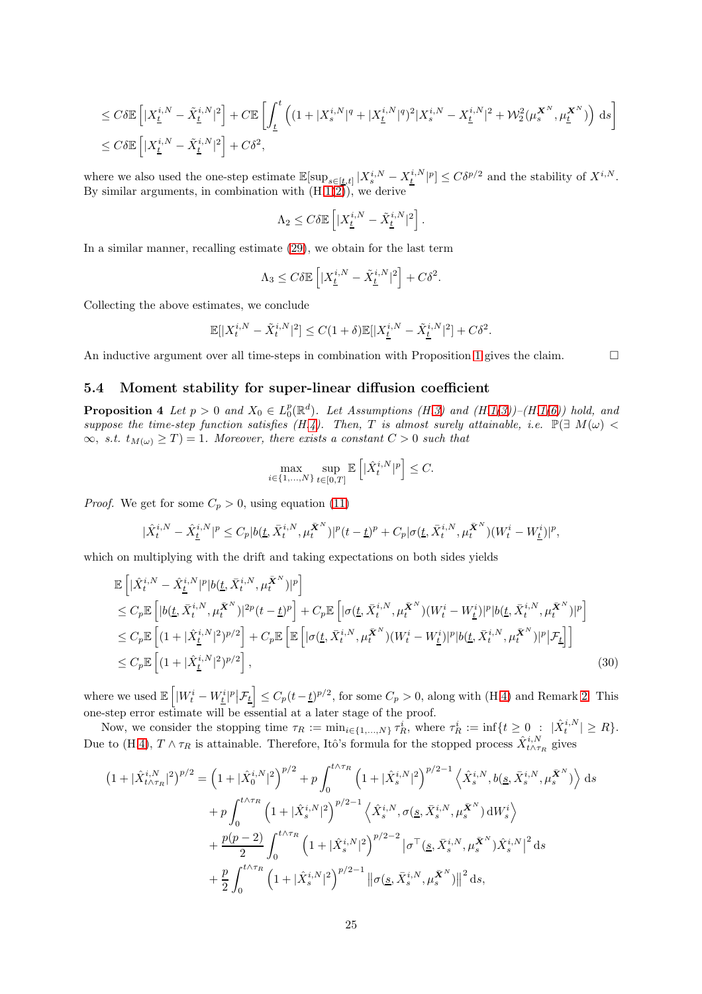$$
\leq C\delta \mathbb{E}\left[|X_{\underline{t}}^{i,N}-\tilde{X}_{\underline{t}}^{i,N}|^2\right]+C\mathbb{E}\left[\int_{\underline{t}}^{t}\left((1+|X_s^{i,N}|^q+|X_{\underline{t}}^{i,N}|^q)^2|X_s^{i,N}-X_{\underline{t}}^{i,N}|^2+\mathcal{W}_2^2(\mu_s^{\mathbf{X}^N},\mu_{\underline{t}}^{\mathbf{X}^N})\right)\,\mathrm{d}s\right]
$$
  

$$
\leq C\delta \mathbb{E}\left[|X_{\underline{t}}^{i,N}-\tilde{X}_{\underline{t}}^{i,N}|^2\right]+C\delta^2,
$$

where we also used the one-step estimate  $\mathbb{E}[\sup_{s\in[\underline{t},t]}|X_s^{i,N}-X_{\underline{t}}^{i,N}|^p] \leq C\delta^{p/2}$  and the stability of  $X^{i,N}$ . By similar arguments, in combination with  $(H.1(2))$  $(H.1(2))$  $(H.1(2))$  $(H.1(2))$ , we derive

$$
\Lambda_2 \leq C \delta \mathbb{E}\left[|X_{\underline{t}}^{i,N}-\tilde{X}_{\underline{t}}^{i,N}|^2\right].
$$

In a similar manner, recalling estimate [\(29\)](#page-23-0), we obtain for the last term

$$
\Lambda_3 \leq C \delta \mathbb{E}\left[ |X_{\underline{t}}^{i,N}-\tilde{X}_{\underline{t}}^{i,N}|^2 \right] + C \delta^2.
$$

Collecting the above estimates, we conclude

$$
\mathbb{E}[|X_t^{i,N} - \tilde{X}_t^{i,N}|^2] \le C(1+\delta)\mathbb{E}[|X_{\underline{t}}^{i,N} - \tilde{X}_{\underline{t}}^{i,N}|^2] + C\delta^2.
$$

An inductive argument over all time-steps in combination with Proposition [1](#page-7-3) gives the claim.  $\Box$ 

#### <span id="page-24-0"></span>5.4 Moment stability for super-linear diffusion coefficient

**Proposition 4** Let  $p > 0$  and  $X_0 \in L_0^p(\mathbb{R}^d)$ . Let Assumptions (H[.3\)](#page-8-0) and (H[.1](#page-4-2)[\(3\)](#page-4-7))–(H.1[\(6\)](#page-4-9)) hold, and suppose the time-step function satisfies (H[.4\)](#page-8-6). Then, T is almost surely attainable, i.e.  $\mathbb{P}(\exists M(\omega)$  <  $\infty$ , s.t.  $t_{M(\omega)} \geq T$  = 1. Moreover, there exists a constant  $C > 0$  such that

<span id="page-24-1"></span>
$$
\max_{i \in \{1, \dots, N\}} \sup_{t \in [0, T]} \mathbb{E}\left[|\hat{X}_t^{i, N}|^p\right] \le C.
$$

*Proof.* We get for some  $C_p > 0$ , using equation [\(11\)](#page-5-2)

$$
|\hat{X}_{t}^{i,N}-\hat{X}_{\underline{t}}^{i,N}|^{p} \leq C_{p}|b(\underline{t},\bar{X}_{t}^{i,N},\mu_{t}^{\bar{\mathbf{X}}^{N}})|^{p}(t-\underline{t})^{p}+C_{p}|\sigma(\underline{t},\bar{X}_{t}^{i,N},\mu_{t}^{\bar{\mathbf{X}}^{N}})(W_{t}^{i}-W_{\underline{t}}^{i})|^{p},
$$

which on multiplying with the drift and taking expectations on both sides yields

$$
\mathbb{E}\left[|\hat{X}_{t}^{i,N} - \hat{X}_{\underline{t}}^{i,N}|^{p}|b(\underline{t}, \bar{X}_{t}^{i,N}, \mu_{t}^{\bar{\mathbf{X}}^{N}})|^{p}\right] \n\leq C_{p}\mathbb{E}\left[|b(\underline{t}, \bar{X}_{t}^{i,N}, \mu_{t}^{\bar{\mathbf{X}}^{N}})|^{2p}(t-\underline{t})^{p}\right] + C_{p}\mathbb{E}\left[|\sigma(\underline{t}, \bar{X}_{t}^{i,N}, \mu_{t}^{\bar{\mathbf{X}}^{N}})(W_{t}^{i} - W_{\underline{t}}^{i})|^{p}|b(\underline{t}, \bar{X}_{t}^{i,N}, \mu_{t}^{\bar{\mathbf{X}}^{N}})|^{p}\right] \n\leq C_{p}\mathbb{E}\left[(1+|\hat{X}_{\underline{t}}^{i,N}|^{2})^{p/2}\right] + C_{p}\mathbb{E}\left[\mathbb{E}\left[|\sigma(\underline{t}, \bar{X}_{t}^{i,N}, \mu_{t}^{\bar{\mathbf{X}}^{N}})(W_{t}^{i} - W_{\underline{t}}^{i})|^{p}|b(\underline{t}, \bar{X}_{t}^{i,N}, \mu_{t}^{\bar{\mathbf{X}}^{N}})|^{p}|\mathcal{F}_{\underline{t}}\right]\right] \n\leq C_{p}\mathbb{E}\left[(1+|\hat{X}_{\underline{t}}^{i,N}|^{2})^{p/2}\right],
$$
\n(30)

where we used  $\mathbb{E}\left[|W_t^i - W_{\underline{t}}^i|^p\big|\mathcal{F}_{\underline{t}}\right]$  $\left| \frac{1}{2} \leq C_p(t-\underline{t})^{p/2}$ , for some  $C_p > 0$ , along with (H[.4\)](#page-8-6) and Remark [2.](#page-8-7) This one-step error estimate will be essential at a later stage of the proof.

Now, we consider the stopping time  $\tau_R := \min_{i \in \{1,\ldots,N\}} \tau_R^i$ , where  $\tau_R^i := \inf\{t \geq 0 : |\hat{X}_t^{i,N}| \geq R\}.$ Due to (H[.4\)](#page-8-6),  $T \wedge \tau_R$  is attainable. Therefore, Itô's formula for the stopped process  $\hat{X}^{i,N}_{t \wedge \tau_R}$  gives

$$
(1+|\hat{X}_{t\wedge\tau_{R}}^{i,N}|^{2})^{p/2} = (1+|\hat{X}_{0}^{i,N}|^{2})^{p/2} + p \int_{0}^{t\wedge\tau_{R}} \left(1+|\hat{X}_{s}^{i,N}|^{2}\right)^{p/2-1} \left\langle \hat{X}_{s}^{i,N}, b(\underline{s}, \bar{X}_{s}^{i,N}, \mu_{s}^{\bar{X}^{N}}) \right\rangle ds + p \int_{0}^{t\wedge\tau_{R}} \left(1+|\hat{X}_{s}^{i,N}|^{2}\right)^{p/2-1} \left\langle \hat{X}_{s}^{i,N}, \sigma(\underline{s}, \bar{X}_{s}^{i,N}, \mu_{s}^{\bar{X}^{N}}) dW_{s}^{i} \right\rangle + \frac{p(p-2)}{2} \int_{0}^{t\wedge\tau_{R}} \left(1+|\hat{X}_{s}^{i,N}|^{2}\right)^{p/2-2} |\sigma^{\top}(\underline{s}, \bar{X}_{s}^{i,N}, \mu_{s}^{\bar{X}^{N}}) \hat{X}_{s}^{i,N}|^{2} ds + \frac{p}{2} \int_{0}^{t\wedge\tau_{R}} \left(1+|\hat{X}_{s}^{i,N}|^{2}\right)^{p/2-1} ||\sigma(\underline{s}, \bar{X}_{s}^{i,N}, \mu_{s}^{\bar{X}^{N}})||^{2} ds,
$$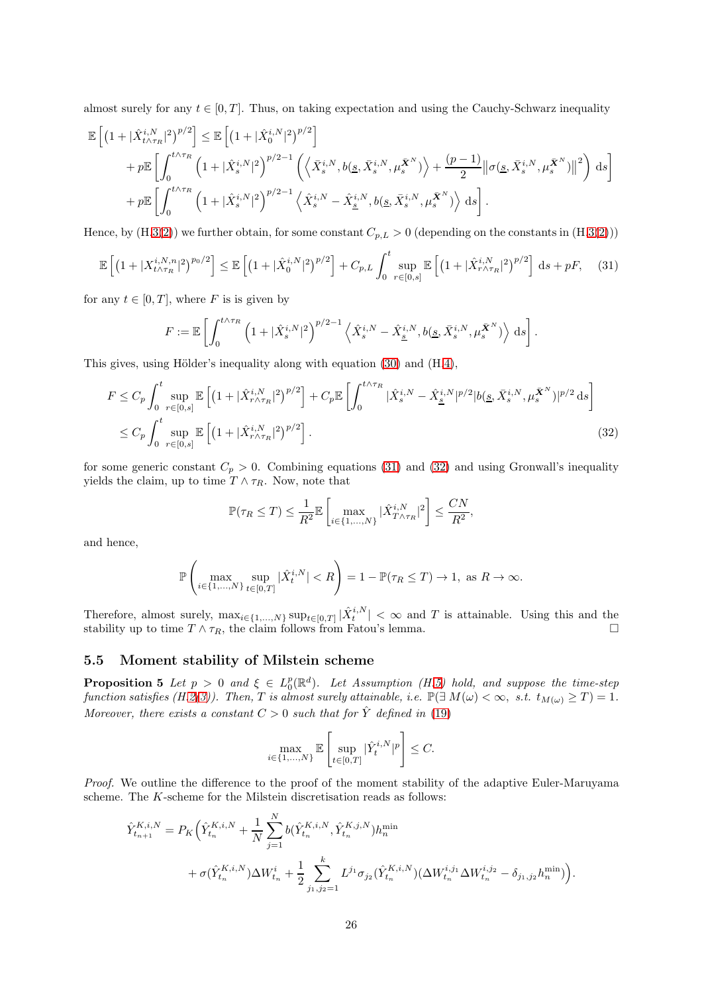almost surely for any  $t \in [0, T]$ . Thus, on taking expectation and using the Cauchy-Schwarz inequality

$$
\mathbb{E}\left[\left(1+|\hat{X}_{t\wedge\tau_{R}}^{i,N}|^{2}\right)^{p/2}\right] \leq \mathbb{E}\left[\left(1+|\hat{X}_{0}^{i,N}|^{2}\right)^{p/2}\right] \n+ p\mathbb{E}\left[\int_{0}^{t\wedge\tau_{R}}\left(1+|\hat{X}_{s}^{i,N}|^{2}\right)^{p/2-1}\left(\left\langle \bar{X}_{s}^{i,N},b(\underline{s},\bar{X}_{s}^{i,N},\mu_{s}^{\bar{\mathbf{X}}^{N}})\right\rangle + \frac{(p-1)}{2}\|\sigma(\underline{s},\bar{X}_{s}^{i,N},\mu_{s}^{\bar{\mathbf{X}}^{N}})\right\|^{2}\right) \mathrm{d}s\right] \n+ p\mathbb{E}\left[\int_{0}^{t\wedge\tau_{R}}\left(1+|\hat{X}_{s}^{i,N}|^{2}\right)^{p/2-1}\left\langle \hat{X}_{s}^{i,N}-\hat{X}_{\underline{s}}^{i,N},b(\underline{s},\bar{X}_{s}^{i,N},\mu_{s}^{\bar{\mathbf{X}}^{N}})\right\rangle \mathrm{d}s\right].
$$

Hence, by  $(H.3(2))$  $(H.3(2))$  $(H.3(2))$  $(H.3(2))$  we further obtain, for some constant  $C_{p,L} > 0$  (depending on the constants in  $(H.3(2))$ )

$$
\mathbb{E}\left[\left(1+|X_{t\wedge\tau_R}^{i,N,n}|^2\right)^{p_0/2}\right] \leq \mathbb{E}\left[\left(1+|\hat{X}_0^{i,N}|^2\right)^{p/2}\right] + C_{p,L} \int_0^t \sup_{r\in[0,s]} \mathbb{E}\left[\left(1+|\hat{X}_{r\wedge\tau_R}^{i,N}|^2\right)^{p/2}\right] ds + pF,\tag{31}
$$

for any  $t \in [0, T]$ , where F is is given by

<span id="page-25-1"></span>
$$
F := \mathbb{E}\left[\int_0^{t\wedge\tau_R} \left(1+|\hat{X}_s^{i,N}|^2\right)^{p/2-1} \left\langle \hat{X}_s^{i,N} - \hat{X}_s^{i,N}, b(\underline{s}, \bar{X}_s^{i,N}, \mu_s^{\bar{X}^N}) \right\rangle ds \right].
$$

This gives, using Hölder's inequality along with equation [\(30\)](#page-24-1) and (H[.4\)](#page-8-6),

$$
F \leq C_p \int_0^t \sup_{r \in [0,s]} \mathbb{E}\left[ \left(1 + |\hat{X}_{r \wedge \tau_R}^{i,N}|^2 \right)^{p/2} \right] + C_p \mathbb{E}\left[ \int_0^{t \wedge \tau_R} |\hat{X}_s^{i,N} - \hat{X}_\underline{s}^{i,N}|^{p/2} |b(\underline{s}, \bar{X}_s^{i,N}, \mu_s^{\bar{X}^N})|^{p/2} ds \right]
$$
  
 
$$
\leq C_p \int_0^t \sup_{r \in [0,s]} \mathbb{E}\left[ \left(1 + |\hat{X}_{r \wedge \tau_R}^{i,N}|^2 \right)^{p/2} \right].
$$
 (32)

for some generic constant  $C_p > 0$ . Combining equations [\(31\)](#page-25-1) and [\(32\)](#page-25-2) and using Gronwall's inequality yields the claim, up to time  $T \wedge \tau_R$ . Now, note that

<span id="page-25-2"></span>
$$
\mathbb{P}(\tau_R \leq T) \leq \frac{1}{R^2} \mathbb{E}\left[\max_{i \in \{1, \ldots, N\}} |\hat{X}_{T \wedge \tau_R}^{i, N}|^2\right] \leq \frac{CN}{R^2},
$$

and hence,

$$
\mathbb{P}\left(\max_{i\in\{1,\ldots,N\}}\sup_{t\in[0,T]}|\hat{X}^{i,N}_t| < R\right) = 1 - \mathbb{P}(\tau_R \le T) \to 1, \text{ as } R \to \infty.
$$

Therefore, almost surely,  $\max_{i \in \{1,\ldots,N\}} \sup_{t \in [0,T]} |\hat{X}_t^{i,N}| < \infty$  and T is attainable. Using this and the stability up to time  $T \wedge \tau_R$ , the claim follows from Fatou's lemma.

#### <span id="page-25-0"></span>5.5 Moment stability of Milstein scheme

**Proposition 5** Let  $p > 0$  and  $\xi \in L_0^p(\mathbb{R}^d)$ . Let Assumption (H[.5\)](#page-9-2) hold, and suppose the time-step function satisfies (H[.2](#page-6-2)[\(3\)](#page-7-0)). Then, T is almost surely attainable, i.e.  $\mathbb{P}(\exists M(\omega) < \infty, s.t. t_{M(\omega)} \geq T) = 1$ . Moreover, there exists a constant  $C > 0$  such that for  $\hat{Y}$  defined in [\(19\)](#page-10-1)

$$
\max_{i \in \{1, \dots, N\}} \mathbb{E} \left[ \sup_{t \in [0, T]} |\hat{Y}_t^{i, N}|^p \right] \le C.
$$

Proof. We outline the difference to the proof of the moment stability of the adaptive Euler-Maruyama scheme. The K-scheme for the Milstein discretisation reads as follows:

$$
\hat{Y}_{t_{n+1}}^{K,i,N} = P_K \Big( \hat{Y}_{t_n}^{K,i,N} + \frac{1}{N} \sum_{j=1}^N b(\hat{Y}_{t_n}^{K,i,N}, \hat{Y}_{t_n}^{K,j,N}) h_n^{\min} + \sigma(\hat{Y}_{t_n}^{K,i,N}) \Delta W_{t_n}^i + \frac{1}{2} \sum_{j_1,j_2=1}^k L^{j_1} \sigma_{j_2}(\hat{Y}_{t_n}^{K,i,N}) (\Delta W_{t_n}^{i,j_1} \Delta W_{t_n}^{i,j_2} - \delta_{j_1,j_2} h_n^{\min}) \Big).
$$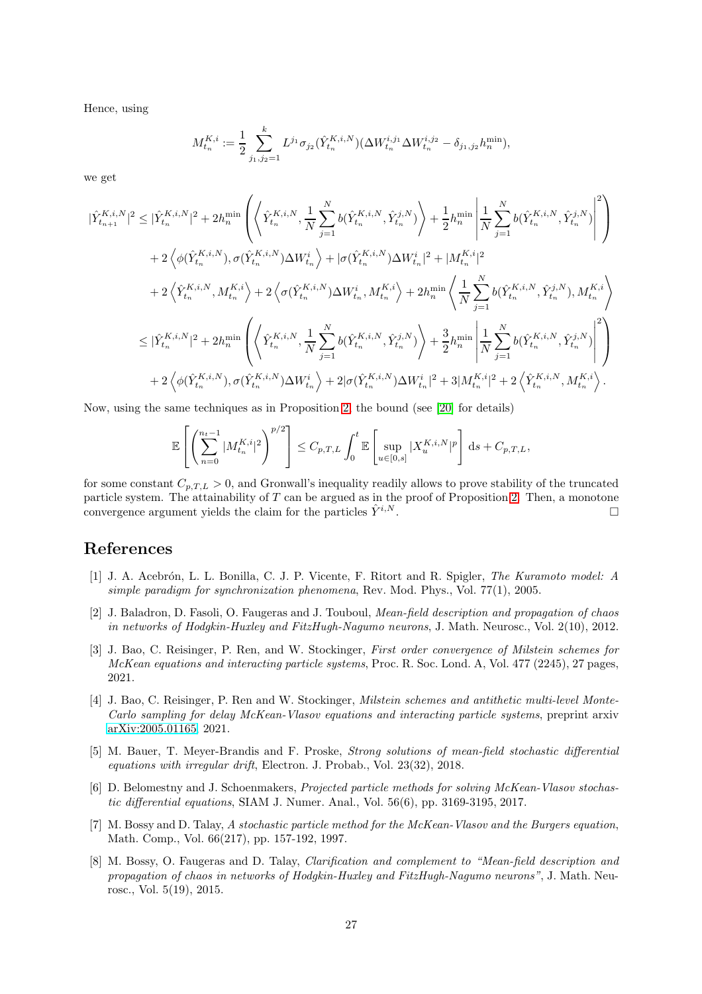Hence, using

$$
M_{t_n}^{K,i}:=\frac{1}{2}\sum_{j_1,j_2=1}^kL^{j_1}\sigma_{j_2}(\hat{Y}_{t_n}^{K,i,N})(\Delta W_{t_n}^{i,j_1}\Delta W_{t_n}^{i,j_2}-\delta_{j_1,j_2}h_n^{\min}),
$$

we get

$$
\label{eq:4.11} \begin{split} |\hat{Y}_{t_{n+1}}^{K,i,N}|^{2} &\leq |\hat{Y}_{t_{n}}^{K,i,N}|^{2}+2h_{n}^{\min}\left(\left\langle \hat{Y}_{t_{n}}^{K,i,N},\frac{1}{N}\sum_{j=1}^{N}b(\hat{Y}_{t_{n}}^{K,i,N},\hat{Y}_{t_{n}}^{j,N})\right\rangle+\frac{1}{2}h_{n}^{\min}\left|\frac{1}{N}\sum_{j=1}^{N}b(\hat{Y}_{t_{n}}^{K,i,N},\hat{Y}_{t_{n}}^{j,N})\right|^{2}\right)\\ &+2\left\langle \phi(\hat{Y}_{t_{n}}^{K,i,N}),\sigma(\hat{Y}_{t_{n}}^{K,i,N})\Delta W_{t_{n}}^{i}\right\rangle+|\sigma(\hat{Y}_{t_{n}}^{K,i,N})\Delta W_{t_{n}}^{i}|^{2}+|M_{t_{n}}^{K,i}|^{2}\\ &+2\left\langle \hat{Y}_{t_{n}}^{K,i,N},M_{t_{n}}^{K,i}\right\rangle+2\left\langle \sigma(\hat{Y}_{t_{n}}^{K,i,N})\Delta W_{t_{n}}^{i},M_{t_{n}}^{K,i}\right\rangle+2h_{n}^{\min}\left\langle \frac{1}{N}\sum_{j=1}^{N}b(\hat{Y}_{t_{n}}^{K,i,N},\hat{Y}_{t_{n}}^{j,N}),M_{t_{n}}^{K,i}\right\rangle\\ &\leq |\hat{Y}_{t_{n}}^{K,i,N}|^{2}+2h_{n}^{\min}\left(\left\langle \hat{Y}_{t_{n}}^{K,i,N},\frac{1}{N}\sum_{j=1}^{N}b(\hat{Y}_{t_{n}}^{K,i,N},\hat{Y}_{t_{n}}^{j,N})\right\rangle+\frac{3}{2}h_{n}^{\min}\left|\frac{1}{N}\sum_{j=1}^{N}b(\hat{Y}_{t_{n}}^{K,i,N},\hat{Y}_{t_{n}}^{j,N})\right|^{2}\right)\\ &+2\left\langle \phi(\hat{Y}_{t_{n}}^{K,i,N}),\sigma(\hat{Y}_{t_{n}}^{K,i,N})\Delta W_{t_{n}}^{i}\right\rangle+2|\sigma(\hat{Y}_{t_{n}}^{K,i,N})\Delta W_{t_{n}}^{i}|^{2}+3|M_{t_{n}}^{K,i}|^{2}+2\left\langle \hat{Y}_{t_{n}}^{K,i,N},M_{t_{n}}^{K,i}\right\rangle. \end{split}
$$

Now, using the same techniques as in Proposition [2,](#page-17-1) the bound (see [\[20\]](#page-27-7) for details)

$$
\mathbb{E}\left[\left(\sum_{n=0}^{n_t-1} |M_{t_n}^{K,i}|^2\right)^{p/2}\right] \leq C_{p,T,L} \int_0^t \mathbb{E}\left[\sup_{u\in[0,s]} |X_u^{K,i,N}|^p\right] ds + C_{p,T,L},
$$

for some constant  $C_{p,T,L} > 0$ , and Gronwall's inequality readily allows to prove stability of the truncated particle system. The attainability of  $T$  can be argued as in the proof of Proposition [2.](#page-17-1) Then, a monotone convergence argument yields the claim for the particles  $\tilde{Y}^{i,N}$ .

## <span id="page-26-7"></span>References

- [1] J. A. Acebrón, L. L. Bonilla, C. J. P. Vicente, F. Ritort and R. Spigler, *The Kuramoto model: A* simple paradigm for synchronization phenomena, Rev. Mod. Phys., Vol. 77(1), 2005.
- <span id="page-26-1"></span>[2] J. Baladron, D. Fasoli, O. Faugeras and J. Touboul, *Mean-field description and propagation of chaos* in networks of Hodgkin-Huxley and FitzHugh-Nagumo neurons, J. Math. Neurosc., Vol. 2(10), 2012.
- <span id="page-26-6"></span>[3] J. Bao, C. Reisinger, P. Ren, and W. Stockinger, First order convergence of Milstein schemes for McKean equations and interacting particle systems, Proc. R. Soc. Lond. A, Vol. 477 (2245), 27 pages, 2021.
- <span id="page-26-5"></span>[4] J. Bao, C. Reisinger, P. Ren and W. Stockinger, Milstein schemes and antithetic multi-level Monte-Carlo sampling for delay McKean-Vlasov equations and interacting particle systems, preprint arxiv [arXiv:2005.01165,](http://arxiv.org/abs/2005.01165) 2021.
- <span id="page-26-0"></span>[5] M. Bauer, T. Meyer-Brandis and F. Proske, Strong solutions of mean-field stochastic differential equations with irregular drift, Electron. J. Probab., Vol. 23(32), 2018.
- <span id="page-26-4"></span>[6] D. Belomestny and J. Schoenmakers, Projected particle methods for solving McKean-Vlasov stochastic differential equations, SIAM J. Numer. Anal., Vol. 56(6), pp. 3169-3195, 2017.
- <span id="page-26-3"></span>[7] M. Bossy and D. Talay, A stochastic particle method for the McKean-Vlasov and the Burgers equation, Math. Comp., Vol. 66(217), pp. 157-192, 1997.
- <span id="page-26-2"></span>[8] M. Bossy, O. Faugeras and D. Talay, Clarification and complement to "Mean-field description and propagation of chaos in networks of Hodgkin-Huxley and FitzHugh-Nagumo neurons", J. Math. Neurosc., Vol. 5(19), 2015.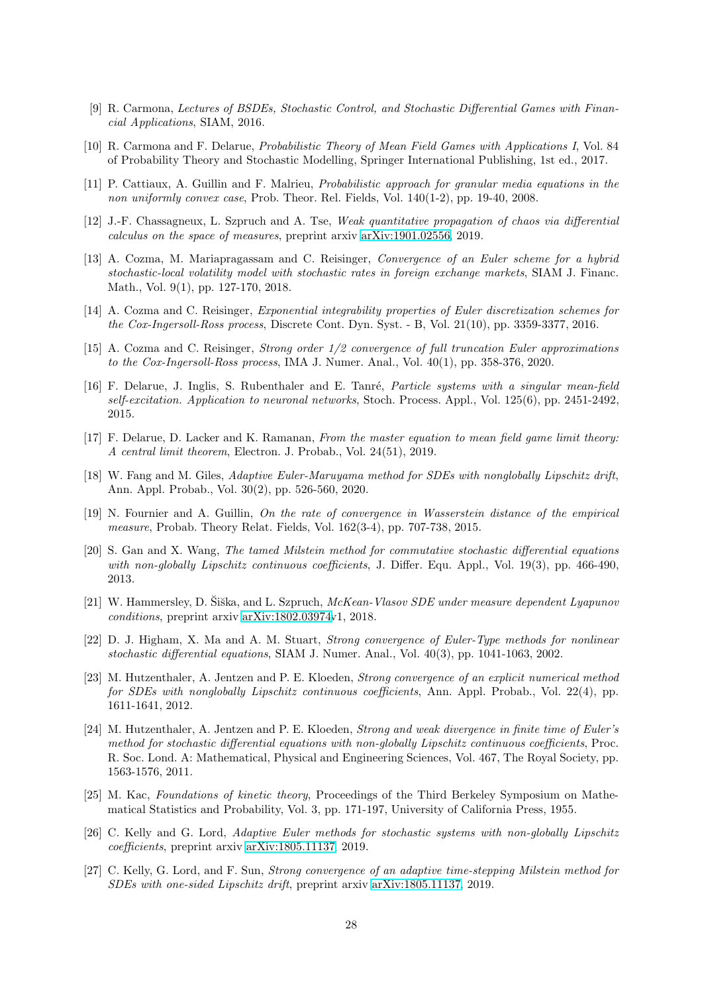- <span id="page-27-13"></span><span id="page-27-3"></span>[9] R. Carmona, Lectures of BSDEs, Stochastic Control, and Stochastic Differential Games with Financial Applications, SIAM, 2016.
- <span id="page-27-12"></span>[10] R. Carmona and F. Delarue, Probabilistic Theory of Mean Field Games with Applications I, Vol. 84 of Probability Theory and Stochastic Modelling, Springer International Publishing, 1st ed., 2017.
- <span id="page-27-14"></span>[11] P. Cattiaux, A. Guillin and F. Malrieu, Probabilistic approach for granular media equations in the non uniformly convex case, Prob. Theor. Rel. Fields, Vol. 140(1-2), pp. 19-40, 2008.
- <span id="page-27-17"></span>[12] J.-F. Chassagneux, L. Szpruch and A. Tse, Weak quantitative propagation of chaos via differential calculus on the space of measures, preprint arxiv [arXiv:1901.02556,](http://arxiv.org/abs/1901.02556) 2019.
- [13] A. Cozma, M. Mariapragassam and C. Reisinger, Convergence of an Euler scheme for a hybrid stochastic-local volatility model with stochastic rates in foreign exchange markets, SIAM J. Financ. Math., Vol. 9(1), pp. 127-170, 2018.
- <span id="page-27-15"></span>[14] A. Cozma and C. Reisinger, Exponential integrability properties of Euler discretization schemes for the Cox-Ingersoll-Ross process, Discrete Cont. Dyn. Syst. - B, Vol. 21(10), pp. 3359-3377, 2016.
- <span id="page-27-16"></span>[15] A. Cozma and C. Reisinger, Strong order 1/2 convergence of full truncation Euler approximations to the Cox-Ingersoll-Ross process, IMA J. Numer. Anal., Vol. 40(1), pp. 358-376, 2020.
- <span id="page-27-2"></span>[16] F. Delarue, J. Inglis, S. Rubenthaler and E. Tanré, *Particle systems with a singular mean-field* self-excitation. Application to neuronal networks, Stoch. Process. Appl., Vol. 125(6), pp. 2451-2492, 2015.
- <span id="page-27-4"></span>[17] F. Delarue, D. Lacker and K. Ramanan, From the master equation to mean field game limit theory: A central limit theorem, Electron. J. Probab., Vol. 24(51), 2019.
- <span id="page-27-8"></span>[18] W. Fang and M. Giles, Adaptive Euler-Maruyama method for SDEs with nonglobally Lipschitz drift, Ann. Appl. Probab., Vol. 30(2), pp. 526-560, 2020.
- [19] N. Fournier and A. Guillin, On the rate of convergence in Wasserstein distance of the empirical measure, Probab. Theory Relat. Fields, Vol. 162(3-4), pp. 707-738, 2015.
- <span id="page-27-7"></span>[20] S. Gan and X. Wang, The tamed Milstein method for commutative stochastic differential equations with non-globally Lipschitz continuous coefficients, J. Differ. Equ. Appl., Vol. 19(3), pp. 466-490, 2013.
- <span id="page-27-1"></span>[21] W. Hammersley, D. Siška, and L. Szpruch, McKean-Vlasov SDE under measure dependent Lyapunov conditions, preprint arxiv [arXiv:1802.03974v](http://arxiv.org/abs/1802.03974)1, 2018.
- <span id="page-27-9"></span>[22] D. J. Higham, X. Ma and A. M. Stuart, Strong convergence of Euler-Type methods for nonlinear stochastic differential equations, SIAM J. Numer. Anal., Vol. 40(3), pp. 1041-1063, 2002.
- <span id="page-27-6"></span>[23] M. Hutzenthaler, A. Jentzen and P. E. Kloeden, Strong convergence of an explicit numerical method for SDEs with nonglobally Lipschitz continuous coefficients, Ann. Appl. Probab., Vol. 22(4), pp. 1611-1641, 2012.
- <span id="page-27-5"></span>[24] M. Hutzenthaler, A. Jentzen and P. E. Kloeden, Strong and weak divergence in finite time of Euler's method for stochastic differential equations with non-globally Lipschitz continuous coefficients, Proc. R. Soc. Lond. A: Mathematical, Physical and Engineering Sciences, Vol. 467, The Royal Society, pp. 1563-1576, 2011.
- <span id="page-27-0"></span>[25] M. Kac, Foundations of kinetic theory, Proceedings of the Third Berkeley Symposium on Mathematical Statistics and Probability, Vol. 3, pp. 171-197, University of California Press, 1955.
- <span id="page-27-10"></span>[26] C. Kelly and G. Lord, Adaptive Euler methods for stochastic systems with non-globally Lipschitz coefficients, preprint arxiv [arXiv:1805.11137,](http://arxiv.org/abs/1805.11137) 2019.
- <span id="page-27-11"></span>[27] C. Kelly, G. Lord, and F. Sun, Strong convergence of an adaptive time-stepping Milstein method for SDEs with one-sided Lipschitz drift, preprint arxiv [arXiv:1805.11137,](http://arxiv.org/abs/1805.11137) 2019.